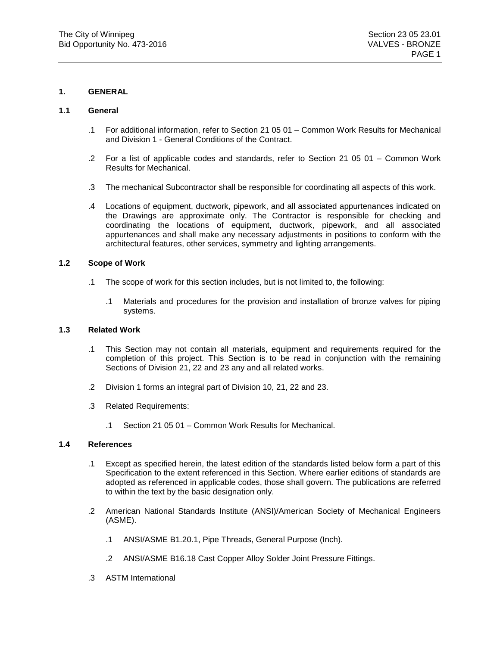# **1. GENERAL**

# **1.1 General**

- .1 For additional information, refer to Section 21 05 01 Common Work Results for Mechanical and Division 1 - General Conditions of the Contract.
- .2 For a list of applicable codes and standards, refer to Section 21 05 01 Common Work Results for Mechanical.
- .3 The mechanical Subcontractor shall be responsible for coordinating all aspects of this work.
- .4 Locations of equipment, ductwork, pipework, and all associated appurtenances indicated on the Drawings are approximate only. The Contractor is responsible for checking and coordinating the locations of equipment, ductwork, pipework, and all associated appurtenances and shall make any necessary adjustments in positions to conform with the architectural features, other services, symmetry and lighting arrangements.

## **1.2 Scope of Work**

- .1 The scope of work for this section includes, but is not limited to, the following:
	- .1 Materials and procedures for the provision and installation of bronze valves for piping systems.

## **1.3 Related Work**

- .1 This Section may not contain all materials, equipment and requirements required for the completion of this project. This Section is to be read in conjunction with the remaining Sections of Division 21, 22 and 23 any and all related works.
- .2 Division 1 forms an integral part of Division 10, 21, 22 and 23.
- .3 Related Requirements:
	- .1 Section 21 05 01 Common Work Results for Mechanical.

# **1.4 References**

- .1 Except as specified herein, the latest edition of the standards listed below form a part of this Specification to the extent referenced in this Section. Where earlier editions of standards are adopted as referenced in applicable codes, those shall govern. The publications are referred to within the text by the basic designation only.
- .2 American National Standards Institute (ANSI)/American Society of Mechanical Engineers (ASME).
	- .1 ANSI/ASME B1.20.1, Pipe Threads, General Purpose (Inch).
	- .2 ANSI/ASME B16.18 Cast Copper Alloy Solder Joint Pressure Fittings.
- .3 ASTM International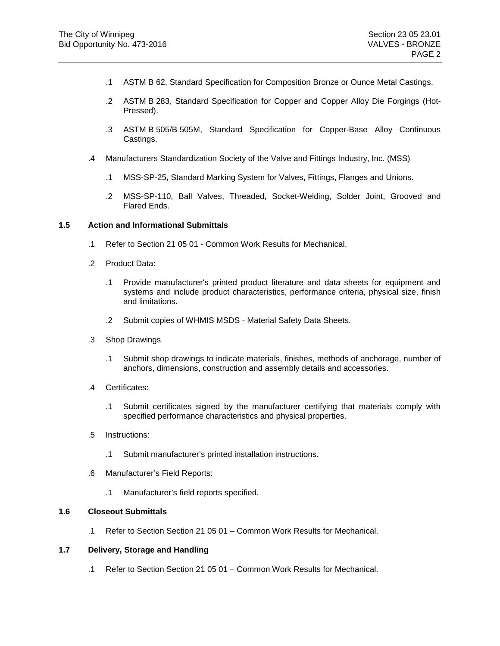- .1 ASTM B 62, Standard Specification for Composition Bronze or Ounce Metal Castings.
- .2 ASTM B 283, Standard Specification for Copper and Copper Alloy Die Forgings (Hot-Pressed).
- .3 ASTM B 505/B 505M, Standard Specification for Copper-Base Alloy Continuous Castings.
- .4 Manufacturers Standardization Society of the Valve and Fittings Industry, Inc. (MSS)
	- .1 MSS-SP-25, Standard Marking System for Valves, Fittings, Flanges and Unions.
	- .2 MSS-SP-110, Ball Valves, Threaded, Socket-Welding, Solder Joint, Grooved and Flared Ends.

## **1.5 Action and Informational Submittals**

- .1 Refer to Section 21 05 01 Common Work Results for Mechanical.
- .2 Product Data:
	- .1 Provide manufacturer's printed product literature and data sheets for equipment and systems and include product characteristics, performance criteria, physical size, finish and limitations.
	- .2 Submit copies of WHMIS MSDS Material Safety Data Sheets.
- .3 Shop Drawings
	- .1 Submit shop drawings to indicate materials, finishes, methods of anchorage, number of anchors, dimensions, construction and assembly details and accessories.
- .4 Certificates:
	- .1 Submit certificates signed by the manufacturer certifying that materials comply with specified performance characteristics and physical properties.
- .5 Instructions:
	- .1 Submit manufacturer's printed installation instructions.
- .6 Manufacturer's Field Reports:
	- .1 Manufacturer's field reports specified.

# **1.6 Closeout Submittals**

.1 Refer to Section Section 21 05 01 – Common Work Results for Mechanical.

## **1.7 Delivery, Storage and Handling**

.1 Refer to Section Section 21 05 01 – Common Work Results for Mechanical.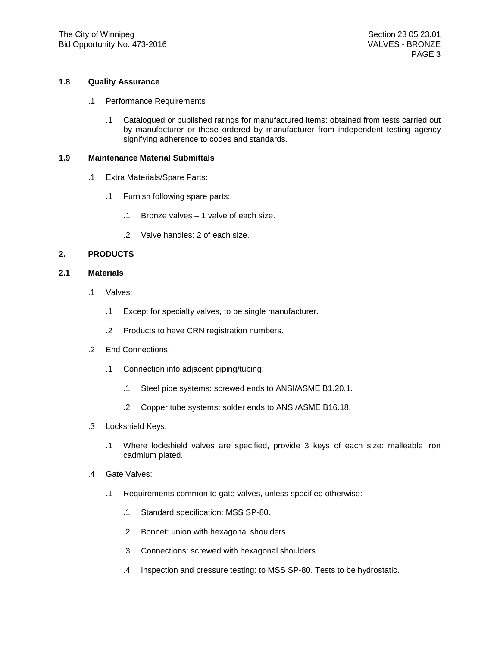## **1.8 Quality Assurance**

- .1 Performance Requirements
	- .1 Catalogued or published ratings for manufactured items: obtained from tests carried out by manufacturer or those ordered by manufacturer from independent testing agency signifying adherence to codes and standards.

## **1.9 Maintenance Material Submittals**

- .1 Extra Materials/Spare Parts:
	- .1 Furnish following spare parts:
		- .1 Bronze valves 1 valve of each size.
		- .2 Valve handles: 2 of each size.

# **2. PRODUCTS**

## **2.1 Materials**

- .1 Valves:
	- .1 Except for specialty valves, to be single manufacturer.
	- .2 Products to have CRN registration numbers.
- .2 End Connections:
	- .1 Connection into adjacent piping/tubing:
		- .1 Steel pipe systems: screwed ends to ANSI/ASME B1.20.1.
		- .2 Copper tube systems: solder ends to ANSI/ASME B16.18.
- .3 Lockshield Keys:
	- .1 Where lockshield valves are specified, provide 3 keys of each size: malleable iron cadmium plated.
- .4 Gate Valves:
	- .1 Requirements common to gate valves, unless specified otherwise:
		- .1 Standard specification: MSS SP-80.
		- .2 Bonnet: union with hexagonal shoulders.
		- .3 Connections: screwed with hexagonal shoulders.
		- .4 Inspection and pressure testing: to MSS SP-80. Tests to be hydrostatic.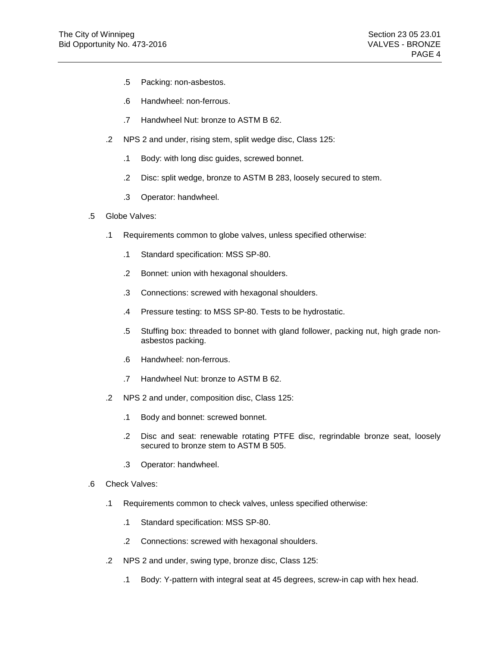- .5 Packing: non-asbestos.
- .6 Handwheel: non-ferrous.
- .7 Handwheel Nut: bronze to ASTM B 62.
- .2 NPS 2 and under, rising stem, split wedge disc, Class 125:
	- .1 Body: with long disc guides, screwed bonnet.
	- .2 Disc: split wedge, bronze to ASTM B 283, loosely secured to stem.
	- .3 Operator: handwheel.
- .5 Globe Valves:
	- .1 Requirements common to globe valves, unless specified otherwise:
		- .1 Standard specification: MSS SP-80.
		- .2 Bonnet: union with hexagonal shoulders.
		- .3 Connections: screwed with hexagonal shoulders.
		- .4 Pressure testing: to MSS SP-80. Tests to be hydrostatic.
		- .5 Stuffing box: threaded to bonnet with gland follower, packing nut, high grade nonasbestos packing.
		- .6 Handwheel: non-ferrous.
		- .7 Handwheel Nut: bronze to ASTM B 62.
	- .2 NPS 2 and under, composition disc, Class 125:
		- .1 Body and bonnet: screwed bonnet.
		- .2 Disc and seat: renewable rotating PTFE disc, regrindable bronze seat, loosely secured to bronze stem to ASTM B 505.
		- .3 Operator: handwheel.
- .6 Check Valves:
	- .1 Requirements common to check valves, unless specified otherwise:
		- .1 Standard specification: MSS SP-80.
		- .2 Connections: screwed with hexagonal shoulders.
	- .2 NPS 2 and under, swing type, bronze disc, Class 125:
		- .1 Body: Y-pattern with integral seat at 45 degrees, screw-in cap with hex head.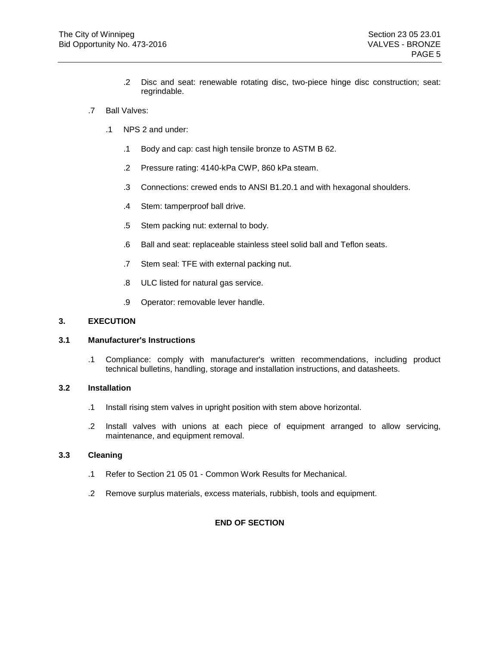- .2 Disc and seat: renewable rotating disc, two-piece hinge disc construction; seat: regrindable.
- .7 Ball Valves:
	- .1 NPS 2 and under:
		- .1 Body and cap: cast high tensile bronze to ASTM B 62.
		- .2 Pressure rating: 4140-kPa CWP, 860 kPa steam.
		- .3 Connections: crewed ends to ANSI B1.20.1 and with hexagonal shoulders.
		- .4 Stem: tamperproof ball drive.
		- .5 Stem packing nut: external to body.
		- .6 Ball and seat: replaceable stainless steel solid ball and Teflon seats.
		- .7 Stem seal: TFE with external packing nut.
		- .8 ULC listed for natural gas service.
		- .9 Operator: removable lever handle.

## **3. EXECUTION**

## **3.1 Manufacturer's Instructions**

.1 Compliance: comply with manufacturer's written recommendations, including product technical bulletins, handling, storage and installation instructions, and datasheets.

## **3.2 Installation**

- .1 Install rising stem valves in upright position with stem above horizontal.
- .2 Install valves with unions at each piece of equipment arranged to allow servicing, maintenance, and equipment removal.

## **3.3 Cleaning**

- .1 Refer to Section 21 05 01 Common Work Results for Mechanical.
- .2 Remove surplus materials, excess materials, rubbish, tools and equipment.

# **END OF SECTION**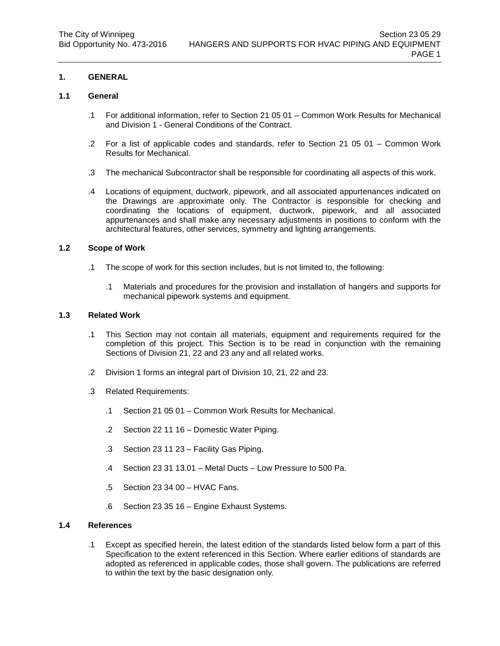# **1. GENERAL**

## **1.1 General**

- .1 For additional information, refer to Section 21 05 01 Common Work Results for Mechanical and Division 1 - General Conditions of the Contract.
- .2 For a list of applicable codes and standards, refer to Section 21 05 01 Common Work Results for Mechanical.
- .3 The mechanical Subcontractor shall be responsible for coordinating all aspects of this work.
- .4 Locations of equipment, ductwork, pipework, and all associated appurtenances indicated on the Drawings are approximate only. The Contractor is responsible for checking and coordinating the locations of equipment, ductwork, pipework, and all associated appurtenances and shall make any necessary adjustments in positions to conform with the architectural features, other services, symmetry and lighting arrangements.

# **1.2 Scope of Work**

- .1 The scope of work for this section includes, but is not limited to, the following:
	- .1 Materials and procedures for the provision and installation of hangers and supports for mechanical pipework systems and equipment.

# **1.3 Related Work**

- .1 This Section may not contain all materials, equipment and requirements required for the completion of this project. This Section is to be read in conjunction with the remaining Sections of Division 21, 22 and 23 any and all related works.
- .2 Division 1 forms an integral part of Division 10, 21, 22 and 23.
- .3 Related Requirements:
	- .1 Section 21 05 01 Common Work Results for Mechanical.
	- .2 Section 22 11 16 Domestic Water Piping.
	- .3 Section 23 11 23 Facility Gas Piping.
	- .4 Section 23 31 13.01 Metal Ducts Low Pressure to 500 Pa.
	- .5 Section 23 34 00 HVAC Fans.
	- .6 Section 23 35 16 Engine Exhaust Systems.

#### **1.4 References**

.1 Except as specified herein, the latest edition of the standards listed below form a part of this Specification to the extent referenced in this Section. Where earlier editions of standards are adopted as referenced in applicable codes, those shall govern. The publications are referred to within the text by the basic designation only.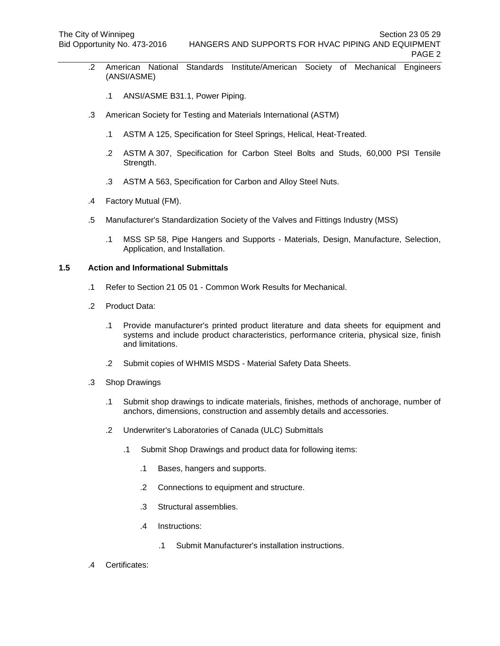- .2 American National Standards Institute/American Society of Mechanical Engineers (ANSI/ASME)
	- .1 ANSI/ASME B31.1, Power Piping.
- .3 American Society for Testing and Materials International (ASTM)
	- .1 ASTM A 125, Specification for Steel Springs, Helical, Heat-Treated.
	- .2 ASTM A 307, Specification for Carbon Steel Bolts and Studs, 60,000 PSI Tensile Strength.
	- .3 ASTM A 563, Specification for Carbon and Alloy Steel Nuts.
- .4 Factory Mutual (FM).
- .5 Manufacturer's Standardization Society of the Valves and Fittings Industry (MSS)
	- .1 MSS SP 58, Pipe Hangers and Supports Materials, Design, Manufacture, Selection, Application, and Installation.

#### **1.5 Action and Informational Submittals**

- .1 Refer to Section 21 05 01 Common Work Results for Mechanical.
- .2 Product Data:
	- .1 Provide manufacturer's printed product literature and data sheets for equipment and systems and include product characteristics, performance criteria, physical size, finish and limitations.
	- .2 Submit copies of WHMIS MSDS Material Safety Data Sheets.
- .3 Shop Drawings
	- .1 Submit shop drawings to indicate materials, finishes, methods of anchorage, number of anchors, dimensions, construction and assembly details and accessories.
	- .2 Underwriter's Laboratories of Canada (ULC) Submittals
		- .1 Submit Shop Drawings and product data for following items:
			- .1 Bases, hangers and supports.
			- .2 Connections to equipment and structure.
			- .3 Structural assemblies.
			- .4 Instructions:
				- .1 Submit Manufacturer's installation instructions.
- .4 Certificates: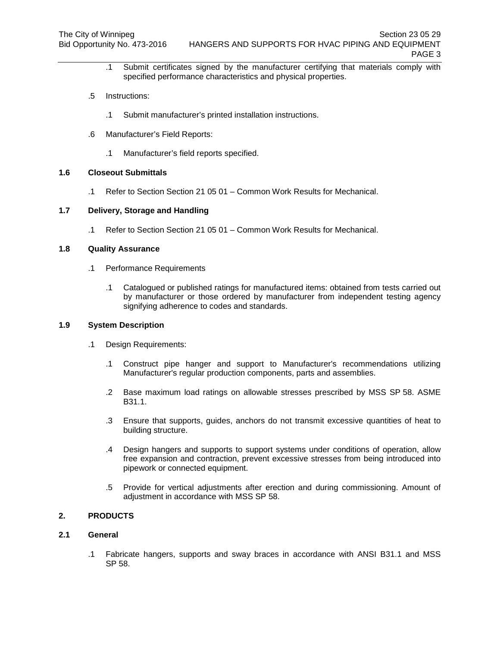- .1 Submit certificates signed by the manufacturer certifying that materials comply with specified performance characteristics and physical properties.
- .5 Instructions:
	- .1 Submit manufacturer's printed installation instructions.
- .6 Manufacturer's Field Reports:
	- .1 Manufacturer's field reports specified.

#### **1.6 Closeout Submittals**

.1 Refer to Section Section 21 05 01 – Common Work Results for Mechanical.

# **1.7 Delivery, Storage and Handling**

.1 Refer to Section Section 21 05 01 – Common Work Results for Mechanical.

# **1.8 Quality Assurance**

- .1 Performance Requirements
	- .1 Catalogued or published ratings for manufactured items: obtained from tests carried out by manufacturer or those ordered by manufacturer from independent testing agency signifying adherence to codes and standards.

#### **1.9 System Description**

- .1 Design Requirements:
	- .1 Construct pipe hanger and support to Manufacturer's recommendations utilizing Manufacturer's regular production components, parts and assemblies.
	- .2 Base maximum load ratings on allowable stresses prescribed by MSS SP 58. ASME B31.1.
	- .3 Ensure that supports, guides, anchors do not transmit excessive quantities of heat to building structure.
	- .4 Design hangers and supports to support systems under conditions of operation, allow free expansion and contraction, prevent excessive stresses from being introduced into pipework or connected equipment.
	- .5 Provide for vertical adjustments after erection and during commissioning. Amount of adjustment in accordance with MSS SP 58.

# **2. PRODUCTS**

# **2.1 General**

.1 Fabricate hangers, supports and sway braces in accordance with ANSI B31.1 and MSS SP 58.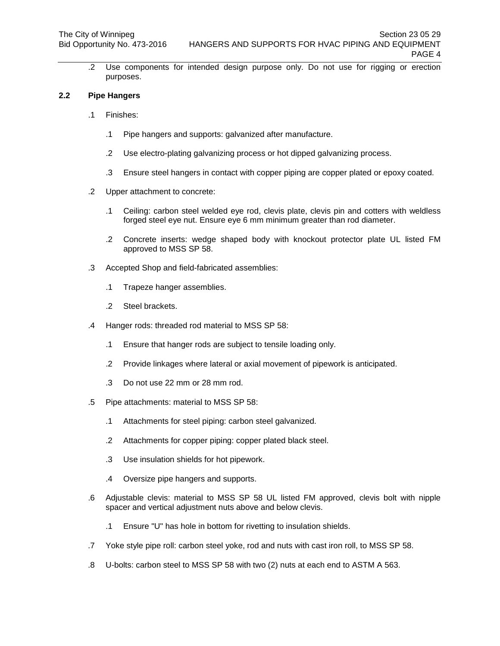.2 Use components for intended design purpose only. Do not use for rigging or erection purposes.

## **2.2 Pipe Hangers**

- .1 Finishes:
	- .1 Pipe hangers and supports: galvanized after manufacture.
	- .2 Use electro-plating galvanizing process or hot dipped galvanizing process.
	- .3 Ensure steel hangers in contact with copper piping are copper plated or epoxy coated.
- .2 Upper attachment to concrete:
	- .1 Ceiling: carbon steel welded eye rod, clevis plate, clevis pin and cotters with weldless forged steel eye nut. Ensure eye 6 mm minimum greater than rod diameter.
	- .2 Concrete inserts: wedge shaped body with knockout protector plate UL listed FM approved to MSS SP 58.
- .3 Accepted Shop and field-fabricated assemblies:
	- .1 Trapeze hanger assemblies.
	- .2 Steel brackets.
- .4 Hanger rods: threaded rod material to MSS SP 58:
	- .1 Ensure that hanger rods are subject to tensile loading only.
	- .2 Provide linkages where lateral or axial movement of pipework is anticipated.
	- .3 Do not use 22 mm or 28 mm rod.
- .5 Pipe attachments: material to MSS SP 58:
	- .1 Attachments for steel piping: carbon steel galvanized.
	- .2 Attachments for copper piping: copper plated black steel.
	- .3 Use insulation shields for hot pipework.
	- .4 Oversize pipe hangers and supports.
- .6 Adjustable clevis: material to MSS SP 58 UL listed FM approved, clevis bolt with nipple spacer and vertical adjustment nuts above and below clevis.
	- .1 Ensure "U" has hole in bottom for rivetting to insulation shields.
- .7 Yoke style pipe roll: carbon steel yoke, rod and nuts with cast iron roll, to MSS SP 58.
- .8 U-bolts: carbon steel to MSS SP 58 with two (2) nuts at each end to ASTM A 563.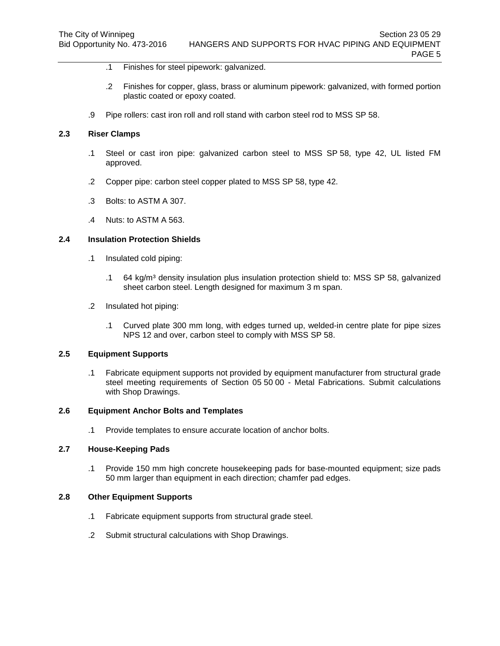- .1 Finishes for steel pipework: galvanized.
- .2 Finishes for copper, glass, brass or aluminum pipework: galvanized, with formed portion plastic coated or epoxy coated.
- .9 Pipe rollers: cast iron roll and roll stand with carbon steel rod to MSS SP 58.

## **2.3 Riser Clamps**

- .1 Steel or cast iron pipe: galvanized carbon steel to MSS SP 58, type 42, UL listed FM approved.
- .2 Copper pipe: carbon steel copper plated to MSS SP 58, type 42.
- .3 Bolts: to ASTM A 307.
- .4 Nuts: to ASTM A 563.

#### **2.4 Insulation Protection Shields**

- .1 Insulated cold piping:
	- .1 64 kg/m<sup>3</sup> density insulation plus insulation protection shield to: MSS SP 58, galvanized sheet carbon steel. Length designed for maximum 3 m span.
- .2 Insulated hot piping:
	- .1 Curved plate 300 mm long, with edges turned up, welded-in centre plate for pipe sizes NPS 12 and over, carbon steel to comply with MSS SP 58.

#### **2.5 Equipment Supports**

.1 Fabricate equipment supports not provided by equipment manufacturer from structural grade steel meeting requirements of Section 05 50 00 - Metal Fabrications. Submit calculations with Shop Drawings.

## **2.6 Equipment Anchor Bolts and Templates**

.1 Provide templates to ensure accurate location of anchor bolts.

## **2.7 House-Keeping Pads**

.1 Provide 150 mm high concrete housekeeping pads for base-mounted equipment; size pads 50 mm larger than equipment in each direction; chamfer pad edges.

#### **2.8 Other Equipment Supports**

- .1 Fabricate equipment supports from structural grade steel.
- .2 Submit structural calculations with Shop Drawings.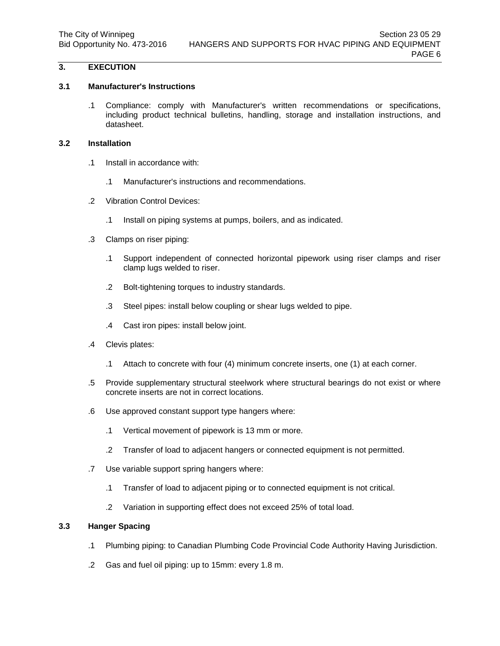# **3. EXECUTION**

## **3.1 Manufacturer's Instructions**

.1 Compliance: comply with Manufacturer's written recommendations or specifications, including product technical bulletins, handling, storage and installation instructions, and datasheet.

# **3.2 Installation**

- .1 Install in accordance with:
	- .1 Manufacturer's instructions and recommendations.
- .2 Vibration Control Devices:
	- .1 Install on piping systems at pumps, boilers, and as indicated.
- .3 Clamps on riser piping:
	- .1 Support independent of connected horizontal pipework using riser clamps and riser clamp lugs welded to riser.
	- .2 Bolt-tightening torques to industry standards.
	- .3 Steel pipes: install below coupling or shear lugs welded to pipe.
	- .4 Cast iron pipes: install below joint.
- .4 Clevis plates:
	- .1 Attach to concrete with four (4) minimum concrete inserts, one (1) at each corner.
- .5 Provide supplementary structural steelwork where structural bearings do not exist or where concrete inserts are not in correct locations.
- .6 Use approved constant support type hangers where:
	- .1 Vertical movement of pipework is 13 mm or more.
	- .2 Transfer of load to adjacent hangers or connected equipment is not permitted.
- .7 Use variable support spring hangers where:
	- .1 Transfer of load to adjacent piping or to connected equipment is not critical.
	- .2 Variation in supporting effect does not exceed 25% of total load.

## **3.3 Hanger Spacing**

- .1 Plumbing piping: to Canadian Plumbing Code Provincial Code Authority Having Jurisdiction.
- .2 Gas and fuel oil piping: up to 15mm: every 1.8 m.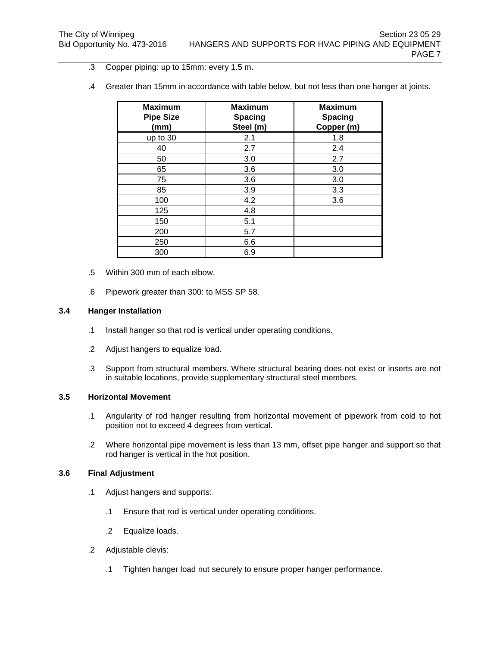- .3 Copper piping: up to 15mm: every 1.5 m.
- .4 Greater than 15mm in accordance with table below, but not less than one hanger at joints.

| <b>Maximum</b><br><b>Pipe Size</b><br>(mm) | <b>Maximum</b><br><b>Spacing</b><br>Steel (m) | <b>Maximum</b><br><b>Spacing</b><br>Copper (m) |
|--------------------------------------------|-----------------------------------------------|------------------------------------------------|
| up to 30                                   | 2.1                                           | 1.8                                            |
| 40                                         | 2.7                                           | 2.4                                            |
| 50                                         | 3.0                                           | 2.7                                            |
| 65                                         | 3.6                                           | 3.0                                            |
| 75                                         | 3.6                                           | 3.0                                            |
| 85                                         | 3.9                                           | 3.3                                            |
| 100                                        | 4.2                                           | 3.6                                            |
| 125                                        | 4.8                                           |                                                |
| 150                                        | 5.1                                           |                                                |
| 200                                        | 5.7                                           |                                                |
| 250                                        | 6.6                                           |                                                |
| 300                                        | 6.9                                           |                                                |

- .5 Within 300 mm of each elbow.
- .6 Pipework greater than 300: to MSS SP 58.

# **3.4 Hanger Installation**

- .1 Install hanger so that rod is vertical under operating conditions.
- .2 Adjust hangers to equalize load.
- .3 Support from structural members. Where structural bearing does not exist or inserts are not in suitable locations, provide supplementary structural steel members.

#### **3.5 Horizontal Movement**

- .1 Angularity of rod hanger resulting from horizontal movement of pipework from cold to hot position not to exceed 4 degrees from vertical.
- .2 Where horizontal pipe movement is less than 13 mm, offset pipe hanger and support so that rod hanger is vertical in the hot position.

## **3.6 Final Adjustment**

- .1 Adjust hangers and supports:
	- .1 Ensure that rod is vertical under operating conditions.
	- .2 Equalize loads.
- .2 Adjustable clevis:
	- .1 Tighten hanger load nut securely to ensure proper hanger performance.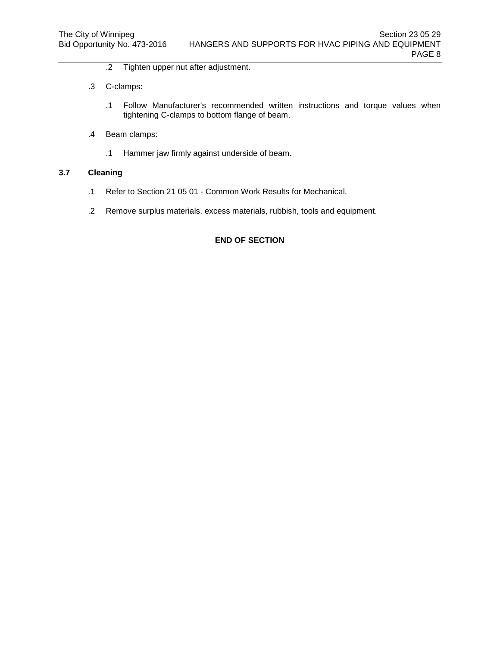- .2 Tighten upper nut after adjustment.
- .3 C-clamps:
	- .1 Follow Manufacturer's recommended written instructions and torque values when tightening C-clamps to bottom flange of beam.
- .4 Beam clamps:
	- .1 Hammer jaw firmly against underside of beam.

# **3.7 Cleaning**

- .1 Refer to Section 21 05 01 Common Work Results for Mechanical.
- .2 Remove surplus materials, excess materials, rubbish, tools and equipment.

# **END OF SECTION**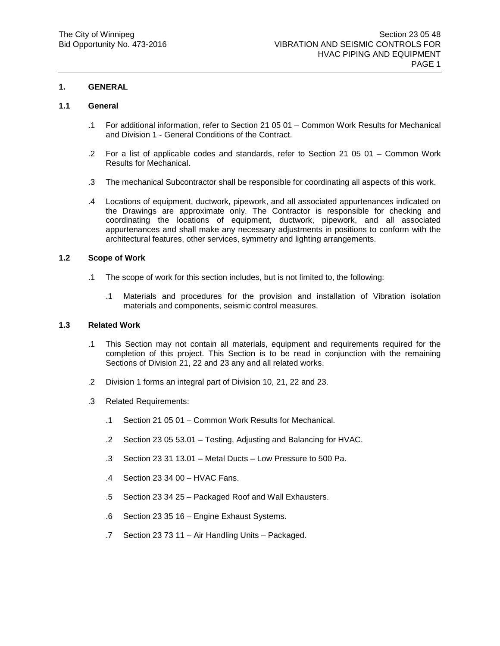# **1. GENERAL**

#### **1.1 General**

- .1 For additional information, refer to Section 21 05 01 Common Work Results for Mechanical and Division 1 - General Conditions of the Contract.
- .2 For a list of applicable codes and standards, refer to Section 21 05 01 Common Work Results for Mechanical.
- .3 The mechanical Subcontractor shall be responsible for coordinating all aspects of this work.
- .4 Locations of equipment, ductwork, pipework, and all associated appurtenances indicated on the Drawings are approximate only. The Contractor is responsible for checking and coordinating the locations of equipment, ductwork, pipework, and all associated appurtenances and shall make any necessary adjustments in positions to conform with the architectural features, other services, symmetry and lighting arrangements.

## **1.2 Scope of Work**

- .1 The scope of work for this section includes, but is not limited to, the following:
	- .1 Materials and procedures for the provision and installation of Vibration isolation materials and components, seismic control measures.

#### **1.3 Related Work**

- .1 This Section may not contain all materials, equipment and requirements required for the completion of this project. This Section is to be read in conjunction with the remaining Sections of Division 21, 22 and 23 any and all related works.
- .2 Division 1 forms an integral part of Division 10, 21, 22 and 23.
- .3 Related Requirements:
	- .1 Section 21 05 01 Common Work Results for Mechanical.
	- .2 Section 23 05 53.01 Testing, Adjusting and Balancing for HVAC.
	- .3 Section 23 31 13.01 Metal Ducts Low Pressure to 500 Pa.
	- .4 Section 23 34 00 HVAC Fans.
	- .5 Section 23 34 25 Packaged Roof and Wall Exhausters.
	- .6 Section 23 35 16 Engine Exhaust Systems.
	- .7 Section 23 73 11 Air Handling Units Packaged.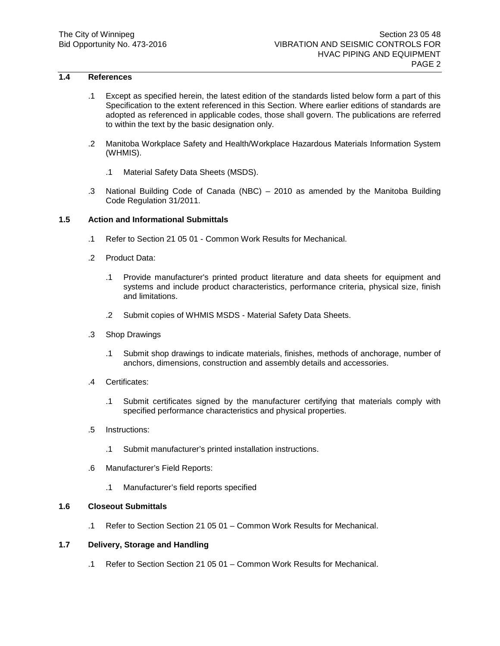# **1.4 References**

- .1 Except as specified herein, the latest edition of the standards listed below form a part of this Specification to the extent referenced in this Section. Where earlier editions of standards are adopted as referenced in applicable codes, those shall govern. The publications are referred to within the text by the basic designation only.
- .2 Manitoba Workplace Safety and Health/Workplace Hazardous Materials Information System (WHMIS).
	- .1 Material Safety Data Sheets (MSDS).
- .3 National Building Code of Canada (NBC) 2010 as amended by the Manitoba Building Code Regulation 31/2011.

## **1.5 Action and Informational Submittals**

- .1 Refer to Section 21 05 01 Common Work Results for Mechanical.
- .2 Product Data:
	- .1 Provide manufacturer's printed product literature and data sheets for equipment and systems and include product characteristics, performance criteria, physical size, finish and limitations.
	- .2 Submit copies of WHMIS MSDS Material Safety Data Sheets.
- .3 Shop Drawings
	- .1 Submit shop drawings to indicate materials, finishes, methods of anchorage, number of anchors, dimensions, construction and assembly details and accessories.
- .4 Certificates:
	- .1 Submit certificates signed by the manufacturer certifying that materials comply with specified performance characteristics and physical properties.
- .5 Instructions:
	- .1 Submit manufacturer's printed installation instructions.
- .6 Manufacturer's Field Reports:
	- .1 Manufacturer's field reports specified

#### **1.6 Closeout Submittals**

.1 Refer to Section Section 21 05 01 – Common Work Results for Mechanical.

#### **1.7 Delivery, Storage and Handling**

.1 Refer to Section Section 21 05 01 – Common Work Results for Mechanical.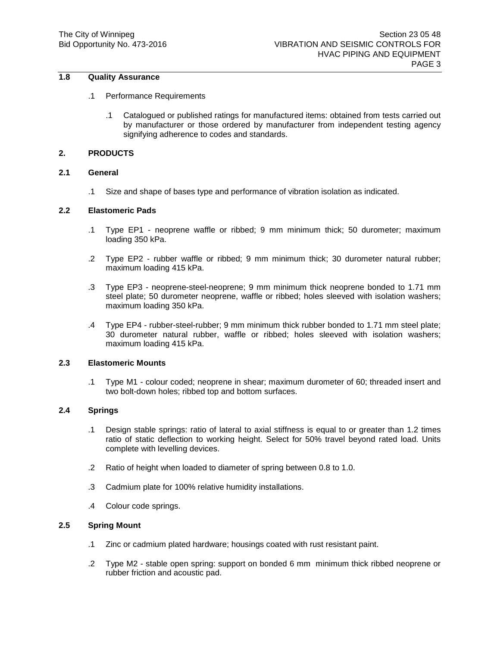# **1.8 Quality Assurance**

- .1 Performance Requirements
	- .1 Catalogued or published ratings for manufactured items: obtained from tests carried out by manufacturer or those ordered by manufacturer from independent testing agency signifying adherence to codes and standards.

## **2. PRODUCTS**

#### **2.1 General**

.1 Size and shape of bases type and performance of vibration isolation as indicated.

#### **2.2 Elastomeric Pads**

- .1 Type EP1 neoprene waffle or ribbed; 9 mm minimum thick; 50 durometer; maximum loading 350 kPa.
- .2 Type EP2 rubber waffle or ribbed; 9 mm minimum thick; 30 durometer natural rubber; maximum loading 415 kPa.
- .3 Type EP3 neoprene-steel-neoprene; 9 mm minimum thick neoprene bonded to 1.71 mm steel plate; 50 durometer neoprene, waffle or ribbed; holes sleeved with isolation washers; maximum loading 350 kPa.
- .4 Type EP4 rubber-steel-rubber; 9 mm minimum thick rubber bonded to 1.71 mm steel plate; 30 durometer natural rubber, waffle or ribbed; holes sleeved with isolation washers; maximum loading 415 kPa.

# **2.3 Elastomeric Mounts**

.1 Type M1 - colour coded; neoprene in shear; maximum durometer of 60; threaded insert and two bolt-down holes; ribbed top and bottom surfaces.

# **2.4 Springs**

- .1 Design stable springs: ratio of lateral to axial stiffness is equal to or greater than 1.2 times ratio of static deflection to working height. Select for 50% travel beyond rated load. Units complete with levelling devices.
- .2 Ratio of height when loaded to diameter of spring between 0.8 to 1.0.
- .3 Cadmium plate for 100% relative humidity installations.
- .4 Colour code springs.

## **2.5 Spring Mount**

- .1 Zinc or cadmium plated hardware; housings coated with rust resistant paint.
- .2 Type M2 stable open spring: support on bonded 6 mm minimum thick ribbed neoprene or rubber friction and acoustic pad.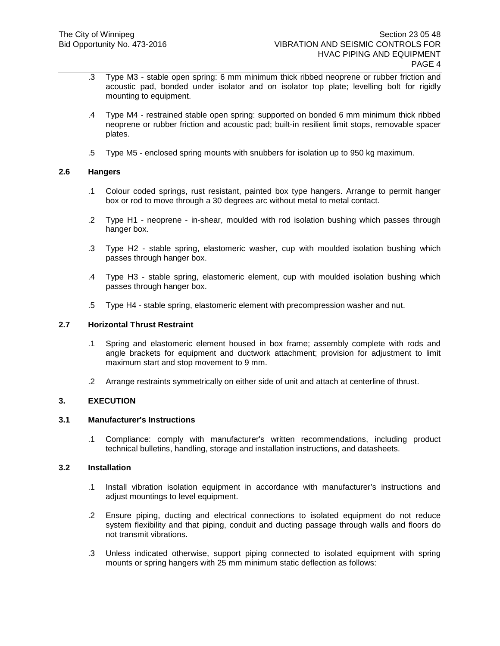- .3 Type M3 stable open spring: 6 mm minimum thick ribbed neoprene or rubber friction and acoustic pad, bonded under isolator and on isolator top plate; levelling bolt for rigidly mounting to equipment.
- .4 Type M4 restrained stable open spring: supported on bonded 6 mm minimum thick ribbed neoprene or rubber friction and acoustic pad; built-in resilient limit stops, removable spacer plates.
- .5 Type M5 enclosed spring mounts with snubbers for isolation up to 950 kg maximum.

## **2.6 Hangers**

- .1 Colour coded springs, rust resistant, painted box type hangers. Arrange to permit hanger box or rod to move through a 30 degrees arc without metal to metal contact.
- .2 Type H1 neoprene in-shear, moulded with rod isolation bushing which passes through hanger box.
- .3 Type H2 stable spring, elastomeric washer, cup with moulded isolation bushing which passes through hanger box.
- .4 Type H3 stable spring, elastomeric element, cup with moulded isolation bushing which passes through hanger box.
- .5 Type H4 stable spring, elastomeric element with precompression washer and nut.

## **2.7 Horizontal Thrust Restraint**

- .1 Spring and elastomeric element housed in box frame; assembly complete with rods and angle brackets for equipment and ductwork attachment; provision for adjustment to limit maximum start and stop movement to 9 mm.
- .2 Arrange restraints symmetrically on either side of unit and attach at centerline of thrust.

# **3. EXECUTION**

## **3.1 Manufacturer's Instructions**

.1 Compliance: comply with manufacturer's written recommendations, including product technical bulletins, handling, storage and installation instructions, and datasheets.

## **3.2 Installation**

- .1 Install vibration isolation equipment in accordance with manufacturer's instructions and adjust mountings to level equipment.
- .2 Ensure piping, ducting and electrical connections to isolated equipment do not reduce system flexibility and that piping, conduit and ducting passage through walls and floors do not transmit vibrations.
- .3 Unless indicated otherwise, support piping connected to isolated equipment with spring mounts or spring hangers with 25 mm minimum static deflection as follows: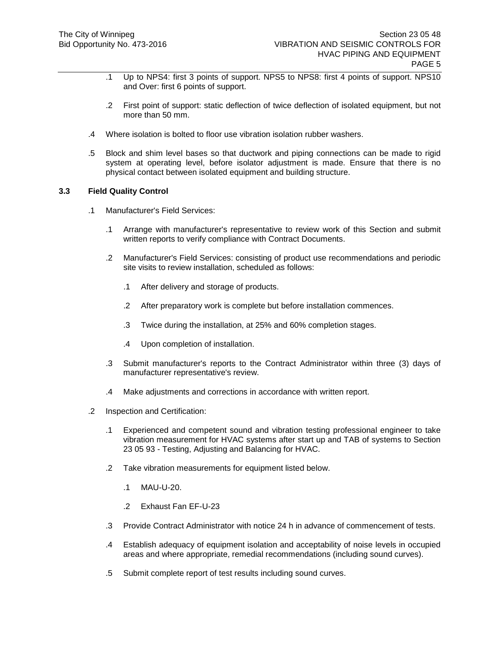- .1 Up to NPS4: first 3 points of support. NPS5 to NPS8: first 4 points of support. NPS10 and Over: first 6 points of support.
- .2 First point of support: static deflection of twice deflection of isolated equipment, but not more than 50 mm.
- .4 Where isolation is bolted to floor use vibration isolation rubber washers.
- .5 Block and shim level bases so that ductwork and piping connections can be made to rigid system at operating level, before isolator adjustment is made. Ensure that there is no physical contact between isolated equipment and building structure.

## **3.3 Field Quality Control**

- .1 Manufacturer's Field Services:
	- .1 Arrange with manufacturer's representative to review work of this Section and submit written reports to verify compliance with Contract Documents.
	- .2 Manufacturer's Field Services: consisting of product use recommendations and periodic site visits to review installation, scheduled as follows:
		- .1 After delivery and storage of products.
		- .2 After preparatory work is complete but before installation commences.
		- .3 Twice during the installation, at 25% and 60% completion stages.
		- .4 Upon completion of installation.
	- .3 Submit manufacturer's reports to the Contract Administrator within three (3) days of manufacturer representative's review.
	- .4 Make adjustments and corrections in accordance with written report.
- .2 Inspection and Certification:
	- .1 Experienced and competent sound and vibration testing professional engineer to take vibration measurement for HVAC systems after start up and TAB of systems to Section 23 05 93 - Testing, Adjusting and Balancing for HVAC.
	- .2 Take vibration measurements for equipment listed below.
		- .1 MAU-U-20.
		- .2 Exhaust Fan EF-U-23
	- .3 Provide Contract Administrator with notice 24 h in advance of commencement of tests.
	- .4 Establish adequacy of equipment isolation and acceptability of noise levels in occupied areas and where appropriate, remedial recommendations (including sound curves).
	- .5 Submit complete report of test results including sound curves.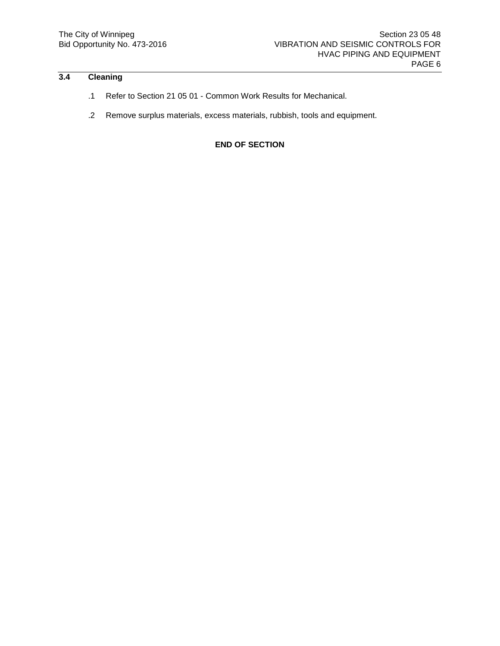# **3.4 Cleaning**

- .1 Refer to Section 21 05 01 Common Work Results for Mechanical.
- .2 Remove surplus materials, excess materials, rubbish, tools and equipment.

**END OF SECTION**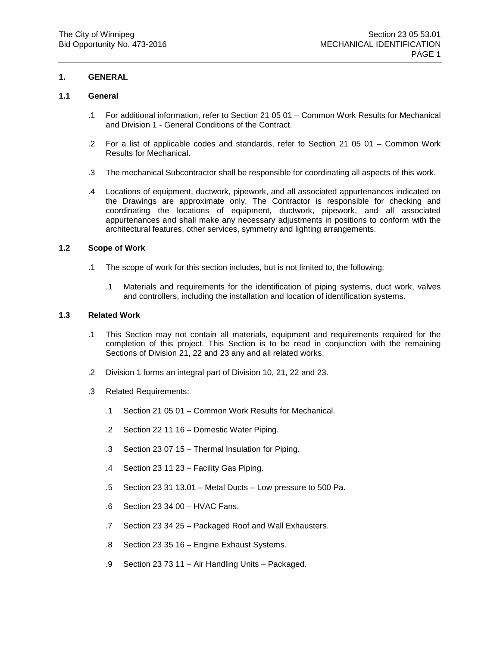## **1. GENERAL**

## **1.1 General**

- .1 For additional information, refer to Section 21 05 01 Common Work Results for Mechanical and Division 1 - General Conditions of the Contract.
- .2 For a list of applicable codes and standards, refer to Section 21 05 01 Common Work Results for Mechanical.
- .3 The mechanical Subcontractor shall be responsible for coordinating all aspects of this work.
- .4 Locations of equipment, ductwork, pipework, and all associated appurtenances indicated on the Drawings are approximate only. The Contractor is responsible for checking and coordinating the locations of equipment, ductwork, pipework, and all associated appurtenances and shall make any necessary adjustments in positions to conform with the architectural features, other services, symmetry and lighting arrangements.

## **1.2 Scope of Work**

- .1 The scope of work for this section includes, but is not limited to, the following:
	- .1 Materials and requirements for the identification of piping systems, duct work, valves and controllers, including the installation and location of identification systems.

# **1.3 Related Work**

- .1 This Section may not contain all materials, equipment and requirements required for the completion of this project. This Section is to be read in conjunction with the remaining Sections of Division 21, 22 and 23 any and all related works.
- .2 Division 1 forms an integral part of Division 10, 21, 22 and 23.
- .3 Related Requirements:
	- .1 Section 21 05 01 Common Work Results for Mechanical.
	- .2 Section 22 11 16 Domestic Water Piping.
	- .3 Section 23 07 15 Thermal Insulation for Piping.
	- .4 Section 23 11 23 Facility Gas Piping.
	- .5 Section 23 31 13.01 Metal Ducts Low pressure to 500 Pa.
	- .6 Section 23 34 00 HVAC Fans.
	- .7 Section 23 34 25 Packaged Roof and Wall Exhausters.
	- .8 Section 23 35 16 Engine Exhaust Systems.
	- .9 Section 23 73 11 Air Handling Units Packaged.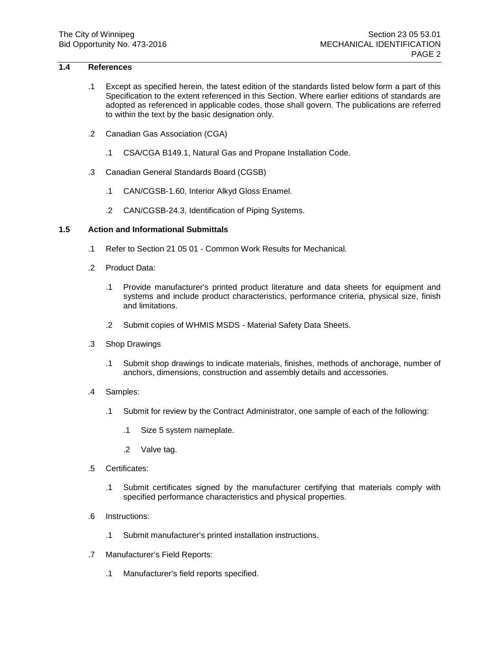# **1.4 References**

- .1 Except as specified herein, the latest edition of the standards listed below form a part of this Specification to the extent referenced in this Section. Where earlier editions of standards are adopted as referenced in applicable codes, those shall govern. The publications are referred to within the text by the basic designation only.
- .2 Canadian Gas Association (CGA)
	- .1 CSA/CGA B149.1, Natural Gas and Propane Installation Code.
- .3 Canadian General Standards Board (CGSB)
	- .1 CAN/CGSB-1.60, Interior Alkyd Gloss Enamel.
	- .2 CAN/CGSB-24.3, Identification of Piping Systems.

## **1.5 Action and Informational Submittals**

- .1 Refer to Section 21 05 01 Common Work Results for Mechanical.
- .2 Product Data:
	- .1 Provide manufacturer's printed product literature and data sheets for equipment and systems and include product characteristics, performance criteria, physical size, finish and limitations.
	- .2 Submit copies of WHMIS MSDS Material Safety Data Sheets.
- .3 Shop Drawings
	- .1 Submit shop drawings to indicate materials, finishes, methods of anchorage, number of anchors, dimensions, construction and assembly details and accessories.
- .4 Samples:
	- .1 Submit for review by the Contract Administrator, one sample of each of the following:
		- .1 Size 5 system nameplate.
		- .2 Valve tag.
- .5 Certificates:
	- .1 Submit certificates signed by the manufacturer certifying that materials comply with specified performance characteristics and physical properties.
- .6 Instructions:
	- .1 Submit manufacturer's printed installation instructions.
- .7 Manufacturer's Field Reports:
	- .1 Manufacturer's field reports specified.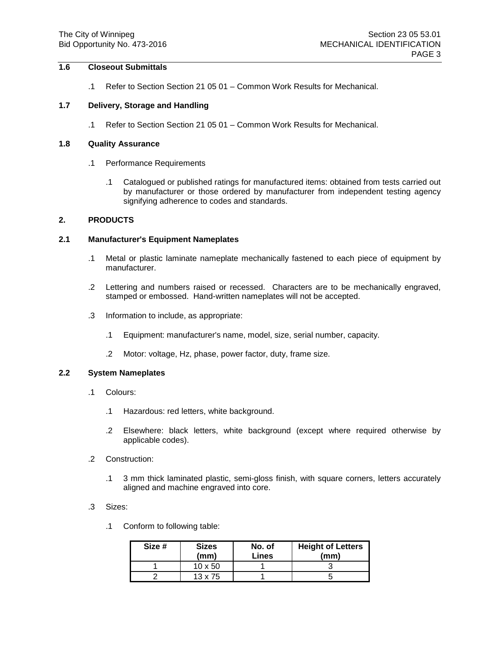# **1.6 Closeout Submittals**

.1 Refer to Section Section 21 05 01 – Common Work Results for Mechanical.

#### **1.7 Delivery, Storage and Handling**

.1 Refer to Section Section 21 05 01 – Common Work Results for Mechanical.

## **1.8 Quality Assurance**

- .1 Performance Requirements
	- .1 Catalogued or published ratings for manufactured items: obtained from tests carried out by manufacturer or those ordered by manufacturer from independent testing agency signifying adherence to codes and standards.

## **2. PRODUCTS**

#### **2.1 Manufacturer's Equipment Nameplates**

- .1 Metal or plastic laminate nameplate mechanically fastened to each piece of equipment by manufacturer.
- .2 Lettering and numbers raised or recessed. Characters are to be mechanically engraved, stamped or embossed. Hand-written nameplates will not be accepted.
- .3 Information to include, as appropriate:
	- .1 Equipment: manufacturer's name, model, size, serial number, capacity.
	- .2 Motor: voltage, Hz, phase, power factor, duty, frame size.

#### **2.2 System Nameplates**

- .1 Colours:
	- .1 Hazardous: red letters, white background.
	- .2 Elsewhere: black letters, white background (except where required otherwise by applicable codes).
- .2 Construction:
	- .1 3 mm thick laminated plastic, semi-gloss finish, with square corners, letters accurately aligned and machine engraved into core.
- .3 Sizes:
	- .1 Conform to following table:

| Size # | <b>Sizes</b><br>(mm) | No. of<br>Lines | <b>Height of Letters</b><br>(mm) |
|--------|----------------------|-----------------|----------------------------------|
|        | 10 x 50              |                 |                                  |
|        | $13 \times 75$       |                 |                                  |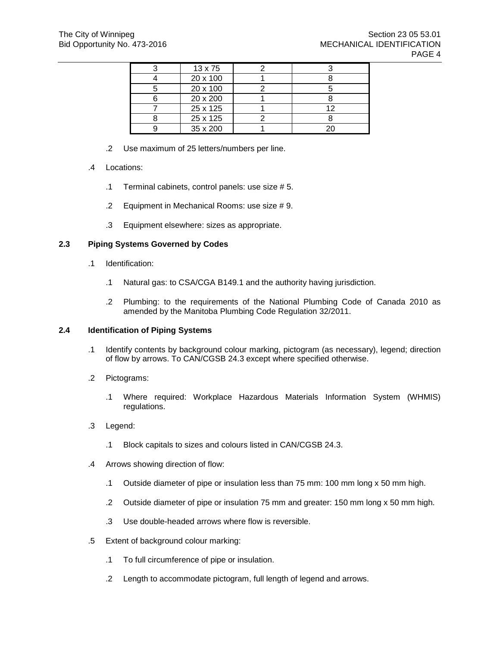| 13 x 75  |     |
|----------|-----|
| 20 x 100 |     |
| 20 x 100 |     |
| 20 x 200 |     |
| 25 x 125 | ? ו |
| 25 x 125 |     |
| 35 x 200 |     |

- .2 Use maximum of 25 letters/numbers per line.
- .4 Locations:
	- .1 Terminal cabinets, control panels: use size # 5.
	- .2 Equipment in Mechanical Rooms: use size # 9.
	- .3 Equipment elsewhere: sizes as appropriate.

#### **2.3 Piping Systems Governed by Codes**

- .1 Identification:
	- .1 Natural gas: to CSA/CGA B149.1 and the authority having jurisdiction.
	- .2 Plumbing: to the requirements of the National Plumbing Code of Canada 2010 as amended by the Manitoba Plumbing Code Regulation 32/2011.

#### **2.4 Identification of Piping Systems**

- .1 Identify contents by background colour marking, pictogram (as necessary), legend; direction of flow by arrows. To CAN/CGSB 24.3 except where specified otherwise.
- .2 Pictograms:
	- .1 Where required: Workplace Hazardous Materials Information System (WHMIS) regulations.
- .3 Legend:
	- .1 Block capitals to sizes and colours listed in CAN/CGSB 24.3.
- .4 Arrows showing direction of flow:
	- .1 Outside diameter of pipe or insulation less than 75 mm: 100 mm long x 50 mm high.
	- .2 Outside diameter of pipe or insulation 75 mm and greater: 150 mm long x 50 mm high.
	- .3 Use double-headed arrows where flow is reversible.
- .5 Extent of background colour marking:
	- .1 To full circumference of pipe or insulation.
	- .2 Length to accommodate pictogram, full length of legend and arrows.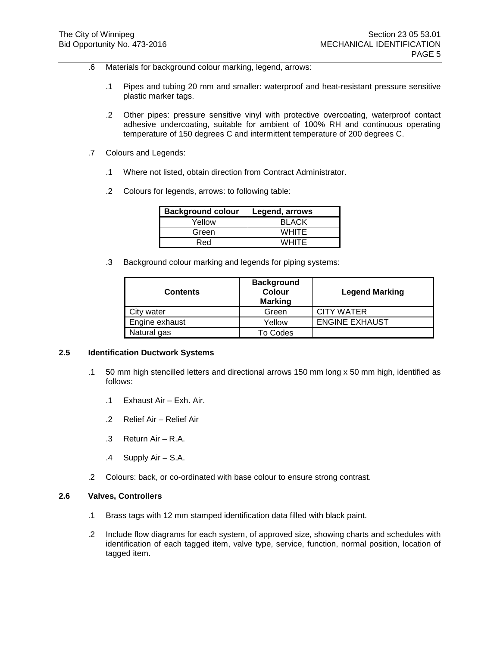- .6 Materials for background colour marking, legend, arrows:
	- .1 Pipes and tubing 20 mm and smaller: waterproof and heat-resistant pressure sensitive plastic marker tags.
	- .2 Other pipes: pressure sensitive vinyl with protective overcoating, waterproof contact adhesive undercoating, suitable for ambient of 100% RH and continuous operating temperature of 150 degrees C and intermittent temperature of 200 degrees C.
- .7 Colours and Legends:
	- .1 Where not listed, obtain direction from Contract Administrator.
	- .2 Colours for legends, arrows: to following table:

| <b>Background colour</b> | Legend, arrows |
|--------------------------|----------------|
| Yellow                   | <b>BLACK</b>   |
| Green                    | <b>WHITE</b>   |
| Red                      | <b>WHITE</b>   |

.3 Background colour marking and legends for piping systems:

| <b>Contents</b> | <b>Background</b><br>Colour<br><b>Marking</b> | <b>Legend Marking</b> |
|-----------------|-----------------------------------------------|-----------------------|
| City water      | Green                                         | <b>CITY WATER</b>     |
| Engine exhaust  | Yellow                                        | <b>ENGINE EXHAUST</b> |
| Natural gas     | To Codes                                      |                       |

# **2.5 Identification Ductwork Systems**

- .1 50 mm high stencilled letters and directional arrows 150 mm long x 50 mm high, identified as follows:
	- .1 Exhaust Air Exh. Air.
	- .2 Relief Air Relief Air
	- .3 Return Air R.A.
	- .4 Supply Air S.A.
- .2 Colours: back, or co-ordinated with base colour to ensure strong contrast.

## **2.6 Valves, Controllers**

- .1 Brass tags with 12 mm stamped identification data filled with black paint.
- .2 Include flow diagrams for each system, of approved size, showing charts and schedules with identification of each tagged item, valve type, service, function, normal position, location of tagged item.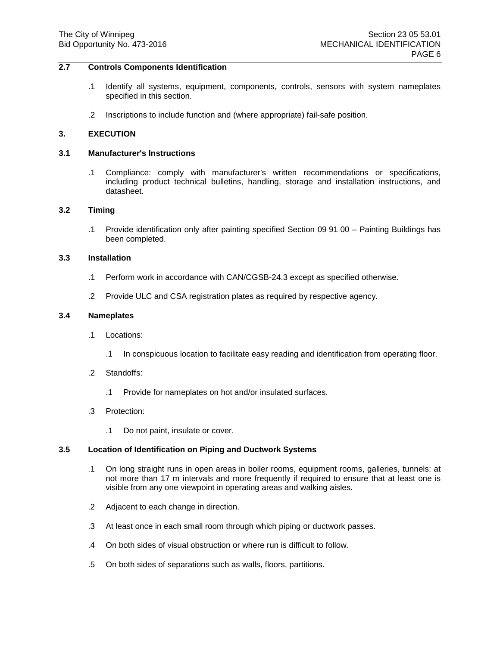## **2.7 Controls Components Identification**

- .1 Identify all systems, equipment, components, controls, sensors with system nameplates specified in this section.
- .2 Inscriptions to include function and (where appropriate) fail-safe position.

#### **3. EXECUTION**

#### **3.1 Manufacturer's Instructions**

.1 Compliance: comply with manufacturer's written recommendations or specifications, including product technical bulletins, handling, storage and installation instructions, and datasheet.

#### **3.2 Timing**

.1 Provide identification only after painting specified Section 09 91 00 – Painting Buildings has been completed.

## **3.3 Installation**

- .1 Perform work in accordance with CAN/CGSB-24.3 except as specified otherwise.
- .2 Provide ULC and CSA registration plates as required by respective agency.

#### **3.4 Nameplates**

- .1 Locations:
	- .1 In conspicuous location to facilitate easy reading and identification from operating floor.
- .2 Standoffs:
	- .1 Provide for nameplates on hot and/or insulated surfaces.
- .3 Protection:
	- .1 Do not paint, insulate or cover.

## **3.5 Location of Identification on Piping and Ductwork Systems**

- .1 On long straight runs in open areas in boiler rooms, equipment rooms, galleries, tunnels: at not more than 17 m intervals and more frequently if required to ensure that at least one is visible from any one viewpoint in operating areas and walking aisles.
- .2 Adjacent to each change in direction.
- .3 At least once in each small room through which piping or ductwork passes.
- .4 On both sides of visual obstruction or where run is difficult to follow.
- .5 On both sides of separations such as walls, floors, partitions.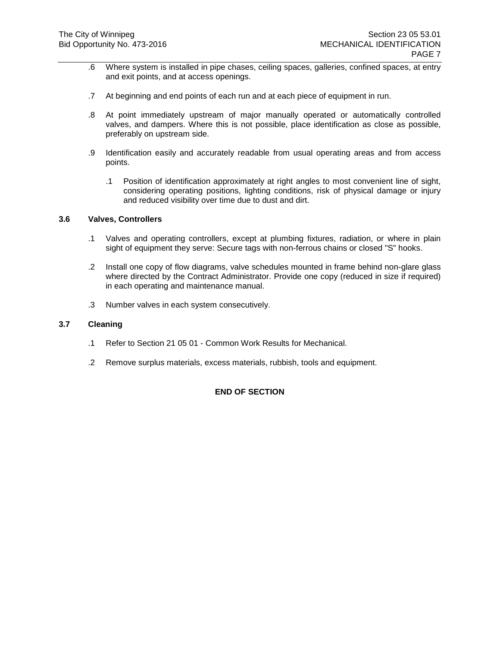- .6 Where system is installed in pipe chases, ceiling spaces, galleries, confined spaces, at entry and exit points, and at access openings.
- .7 At beginning and end points of each run and at each piece of equipment in run.
- .8 At point immediately upstream of major manually operated or automatically controlled valves, and dampers. Where this is not possible, place identification as close as possible, preferably on upstream side.
- .9 Identification easily and accurately readable from usual operating areas and from access points.
	- .1 Position of identification approximately at right angles to most convenient line of sight, considering operating positions, lighting conditions, risk of physical damage or injury and reduced visibility over time due to dust and dirt.

## **3.6 Valves, Controllers**

- .1 Valves and operating controllers, except at plumbing fixtures, radiation, or where in plain sight of equipment they serve: Secure tags with non-ferrous chains or closed "S" hooks.
- .2 Install one copy of flow diagrams, valve schedules mounted in frame behind non-glare glass where directed by the Contract Administrator. Provide one copy (reduced in size if required) in each operating and maintenance manual.
- .3 Number valves in each system consecutively.

# **3.7 Cleaning**

- .1 Refer to Section 21 05 01 Common Work Results for Mechanical.
- .2 Remove surplus materials, excess materials, rubbish, tools and equipment.

# **END OF SECTION**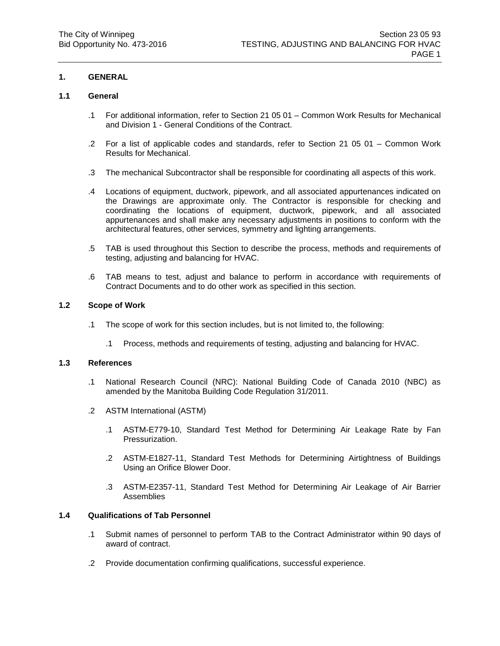# **1. GENERAL**

## **1.1 General**

- .1 For additional information, refer to Section 21 05 01 Common Work Results for Mechanical and Division 1 - General Conditions of the Contract.
- .2 For a list of applicable codes and standards, refer to Section 21 05 01 Common Work Results for Mechanical.
- .3 The mechanical Subcontractor shall be responsible for coordinating all aspects of this work.
- .4 Locations of equipment, ductwork, pipework, and all associated appurtenances indicated on the Drawings are approximate only. The Contractor is responsible for checking and coordinating the locations of equipment, ductwork, pipework, and all associated appurtenances and shall make any necessary adjustments in positions to conform with the architectural features, other services, symmetry and lighting arrangements.
- .5 TAB is used throughout this Section to describe the process, methods and requirements of testing, adjusting and balancing for HVAC.
- .6 TAB means to test, adjust and balance to perform in accordance with requirements of Contract Documents and to do other work as specified in this section.

## **1.2 Scope of Work**

- .1 The scope of work for this section includes, but is not limited to, the following:
	- .1 Process, methods and requirements of testing, adjusting and balancing for HVAC.

## **1.3 References**

- .1 National Research Council (NRC): National Building Code of Canada 2010 (NBC) as amended by the Manitoba Building Code Regulation 31/2011.
- .2 ASTM International (ASTM)
	- .1 ASTM-E779-10, Standard Test Method for Determining Air Leakage Rate by Fan Pressurization.
	- .2 ASTM-E1827-11, Standard Test Methods for Determining Airtightness of Buildings Using an Orifice Blower Door.
	- .3 ASTM-E2357-11, Standard Test Method for Determining Air Leakage of Air Barrier Assemblies

## **1.4 Qualifications of Tab Personnel**

- .1 Submit names of personnel to perform TAB to the Contract Administrator within 90 days of award of contract.
- .2 Provide documentation confirming qualifications, successful experience.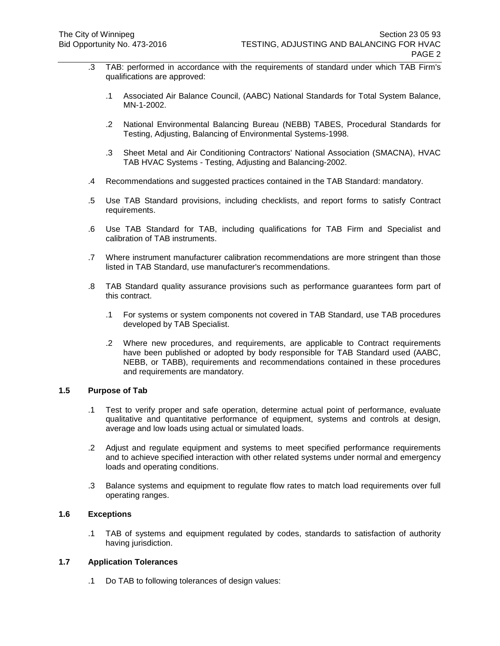- .3 TAB: performed in accordance with the requirements of standard under which TAB Firm's qualifications are approved:
	- .1 Associated Air Balance Council, (AABC) National Standards for Total System Balance, MN-1-2002.
	- .2 National Environmental Balancing Bureau (NEBB) TABES, Procedural Standards for Testing, Adjusting, Balancing of Environmental Systems-1998.
	- .3 Sheet Metal and Air Conditioning Contractors' National Association (SMACNA), HVAC TAB HVAC Systems - Testing, Adjusting and Balancing-2002.
- .4 Recommendations and suggested practices contained in the TAB Standard: mandatory.
- .5 Use TAB Standard provisions, including checklists, and report forms to satisfy Contract requirements.
- .6 Use TAB Standard for TAB, including qualifications for TAB Firm and Specialist and calibration of TAB instruments.
- .7 Where instrument manufacturer calibration recommendations are more stringent than those listed in TAB Standard, use manufacturer's recommendations.
- .8 TAB Standard quality assurance provisions such as performance guarantees form part of this contract.
	- .1 For systems or system components not covered in TAB Standard, use TAB procedures developed by TAB Specialist.
	- .2 Where new procedures, and requirements, are applicable to Contract requirements have been published or adopted by body responsible for TAB Standard used (AABC, NEBB, or TABB), requirements and recommendations contained in these procedures and requirements are mandatory.

## **1.5 Purpose of Tab**

- .1 Test to verify proper and safe operation, determine actual point of performance, evaluate qualitative and quantitative performance of equipment, systems and controls at design, average and low loads using actual or simulated loads.
- .2 Adjust and regulate equipment and systems to meet specified performance requirements and to achieve specified interaction with other related systems under normal and emergency loads and operating conditions.
- .3 Balance systems and equipment to regulate flow rates to match load requirements over full operating ranges.

# **1.6 Exceptions**

.1 TAB of systems and equipment regulated by codes, standards to satisfaction of authority having jurisdiction.

#### **1.7 Application Tolerances**

.1 Do TAB to following tolerances of design values: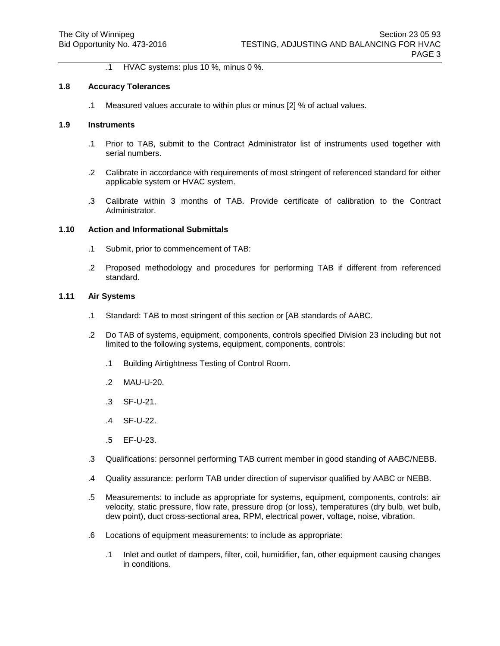.1 HVAC systems: plus 10 %, minus 0 %.

#### **1.8 Accuracy Tolerances**

.1 Measured values accurate to within plus or minus [2] % of actual values.

# **1.9 Instruments**

- .1 Prior to TAB, submit to the Contract Administrator list of instruments used together with serial numbers.
- .2 Calibrate in accordance with requirements of most stringent of referenced standard for either applicable system or HVAC system.
- .3 Calibrate within 3 months of TAB. Provide certificate of calibration to the Contract Administrator.

## **1.10 Action and Informational Submittals**

- .1 Submit, prior to commencement of TAB:
- .2 Proposed methodology and procedures for performing TAB if different from referenced standard.

#### **1.11 Air Systems**

- .1 Standard: TAB to most stringent of this section or [AB standards of AABC.
- .2 Do TAB of systems, equipment, components, controls specified Division 23 including but not limited to the following systems, equipment, components, controls:
	- .1 Building Airtightness Testing of Control Room.
	- .2 MAU-U-20.
	- .3 SF-U-21.
	- .4 SF-U-22.
	- .5 EF-U-23.
- .3 Qualifications: personnel performing TAB current member in good standing of AABC/NEBB.
- .4 Quality assurance: perform TAB under direction of supervisor qualified by AABC or NEBB.
- .5 Measurements: to include as appropriate for systems, equipment, components, controls: air velocity, static pressure, flow rate, pressure drop (or loss), temperatures (dry bulb, wet bulb, dew point), duct cross-sectional area, RPM, electrical power, voltage, noise, vibration.
- .6 Locations of equipment measurements: to include as appropriate:
	- .1 Inlet and outlet of dampers, filter, coil, humidifier, fan, other equipment causing changes in conditions.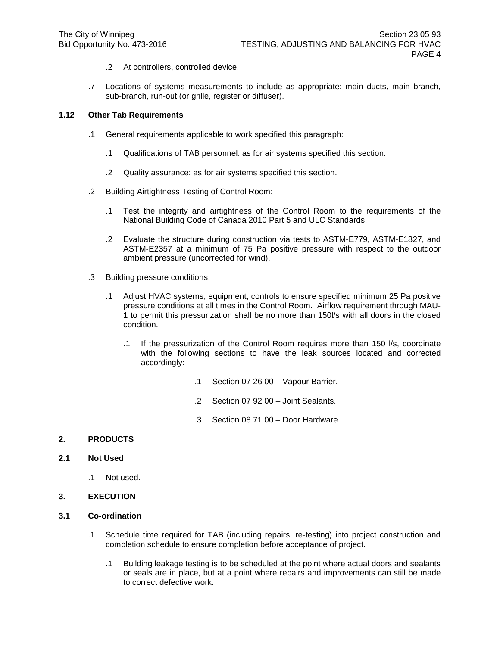- .2 At controllers, controlled device.
- .7 Locations of systems measurements to include as appropriate: main ducts, main branch, sub-branch, run-out (or grille, register or diffuser).

#### **1.12 Other Tab Requirements**

- .1 General requirements applicable to work specified this paragraph:
	- .1 Qualifications of TAB personnel: as for air systems specified this section.
	- .2 Quality assurance: as for air systems specified this section.
- .2 Building Airtightness Testing of Control Room:
	- .1 Test the integrity and airtightness of the Control Room to the requirements of the National Building Code of Canada 2010 Part 5 and ULC Standards.
	- .2 Evaluate the structure during construction via tests to ASTM-E779, ASTM-E1827, and ASTM-E2357 at a minimum of 75 Pa positive pressure with respect to the outdoor ambient pressure (uncorrected for wind).
- .3 Building pressure conditions:
	- .1 Adjust HVAC systems, equipment, controls to ensure specified minimum 25 Pa positive pressure conditions at all times in the Control Room. Airflow requirement through MAU-1 to permit this pressurization shall be no more than 150l/s with all doors in the closed condition.
		- .1 If the pressurization of the Control Room requires more than 150 l/s, coordinate with the following sections to have the leak sources located and corrected accordingly:
			- .1 Section 07 26 00 Vapour Barrier.
			- .2 Section 07 92 00 Joint Sealants.
			- .3 Section 08 71 00 Door Hardware.

## **2. PRODUCTS**

### **2.1 Not Used**

.1 Not used.

## **3. EXECUTION**

#### **3.1 Co-ordination**

- .1 Schedule time required for TAB (including repairs, re-testing) into project construction and completion schedule to ensure completion before acceptance of project.
	- .1 Building leakage testing is to be scheduled at the point where actual doors and sealants or seals are in place, but at a point where repairs and improvements can still be made to correct defective work.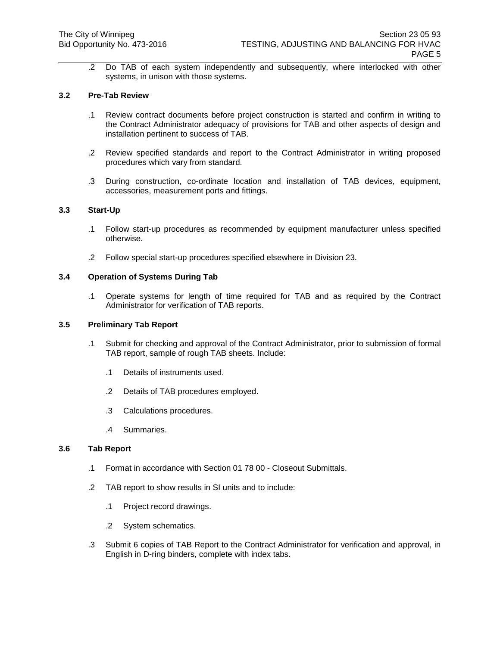.2 Do TAB of each system independently and subsequently, where interlocked with other systems, in unison with those systems.

## **3.2 Pre-Tab Review**

- .1 Review contract documents before project construction is started and confirm in writing to the Contract Administrator adequacy of provisions for TAB and other aspects of design and installation pertinent to success of TAB.
- .2 Review specified standards and report to the Contract Administrator in writing proposed procedures which vary from standard.
- .3 During construction, co-ordinate location and installation of TAB devices, equipment, accessories, measurement ports and fittings.

#### **3.3 Start-Up**

- .1 Follow start-up procedures as recommended by equipment manufacturer unless specified otherwise.
- .2 Follow special start-up procedures specified elsewhere in Division 23.

#### **3.4 Operation of Systems During Tab**

.1 Operate systems for length of time required for TAB and as required by the Contract Administrator for verification of TAB reports.

## **3.5 Preliminary Tab Report**

- .1 Submit for checking and approval of the Contract Administrator, prior to submission of formal TAB report, sample of rough TAB sheets. Include:
	- .1 Details of instruments used.
	- .2 Details of TAB procedures employed.
	- .3 Calculations procedures.
	- .4 Summaries.

### **3.6 Tab Report**

- .1 Format in accordance with Section 01 78 00 Closeout Submittals.
- .2 TAB report to show results in SI units and to include:
	- .1 Project record drawings.
	- .2 System schematics.
- .3 Submit 6 copies of TAB Report to the Contract Administrator for verification and approval, in English in D-ring binders, complete with index tabs.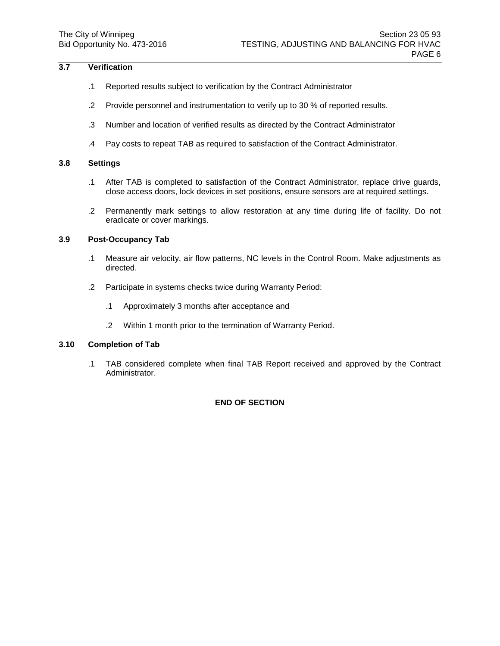## **3.7 Verification**

- .1 Reported results subject to verification by the Contract Administrator
- .2 Provide personnel and instrumentation to verify up to 30 % of reported results.
- .3 Number and location of verified results as directed by the Contract Administrator
- .4 Pay costs to repeat TAB as required to satisfaction of the Contract Administrator.

# **3.8 Settings**

- .1 After TAB is completed to satisfaction of the Contract Administrator, replace drive guards, close access doors, lock devices in set positions, ensure sensors are at required settings.
- .2 Permanently mark settings to allow restoration at any time during life of facility. Do not eradicate or cover markings.

## **3.9 Post-Occupancy Tab**

- .1 Measure air velocity, air flow patterns, NC levels in the Control Room. Make adjustments as directed.
- .2 Participate in systems checks twice during Warranty Period:
	- .1 Approximately 3 months after acceptance and
	- .2 Within 1 month prior to the termination of Warranty Period.

## **3.10 Completion of Tab**

.1 TAB considered complete when final TAB Report received and approved by the Contract Administrator.

# **END OF SECTION**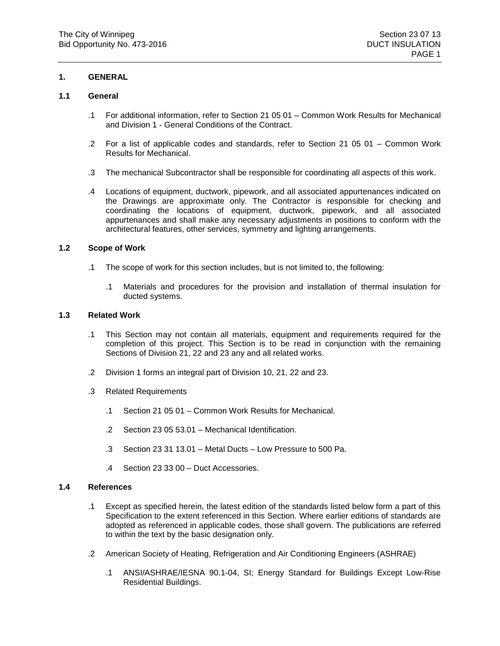## **1. GENERAL**

## **1.1 General**

- .1 For additional information, refer to Section 21 05 01 Common Work Results for Mechanical and Division 1 - General Conditions of the Contract.
- .2 For a list of applicable codes and standards, refer to Section 21 05 01 Common Work Results for Mechanical.
- .3 The mechanical Subcontractor shall be responsible for coordinating all aspects of this work.
- .4 Locations of equipment, ductwork, pipework, and all associated appurtenances indicated on the Drawings are approximate only. The Contractor is responsible for checking and coordinating the locations of equipment, ductwork, pipework, and all associated appurtenances and shall make any necessary adjustments in positions to conform with the architectural features, other services, symmetry and lighting arrangements.

## **1.2 Scope of Work**

- .1 The scope of work for this section includes, but is not limited to, the following:
	- .1 Materials and procedures for the provision and installation of thermal insulation for ducted systems.

# **1.3 Related Work**

- .1 This Section may not contain all materials, equipment and requirements required for the completion of this project. This Section is to be read in conjunction with the remaining Sections of Division 21, 22 and 23 any and all related works.
- .2 Division 1 forms an integral part of Division 10, 21, 22 and 23.
- .3 Related Requirements
	- .1 Section 21 05 01 Common Work Results for Mechanical.
	- .2 Section 23 05 53.01 Mechanical Identification.
	- .3 Section 23 31 13.01 Metal Ducts Low Pressure to 500 Pa.
	- .4 Section 23 33 00 Duct Accessories.

## **1.4 References**

- .1 Except as specified herein, the latest edition of the standards listed below form a part of this Specification to the extent referenced in this Section. Where earlier editions of standards are adopted as referenced in applicable codes, those shall govern. The publications are referred to within the text by the basic designation only.
- .2 American Society of Heating, Refrigeration and Air Conditioning Engineers (ASHRAE)
	- .1 ANSI/ASHRAE/IESNA 90.1-04, SI; Energy Standard for Buildings Except Low-Rise Residential Buildings.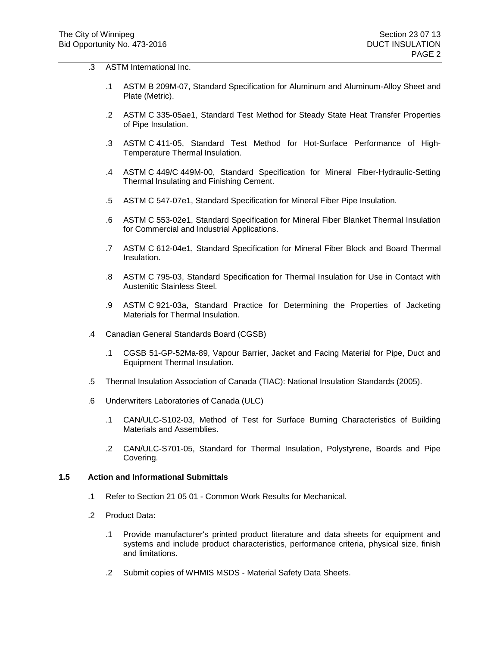- .3 ASTM International Inc.
	- .1 ASTM B 209M-07, Standard Specification for Aluminum and Aluminum-Alloy Sheet and Plate (Metric).
	- .2 ASTM C 335-05ae1, Standard Test Method for Steady State Heat Transfer Properties of Pipe Insulation.
	- .3 ASTM C 411-05, Standard Test Method for Hot-Surface Performance of High-Temperature Thermal Insulation.
	- .4 ASTM C 449/C 449M-00, Standard Specification for Mineral Fiber-Hydraulic-Setting Thermal Insulating and Finishing Cement.
	- .5 ASTM C 547-07e1, Standard Specification for Mineral Fiber Pipe Insulation.
	- .6 ASTM C 553-02e1, Standard Specification for Mineral Fiber Blanket Thermal Insulation for Commercial and Industrial Applications.
	- .7 ASTM C 612-04e1, Standard Specification for Mineral Fiber Block and Board Thermal Insulation.
	- .8 ASTM C 795-03, Standard Specification for Thermal Insulation for Use in Contact with Austenitic Stainless Steel.
	- .9 ASTM C 921-03a, Standard Practice for Determining the Properties of Jacketing Materials for Thermal Insulation.
- .4 Canadian General Standards Board (CGSB)
	- .1 CGSB 51-GP-52Ma-89, Vapour Barrier, Jacket and Facing Material for Pipe, Duct and Equipment Thermal Insulation.
- .5 Thermal Insulation Association of Canada (TIAC): National Insulation Standards (2005).
- .6 Underwriters Laboratories of Canada (ULC)
	- .1 CAN/ULC-S102-03, Method of Test for Surface Burning Characteristics of Building Materials and Assemblies.
	- .2 CAN/ULC-S701-05, Standard for Thermal Insulation, Polystyrene, Boards and Pipe Covering.

## **1.5 Action and Informational Submittals**

- .1 Refer to Section 21 05 01 Common Work Results for Mechanical.
- .2 Product Data:
	- .1 Provide manufacturer's printed product literature and data sheets for equipment and systems and include product characteristics, performance criteria, physical size, finish and limitations.
	- .2 Submit copies of WHMIS MSDS Material Safety Data Sheets.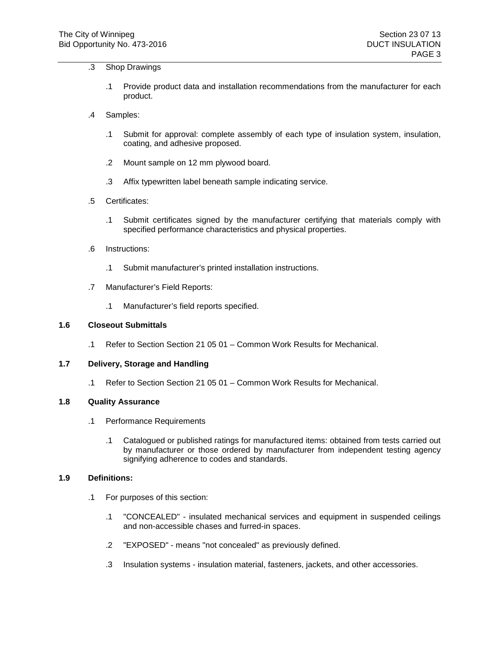## .3 Shop Drawings

- .1 Provide product data and installation recommendations from the manufacturer for each product.
- .4 Samples:
	- .1 Submit for approval: complete assembly of each type of insulation system, insulation, coating, and adhesive proposed.
	- .2 Mount sample on 12 mm plywood board.
	- .3 Affix typewritten label beneath sample indicating service.
- .5 Certificates:
	- .1 Submit certificates signed by the manufacturer certifying that materials comply with specified performance characteristics and physical properties.
- .6 Instructions:
	- .1 Submit manufacturer's printed installation instructions.
- .7 Manufacturer's Field Reports:
	- .1 Manufacturer's field reports specified.

#### **1.6 Closeout Submittals**

.1 Refer to Section Section 21 05 01 – Common Work Results for Mechanical.

## **1.7 Delivery, Storage and Handling**

.1 Refer to Section Section 21 05 01 – Common Work Results for Mechanical.

#### **1.8 Quality Assurance**

- .1 Performance Requirements
	- .1 Catalogued or published ratings for manufactured items: obtained from tests carried out by manufacturer or those ordered by manufacturer from independent testing agency signifying adherence to codes and standards.

## **1.9 Definitions:**

- .1 For purposes of this section:
	- .1 "CONCEALED" insulated mechanical services and equipment in suspended ceilings and non-accessible chases and furred-in spaces.
	- .2 "EXPOSED" means "not concealed" as previously defined.
	- .3 Insulation systems insulation material, fasteners, jackets, and other accessories.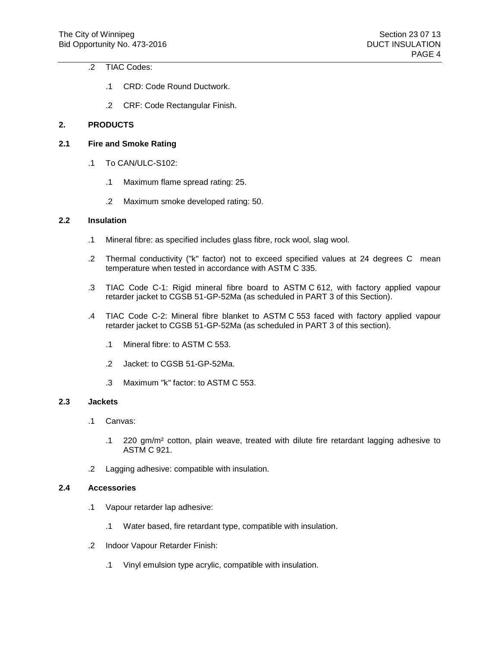# .2 TIAC Codes:

- .1 CRD: Code Round Ductwork.
- .2 CRF: Code Rectangular Finish.

## **2. PRODUCTS**

# **2.1 Fire and Smoke Rating**

- .1 To CAN/ULC-S102:
	- .1 Maximum flame spread rating: 25.
	- .2 Maximum smoke developed rating: 50.

## **2.2 Insulation**

- .1 Mineral fibre: as specified includes glass fibre, rock wool, slag wool.
- .2 Thermal conductivity ("k" factor) not to exceed specified values at 24 degrees C mean temperature when tested in accordance with ASTM C 335.
- .3 TIAC Code C-1: Rigid mineral fibre board to ASTM C 612, with factory applied vapour retarder jacket to CGSB 51-GP-52Ma (as scheduled in PART 3 of this Section).
- .4 TIAC Code C-2: Mineral fibre blanket to ASTM C 553 faced with factory applied vapour retarder jacket to CGSB 51-GP-52Ma (as scheduled in PART 3 of this section).
	- .1 Mineral fibre: to ASTM C 553.
	- .2 Jacket: to CGSB 51-GP-52Ma.
	- .3 Maximum "k" factor: to ASTM C 553.

## **2.3 Jackets**

- .1 Canvas:
	- .1 220 gm/m² cotton, plain weave, treated with dilute fire retardant lagging adhesive to ASTM C 921.
- .2 Lagging adhesive: compatible with insulation.

#### **2.4 Accessories**

- .1 Vapour retarder lap adhesive:
	- .1 Water based, fire retardant type, compatible with insulation.
- .2 Indoor Vapour Retarder Finish:
	- .1 Vinyl emulsion type acrylic, compatible with insulation.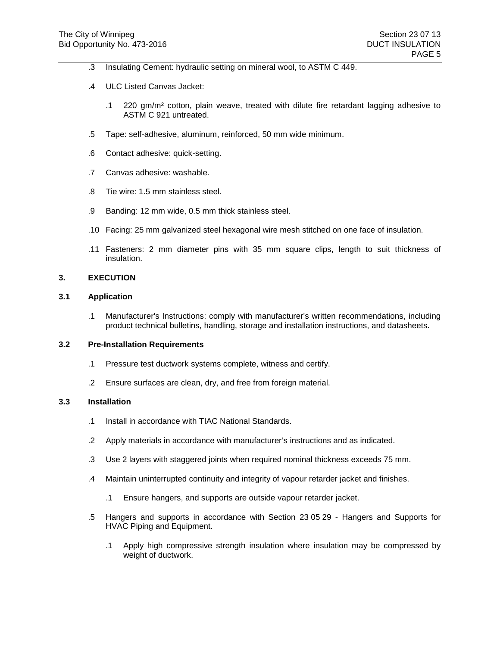- .3 Insulating Cement: hydraulic setting on mineral wool, to ASTM C 449.
- .4 ULC Listed Canvas Jacket:
	- .1 220 gm/m² cotton, plain weave, treated with dilute fire retardant lagging adhesive to ASTM C 921 untreated.
- .5 Tape: self-adhesive, aluminum, reinforced, 50 mm wide minimum.
- .6 Contact adhesive: quick-setting.
- .7 Canvas adhesive: washable.
- .8 Tie wire: 1.5 mm stainless steel.
- .9 Banding: 12 mm wide, 0.5 mm thick stainless steel.
- .10 Facing: 25 mm galvanized steel hexagonal wire mesh stitched on one face of insulation.
- .11 Fasteners: 2 mm diameter pins with 35 mm square clips, length to suit thickness of insulation.

## **3. EXECUTION**

### **3.1 Application**

.1 Manufacturer's Instructions: comply with manufacturer's written recommendations, including product technical bulletins, handling, storage and installation instructions, and datasheets.

### **3.2 Pre-Installation Requirements**

- .1 Pressure test ductwork systems complete, witness and certify.
- .2 Ensure surfaces are clean, dry, and free from foreign material.

### **3.3 Installation**

- .1 Install in accordance with TIAC National Standards.
- .2 Apply materials in accordance with manufacturer's instructions and as indicated.
- .3 Use 2 layers with staggered joints when required nominal thickness exceeds 75 mm.
- .4 Maintain uninterrupted continuity and integrity of vapour retarder jacket and finishes.
	- .1 Ensure hangers, and supports are outside vapour retarder jacket.
- .5 Hangers and supports in accordance with Section 23 05 29 Hangers and Supports for HVAC Piping and Equipment.
	- .1 Apply high compressive strength insulation where insulation may be compressed by weight of ductwork.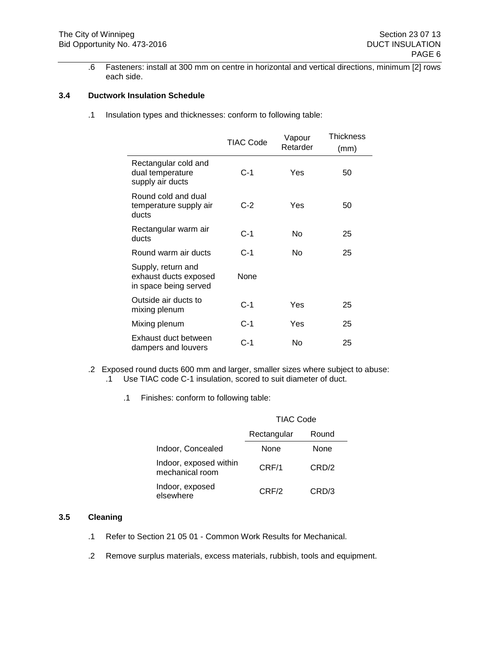.6 Fasteners: install at 300 mm on centre in horizontal and vertical directions, minimum [2] rows each side.

# **3.4 Ductwork Insulation Schedule**

.1 Insulation types and thicknesses: conform to following table:

|                                                                      | TIAC Code | Vapour<br>Retarder | Thickness<br>(mm) |
|----------------------------------------------------------------------|-----------|--------------------|-------------------|
| Rectangular cold and<br>dual temperature<br>supply air ducts         | $C-1$     | Yes                | 50                |
| Round cold and dual<br>temperature supply air<br>ducts               | $C-2$     | Yes                | 50                |
| Rectangular warm air<br>ducts                                        | $C-1$     | No                 | 25                |
| Round warm air ducts                                                 | $C-1$     | No                 | 25                |
| Supply, return and<br>exhaust ducts exposed<br>in space being served | None      |                    |                   |
| Outside air ducts to<br>mixing plenum                                | $C-1$     | Yes                | 25                |
| Mixing plenum                                                        | $C-1$     | Yes                | 25                |
| Exhaust duct between<br>dampers and louvers                          | $C-1$     | No                 | 25                |

- .2 Exposed round ducts 600 mm and larger, smaller sizes where subject to abuse: .1 Use TIAC code C-1 insulation, scored to suit diameter of duct.
	- .1 Finishes: conform to following table:

|                                           | <b>TIAC Code</b> |       |  |
|-------------------------------------------|------------------|-------|--|
|                                           | Rectangular      | Round |  |
| Indoor, Concealed                         | None             | None  |  |
| Indoor, exposed within<br>mechanical room | CRF/1            | CRD/2 |  |
| Indoor, exposed<br>elsewhere              | CRF/2            | CRD/3 |  |

### **3.5 Cleaning**

- .1 Refer to Section 21 05 01 Common Work Results for Mechanical.
- .2 Remove surplus materials, excess materials, rubbish, tools and equipment.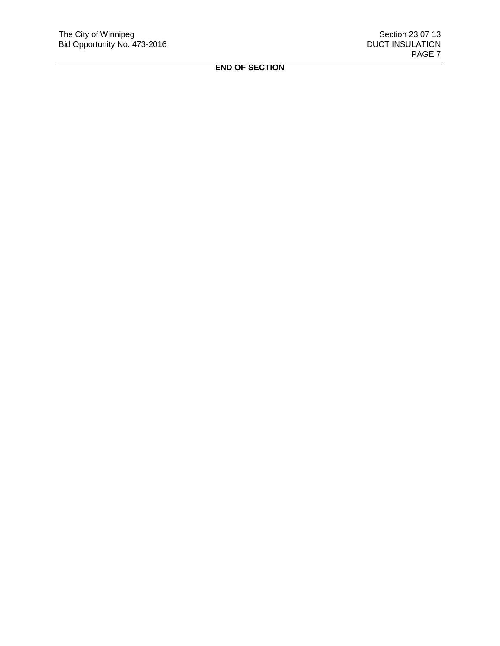**END OF SECTION**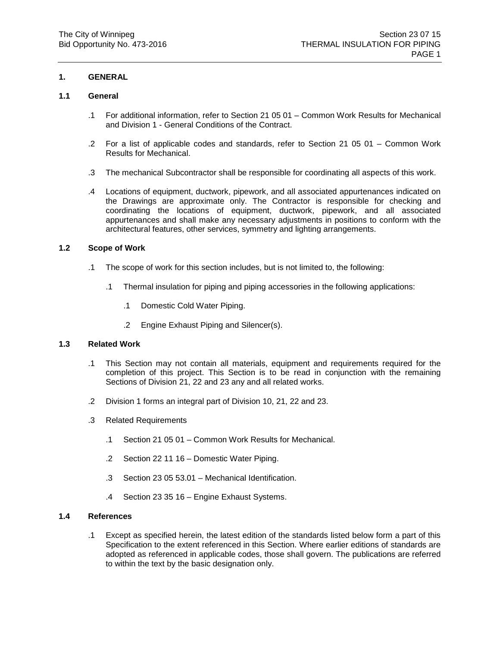## **1. GENERAL**

## **1.1 General**

- .1 For additional information, refer to Section 21 05 01 Common Work Results for Mechanical and Division 1 - General Conditions of the Contract.
- .2 For a list of applicable codes and standards, refer to Section 21 05 01 Common Work Results for Mechanical.
- .3 The mechanical Subcontractor shall be responsible for coordinating all aspects of this work.
- .4 Locations of equipment, ductwork, pipework, and all associated appurtenances indicated on the Drawings are approximate only. The Contractor is responsible for checking and coordinating the locations of equipment, ductwork, pipework, and all associated appurtenances and shall make any necessary adjustments in positions to conform with the architectural features, other services, symmetry and lighting arrangements.

### **1.2 Scope of Work**

- .1 The scope of work for this section includes, but is not limited to, the following:
	- .1 Thermal insulation for piping and piping accessories in the following applications:
		- .1 Domestic Cold Water Piping.
		- .2 Engine Exhaust Piping and Silencer(s).

## **1.3 Related Work**

- .1 This Section may not contain all materials, equipment and requirements required for the completion of this project. This Section is to be read in conjunction with the remaining Sections of Division 21, 22 and 23 any and all related works.
- .2 Division 1 forms an integral part of Division 10, 21, 22 and 23.
- .3 Related Requirements
	- .1 Section 21 05 01 Common Work Results for Mechanical.
	- .2 Section 22 11 16 Domestic Water Piping.
	- .3 Section 23 05 53.01 Mechanical Identification.
	- .4 Section 23 35 16 Engine Exhaust Systems.

## **1.4 References**

.1 Except as specified herein, the latest edition of the standards listed below form a part of this Specification to the extent referenced in this Section. Where earlier editions of standards are adopted as referenced in applicable codes, those shall govern. The publications are referred to within the text by the basic designation only.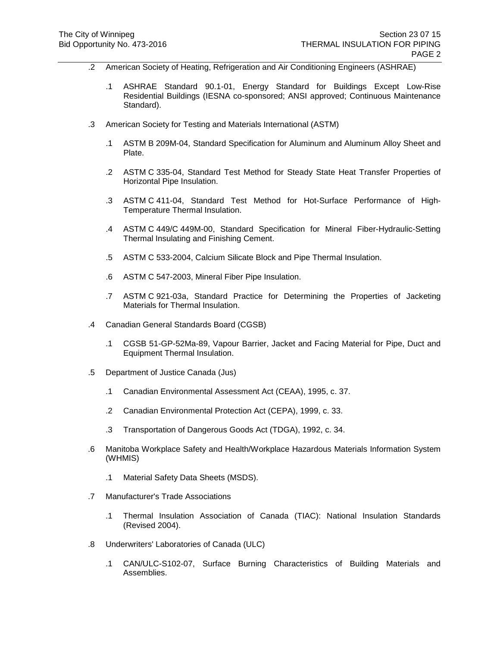- .2 American Society of Heating, Refrigeration and Air Conditioning Engineers (ASHRAE)
	- .1 ASHRAE Standard 90.1-01, Energy Standard for Buildings Except Low-Rise Residential Buildings (IESNA co-sponsored; ANSI approved; Continuous Maintenance Standard).
- .3 American Society for Testing and Materials International (ASTM)
	- .1 ASTM B 209M-04, Standard Specification for Aluminum and Aluminum Alloy Sheet and Plate.
	- .2 ASTM C 335-04, Standard Test Method for Steady State Heat Transfer Properties of Horizontal Pipe Insulation.
	- .3 ASTM C 411-04, Standard Test Method for Hot-Surface Performance of High-Temperature Thermal Insulation.
	- .4 ASTM C 449/C 449M-00, Standard Specification for Mineral Fiber-Hydraulic-Setting Thermal Insulating and Finishing Cement.
	- .5 ASTM C 533-2004, Calcium Silicate Block and Pipe Thermal Insulation.
	- .6 ASTM C 547-2003, Mineral Fiber Pipe Insulation.
	- .7 ASTM C 921-03a, Standard Practice for Determining the Properties of Jacketing Materials for Thermal Insulation.
- .4 Canadian General Standards Board (CGSB)
	- .1 CGSB 51-GP-52Ma-89, Vapour Barrier, Jacket and Facing Material for Pipe, Duct and Equipment Thermal Insulation.
- .5 Department of Justice Canada (Jus)
	- .1 Canadian Environmental Assessment Act (CEAA), 1995, c. 37.
	- .2 Canadian Environmental Protection Act (CEPA), 1999, c. 33.
	- .3 Transportation of Dangerous Goods Act (TDGA), 1992, c. 34.
- .6 Manitoba Workplace Safety and Health/Workplace Hazardous Materials Information System (WHMIS)
	- .1 Material Safety Data Sheets (MSDS).
- .7 Manufacturer's Trade Associations
	- .1 Thermal Insulation Association of Canada (TIAC): National Insulation Standards (Revised 2004).
- .8 Underwriters' Laboratories of Canada (ULC)
	- .1 CAN/ULC-S102-07, Surface Burning Characteristics of Building Materials and Assemblies.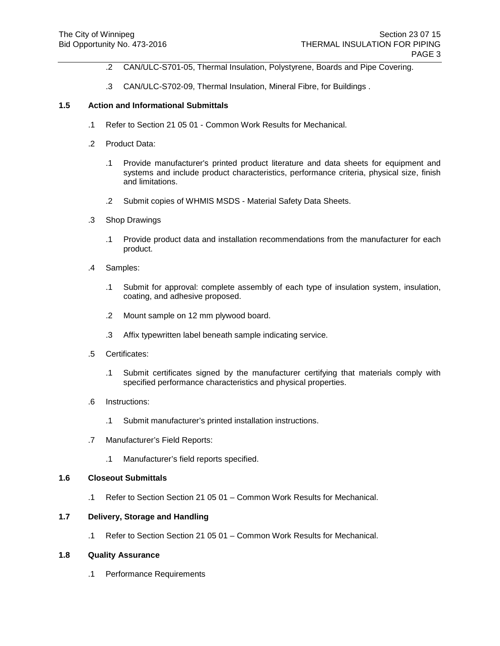- .2 CAN/ULC-S701-05, Thermal Insulation, Polystyrene, Boards and Pipe Covering.
- .3 CAN/ULC-S702-09, Thermal Insulation, Mineral Fibre, for Buildings .

### **1.5 Action and Informational Submittals**

- .1 Refer to Section 21 05 01 Common Work Results for Mechanical.
- .2 Product Data:
	- .1 Provide manufacturer's printed product literature and data sheets for equipment and systems and include product characteristics, performance criteria, physical size, finish and limitations.
	- .2 Submit copies of WHMIS MSDS Material Safety Data Sheets.
- .3 Shop Drawings
	- .1 Provide product data and installation recommendations from the manufacturer for each product.
- .4 Samples:
	- .1 Submit for approval: complete assembly of each type of insulation system, insulation, coating, and adhesive proposed.
	- .2 Mount sample on 12 mm plywood board.
	- .3 Affix typewritten label beneath sample indicating service.
- .5 Certificates:
	- .1 Submit certificates signed by the manufacturer certifying that materials comply with specified performance characteristics and physical properties.
- .6 Instructions:
	- .1 Submit manufacturer's printed installation instructions.
- .7 Manufacturer's Field Reports:
	- .1 Manufacturer's field reports specified.

## **1.6 Closeout Submittals**

.1 Refer to Section Section 21 05 01 – Common Work Results for Mechanical.

# **1.7 Delivery, Storage and Handling**

.1 Refer to Section Section 21 05 01 – Common Work Results for Mechanical.

### **1.8 Quality Assurance**

.1 Performance Requirements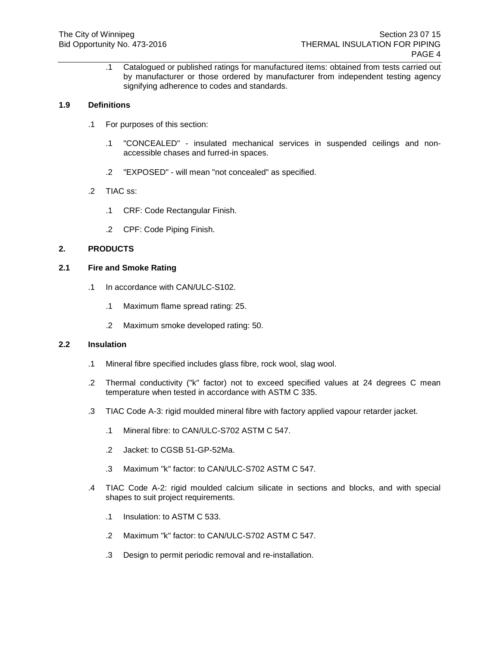.1 Catalogued or published ratings for manufactured items: obtained from tests carried out by manufacturer or those ordered by manufacturer from independent testing agency signifying adherence to codes and standards.

## **1.9 Definitions**

- .1 For purposes of this section:
	- .1 "CONCEALED" insulated mechanical services in suspended ceilings and nonaccessible chases and furred-in spaces.
	- .2 "EXPOSED" will mean "not concealed" as specified.
- .2 TIAC ss:
	- .1 CRF: Code Rectangular Finish.
	- .2 CPF: Code Piping Finish.

## **2. PRODUCTS**

### **2.1 Fire and Smoke Rating**

- .1 In accordance with CAN/ULC-S102.
	- .1 Maximum flame spread rating: 25.
	- .2 Maximum smoke developed rating: 50.

### **2.2 Insulation**

- .1 Mineral fibre specified includes glass fibre, rock wool, slag wool.
- .2 Thermal conductivity ("k" factor) not to exceed specified values at 24 degrees C mean temperature when tested in accordance with ASTM C 335.
- .3 TIAC Code A-3: rigid moulded mineral fibre with factory applied vapour retarder jacket.
	- .1 Mineral fibre: to CAN/ULC-S702 ASTM C 547.
	- .2 Jacket: to CGSB 51-GP-52Ma.
	- .3 Maximum "k" factor: to CAN/ULC-S702 ASTM C 547.
- .4 TIAC Code A-2: rigid moulded calcium silicate in sections and blocks, and with special shapes to suit project requirements.
	- .1 Insulation: to ASTM C 533.
	- .2 Maximum "k" factor: to CAN/ULC-S702 ASTM C 547.
	- .3 Design to permit periodic removal and re-installation.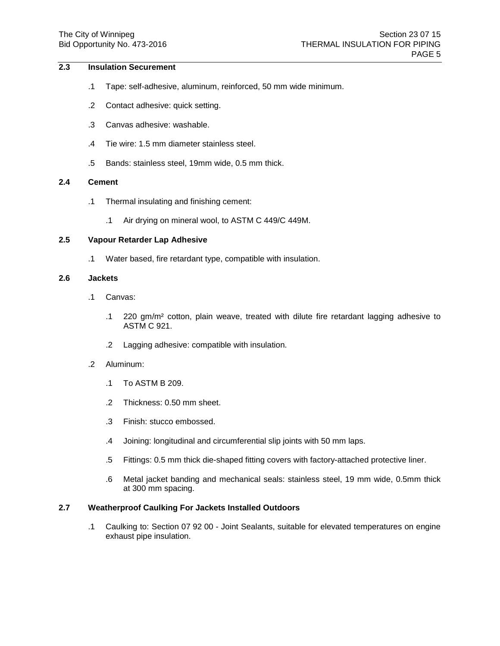# **2.3 Insulation Securement**

- .1 Tape: self-adhesive, aluminum, reinforced, 50 mm wide minimum.
- .2 Contact adhesive: quick setting.
- .3 Canvas adhesive: washable.
- .4 Tie wire: 1.5 mm diameter stainless steel.
- .5 Bands: stainless steel, 19mm wide, 0.5 mm thick.

### **2.4 Cement**

- .1 Thermal insulating and finishing cement:
	- .1 Air drying on mineral wool, to ASTM C 449/C 449M.

### **2.5 Vapour Retarder Lap Adhesive**

.1 Water based, fire retardant type, compatible with insulation.

#### **2.6 Jackets**

- .1 Canvas:
	- .1 220 gm/m² cotton, plain weave, treated with dilute fire retardant lagging adhesive to ASTM C 921.
	- .2 Lagging adhesive: compatible with insulation.
- .2 Aluminum:
	- .1 To ASTM B 209.
	- .2 Thickness: 0.50 mm sheet.
	- .3 Finish: stucco embossed.
	- .4 Joining: longitudinal and circumferential slip joints with 50 mm laps.
	- .5 Fittings: 0.5 mm thick die-shaped fitting covers with factory-attached protective liner.
	- .6 Metal jacket banding and mechanical seals: stainless steel, 19 mm wide, 0.5mm thick at 300 mm spacing.

# **2.7 Weatherproof Caulking For Jackets Installed Outdoors**

.1 Caulking to: Section 07 92 00 - Joint Sealants, suitable for elevated temperatures on engine exhaust pipe insulation.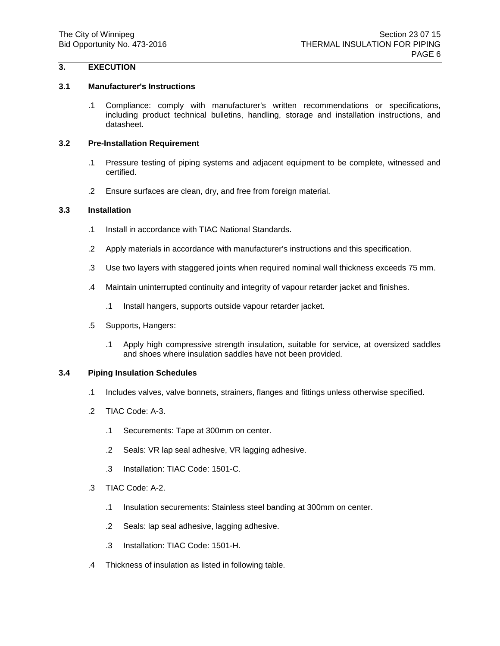# **3. EXECUTION**

### **3.1 Manufacturer's Instructions**

.1 Compliance: comply with manufacturer's written recommendations or specifications, including product technical bulletins, handling, storage and installation instructions, and datasheet.

## **3.2 Pre-Installation Requirement**

- .1 Pressure testing of piping systems and adjacent equipment to be complete, witnessed and certified.
- .2 Ensure surfaces are clean, dry, and free from foreign material.

### **3.3 Installation**

- .1 Install in accordance with TIAC National Standards.
- .2 Apply materials in accordance with manufacturer's instructions and this specification.
- .3 Use two layers with staggered joints when required nominal wall thickness exceeds 75 mm.
- .4 Maintain uninterrupted continuity and integrity of vapour retarder jacket and finishes.
	- .1 Install hangers, supports outside vapour retarder jacket.
- .5 Supports, Hangers:
	- .1 Apply high compressive strength insulation, suitable for service, at oversized saddles and shoes where insulation saddles have not been provided.

### **3.4 Piping Insulation Schedules**

- .1 Includes valves, valve bonnets, strainers, flanges and fittings unless otherwise specified.
- .2 TIAC Code: A-3.
	- .1 Securements: Tape at 300mm on center.
	- .2 Seals: VR lap seal adhesive, VR lagging adhesive.
	- .3 Installation: TIAC Code: 1501-C.
- .3 TIAC Code: A-2.
	- .1 Insulation securements: Stainless steel banding at 300mm on center.
	- .2 Seals: lap seal adhesive, lagging adhesive.
	- .3 Installation: TIAC Code: 1501-H.
- .4 Thickness of insulation as listed in following table.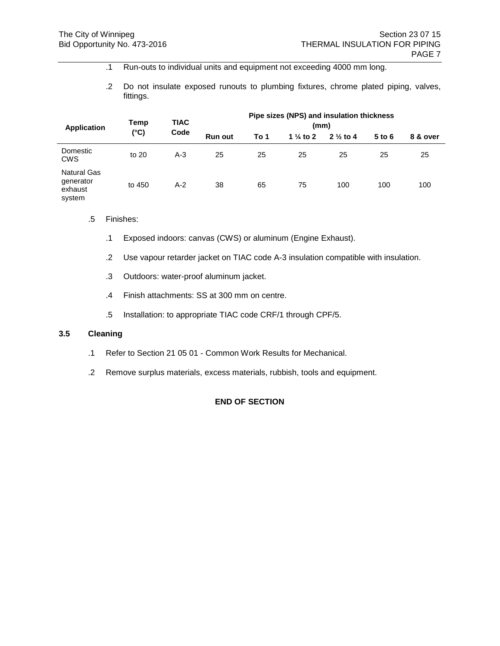- .1 Run-outs to individual units and equipment not exceeding 4000 mm long.
- .2 Do not insulate exposed runouts to plumbing fixtures, chrome plated piping, valves, fittings.

| <b>Application</b>                                   | Temp          | <b>TIAC</b> | Pipe sizes (NPS) and insulation thickness<br>(mm) |      |                      |                     |          |          |
|------------------------------------------------------|---------------|-------------|---------------------------------------------------|------|----------------------|---------------------|----------|----------|
|                                                      | $(^{\circ}C)$ | Code        | <b>Run out</b>                                    | To 1 | 1 $\frac{1}{4}$ to 2 | $2\frac{1}{2}$ to 4 | $5$ to 6 | 8 & over |
| Domestic<br><b>CWS</b>                               | to 20         | $A-3$       | 25                                                | 25   | 25                   | 25                  | 25       | 25       |
| <b>Natural Gas</b><br>generator<br>exhaust<br>system | to 450        | $A-2$       | 38                                                | 65   | 75                   | 100                 | 100      | 100      |

- .5 Finishes:
	- .1 Exposed indoors: canvas (CWS) or aluminum (Engine Exhaust).
	- .2 Use vapour retarder jacket on TIAC code A-3 insulation compatible with insulation.
	- .3 Outdoors: water-proof aluminum jacket.
	- .4 Finish attachments: SS at 300 mm on centre.
	- .5 Installation: to appropriate TIAC code CRF/1 through CPF/5.

### **3.5 Cleaning**

- .1 Refer to Section 21 05 01 Common Work Results for Mechanical.
- .2 Remove surplus materials, excess materials, rubbish, tools and equipment.

# **END OF SECTION**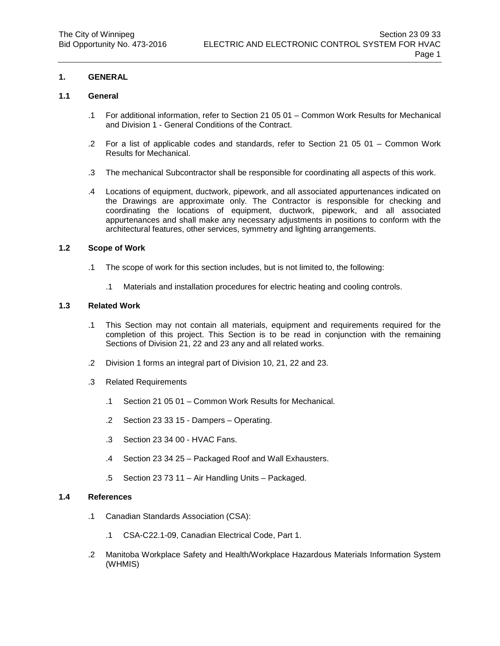## **1. GENERAL**

### **1.1 General**

- .1 For additional information, refer to Section 21 05 01 Common Work Results for Mechanical and Division 1 - General Conditions of the Contract.
- .2 For a list of applicable codes and standards, refer to Section 21 05 01 Common Work Results for Mechanical.
- .3 The mechanical Subcontractor shall be responsible for coordinating all aspects of this work.
- .4 Locations of equipment, ductwork, pipework, and all associated appurtenances indicated on the Drawings are approximate only. The Contractor is responsible for checking and coordinating the locations of equipment, ductwork, pipework, and all associated appurtenances and shall make any necessary adjustments in positions to conform with the architectural features, other services, symmetry and lighting arrangements.

#### **1.2 Scope of Work**

- .1 The scope of work for this section includes, but is not limited to, the following:
	- .1 Materials and installation procedures for electric heating and cooling controls.

### **1.3 Related Work**

- .1 This Section may not contain all materials, equipment and requirements required for the completion of this project. This Section is to be read in conjunction with the remaining Sections of Division 21, 22 and 23 any and all related works.
- .2 Division 1 forms an integral part of Division 10, 21, 22 and 23.
- .3 Related Requirements
	- .1 Section 21 05 01 Common Work Results for Mechanical.
	- .2 Section 23 33 15 Dampers Operating.
	- .3 Section 23 34 00 HVAC Fans.
	- .4 Section 23 34 25 Packaged Roof and Wall Exhausters.
	- .5 Section 23 73 11 Air Handling Units Packaged.

#### **1.4 References**

- .1 Canadian Standards Association (CSA):
	- .1 CSA-C22.1-09, Canadian Electrical Code, Part 1.
- .2 Manitoba Workplace Safety and Health/Workplace Hazardous Materials Information System (WHMIS)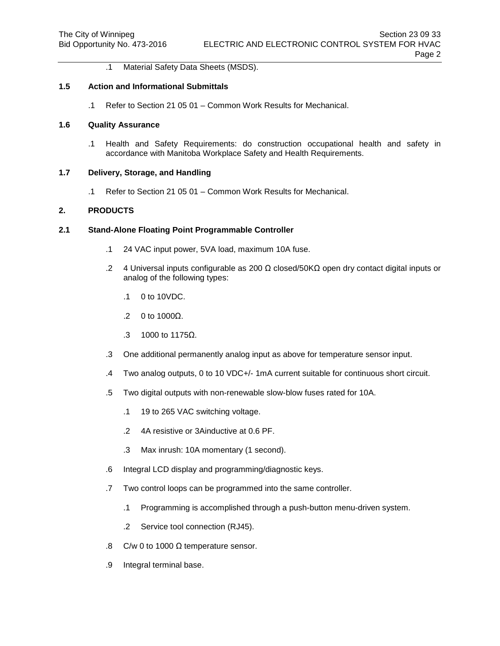.1 Material Safety Data Sheets (MSDS).

#### **1.5 Action and Informational Submittals**

.1 Refer to Section 21 05 01 – Common Work Results for Mechanical.

### **1.6 Quality Assurance**

.1 Health and Safety Requirements: do construction occupational health and safety in accordance with Manitoba Workplace Safety and Health Requirements.

#### **1.7 Delivery, Storage, and Handling**

.1 Refer to Section 21 05 01 – Common Work Results for Mechanical.

## **2. PRODUCTS**

### **2.1 Stand-Alone Floating Point Programmable Controller**

- .1 24 VAC input power, 5VA load, maximum 10A fuse.
- .2 4 Universal inputs configurable as 200 Ω closed/50KΩ open dry contact digital inputs or analog of the following types:
	- .1 0 to 10VDC.
	- .2 0 to 1000Ω.
	- .3 1000 to 1175Ω.
- .3 One additional permanently analog input as above for temperature sensor input.
- .4 Two analog outputs, 0 to 10 VDC+/- 1mA current suitable for continuous short circuit.
- .5 Two digital outputs with non-renewable slow-blow fuses rated for 10A.
	- .1 19 to 265 VAC switching voltage.
	- .2 4A resistive or 3Ainductive at 0.6 PF.
	- .3 Max inrush: 10A momentary (1 second).
- .6 Integral LCD display and programming/diagnostic keys.
- .7 Two control loops can be programmed into the same controller.
	- .1 Programming is accomplished through a push-button menu-driven system.
	- .2 Service tool connection (RJ45).
- .8 C/w 0 to 1000 Ω temperature sensor.
- .9 Integral terminal base.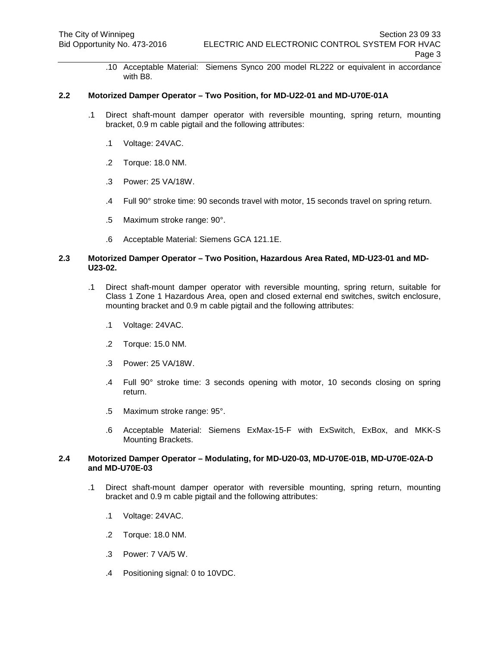.10 Acceptable Material: Siemens Synco 200 model RL222 or equivalent in accordance with B8.

### **2.2 Motorized Damper Operator – Two Position, for MD-U22-01 and MD-U70E-01A**

- .1 Direct shaft-mount damper operator with reversible mounting, spring return, mounting bracket, 0.9 m cable pigtail and the following attributes:
	- .1 Voltage: 24VAC.
	- .2 Torque: 18.0 NM.
	- .3 Power: 25 VA/18W.
	- .4 Full 90° stroke time: 90 seconds travel with motor, 15 seconds travel on spring return.
	- .5 Maximum stroke range: 90°.
	- .6 Acceptable Material: Siemens GCA 121.1E.

#### **2.3 Motorized Damper Operator – Two Position, Hazardous Area Rated, MD-U23-01 and MD-U23-02.**

- .1 Direct shaft-mount damper operator with reversible mounting, spring return, suitable for Class 1 Zone 1 Hazardous Area, open and closed external end switches, switch enclosure, mounting bracket and 0.9 m cable pigtail and the following attributes:
	- .1 Voltage: 24VAC.
	- .2 Torque: 15.0 NM.
	- .3 Power: 25 VA/18W.
	- .4 Full 90° stroke time: 3 seconds opening with motor, 10 seconds closing on spring return.
	- .5 Maximum stroke range: 95°.
	- .6 Acceptable Material: Siemens ExMax-15-F with ExSwitch, ExBox, and MKK-S Mounting Brackets.

### **2.4 Motorized Damper Operator – Modulating, for MD-U20-03, MD-U70E-01B, MD-U70E-02A-D and MD-U70E-03**

- .1 Direct shaft-mount damper operator with reversible mounting, spring return, mounting bracket and 0.9 m cable pigtail and the following attributes:
	- .1 Voltage: 24VAC.
	- .2 Torque: 18.0 NM.
	- .3 Power: 7 VA/5 W.
	- .4 Positioning signal: 0 to 10VDC.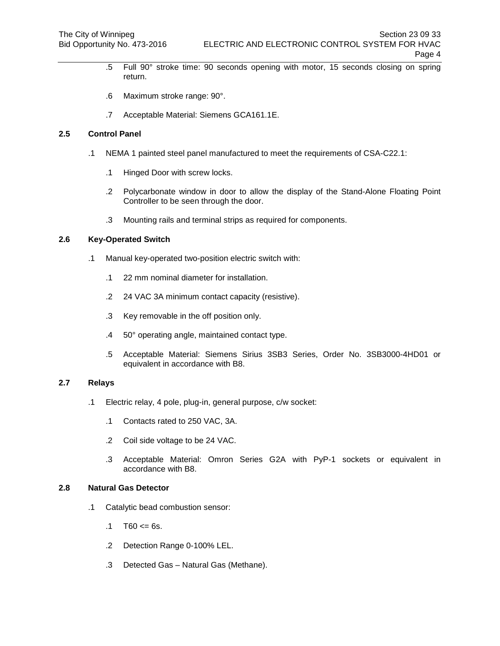- .5 Full 90° stroke time: 90 seconds opening with motor, 15 seconds closing on spring return.
- .6 Maximum stroke range: 90°.
- .7 Acceptable Material: Siemens GCA161.1E.

### **2.5 Control Panel**

- .1 NEMA 1 painted steel panel manufactured to meet the requirements of CSA-C22.1:
	- .1 Hinged Door with screw locks.
	- .2 Polycarbonate window in door to allow the display of the Stand-Alone Floating Point Controller to be seen through the door.
	- .3 Mounting rails and terminal strips as required for components.

### **2.6 Key-Operated Switch**

- .1 Manual key-operated two-position electric switch with:
	- .1 22 mm nominal diameter for installation.
	- .2 24 VAC 3A minimum contact capacity (resistive).
	- .3 Key removable in the off position only.
	- .4 50° operating angle, maintained contact type.
	- .5 Acceptable Material: Siemens Sirius 3SB3 Series, Order No. 3SB3000-4HD01 or equivalent in accordance with B8.

## **2.7 Relays**

- .1 Electric relay, 4 pole, plug-in, general purpose, c/w socket:
	- .1 Contacts rated to 250 VAC, 3A.
	- .2 Coil side voltage to be 24 VAC.
	- .3 Acceptable Material: Omron Series G2A with PyP-1 sockets or equivalent in accordance with B8.

#### **2.8 Natural Gas Detector**

- .1 Catalytic bead combustion sensor:
	- $.1$  T60  $\le$  6s.
	- .2 Detection Range 0-100% LEL.
	- .3 Detected Gas Natural Gas (Methane).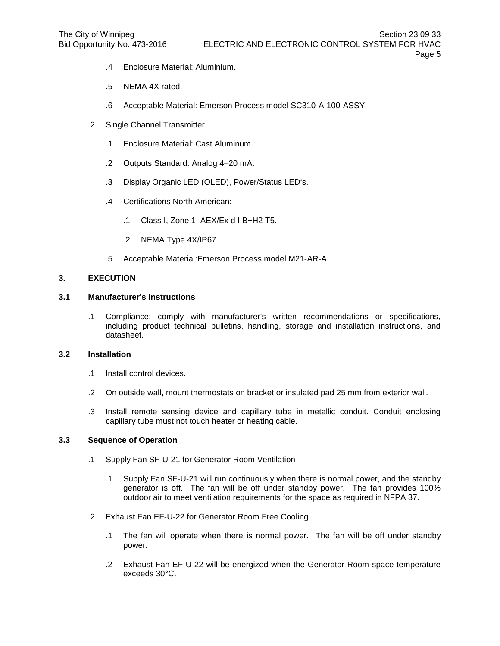- .4 Enclosure Material: Aluminium.
- .5 NEMA 4X rated.
- .6 Acceptable Material: Emerson Process model SC310-A-100-ASSY.
- .2 Single Channel Transmitter
	- .1 Enclosure Material: Cast Aluminum.
	- .2 Outputs Standard: Analog 4–20 mA.
	- .3 Display Organic LED (OLED), Power/Status LED's.
	- .4 Certifications North American:
		- .1 Class I, Zone 1, AEX/Ex d IIB+H2 T5.
		- .2 NEMA Type 4X/IP67.
	- .5 Acceptable Material:Emerson Process model M21-AR-A.

### **3. EXECUTION**

### **3.1 Manufacturer's Instructions**

.1 Compliance: comply with manufacturer's written recommendations or specifications, including product technical bulletins, handling, storage and installation instructions, and datasheet.

### **3.2 Installation**

- .1 Install control devices.
- .2 On outside wall, mount thermostats on bracket or insulated pad 25 mm from exterior wall.
- .3 Install remote sensing device and capillary tube in metallic conduit. Conduit enclosing capillary tube must not touch heater or heating cable.

## **3.3 Sequence of Operation**

- .1 Supply Fan SF-U-21 for Generator Room Ventilation
	- .1 Supply Fan SF-U-21 will run continuously when there is normal power, and the standby generator is off. The fan will be off under standby power. The fan provides 100% outdoor air to meet ventilation requirements for the space as required in NFPA 37.
- .2 Exhaust Fan EF-U-22 for Generator Room Free Cooling
	- .1 The fan will operate when there is normal power. The fan will be off under standby power.
	- .2 Exhaust Fan EF-U-22 will be energized when the Generator Room space temperature exceeds 30°C.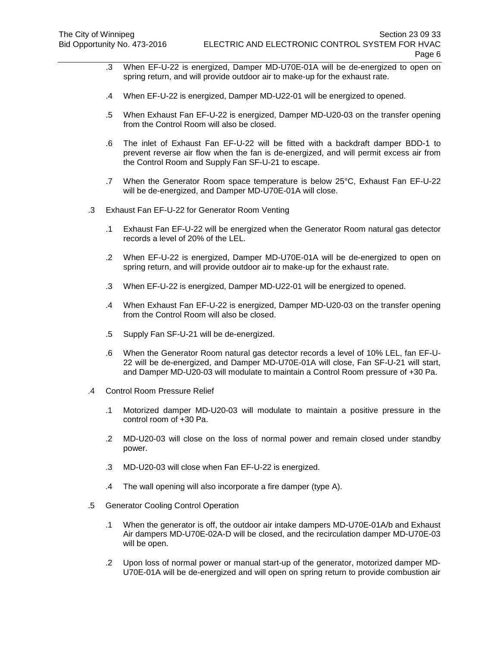- .3 When EF-U-22 is energized, Damper MD-U70E-01A will be de-energized to open on spring return, and will provide outdoor air to make-up for the exhaust rate.
- .4 When EF-U-22 is energized, Damper MD-U22-01 will be energized to opened.
- .5 When Exhaust Fan EF-U-22 is energized, Damper MD-U20-03 on the transfer opening from the Control Room will also be closed.
- .6 The inlet of Exhaust Fan EF-U-22 will be fitted with a backdraft damper BDD-1 to prevent reverse air flow when the fan is de-energized, and will permit excess air from the Control Room and Supply Fan SF-U-21 to escape.
- .7 When the Generator Room space temperature is below 25°C, Exhaust Fan EF-U-22 will be de-energized, and Damper MD-U70E-01A will close.
- .3 Exhaust Fan EF-U-22 for Generator Room Venting
	- .1 Exhaust Fan EF-U-22 will be energized when the Generator Room natural gas detector records a level of 20% of the LEL.
	- .2 When EF-U-22 is energized, Damper MD-U70E-01A will be de-energized to open on spring return, and will provide outdoor air to make-up for the exhaust rate.
	- .3 When EF-U-22 is energized, Damper MD-U22-01 will be energized to opened.
	- .4 When Exhaust Fan EF-U-22 is energized, Damper MD-U20-03 on the transfer opening from the Control Room will also be closed.
	- .5 Supply Fan SF-U-21 will be de-energized.
	- .6 When the Generator Room natural gas detector records a level of 10% LEL, fan EF-U-22 will be de-energized, and Damper MD-U70E-01A will close, Fan SF-U-21 will start, and Damper MD-U20-03 will modulate to maintain a Control Room pressure of +30 Pa.
- .4 Control Room Pressure Relief
	- .1 Motorized damper MD-U20-03 will modulate to maintain a positive pressure in the control room of +30 Pa.
	- .2 MD-U20-03 will close on the loss of normal power and remain closed under standby power.
	- .3 MD-U20-03 will close when Fan EF-U-22 is energized.
	- .4 The wall opening will also incorporate a fire damper (type A).
- .5 Generator Cooling Control Operation
	- .1 When the generator is off, the outdoor air intake dampers MD-U70E-01A/b and Exhaust Air dampers MD-U70E-02A-D will be closed, and the recirculation damper MD-U70E-03 will be open.
	- .2 Upon loss of normal power or manual start-up of the generator, motorized damper MD-U70E-01A will be de-energized and will open on spring return to provide combustion air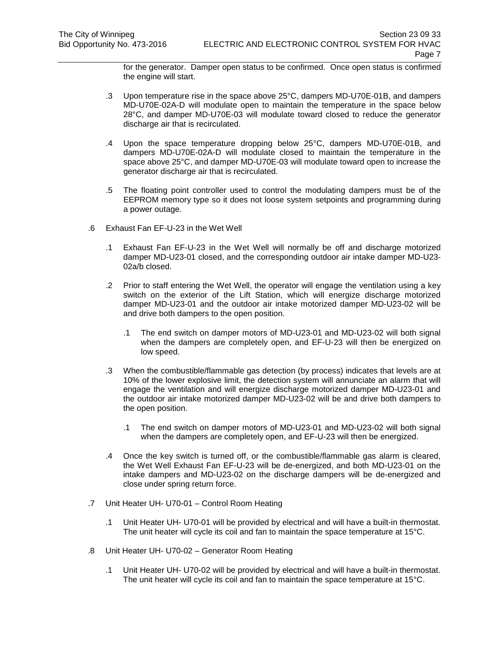for the generator. Damper open status to be confirmed. Once open status is confirmed the engine will start.

- .3 Upon temperature rise in the space above 25°C, dampers MD-U70E-01B, and dampers MD-U70E-02A-D will modulate open to maintain the temperature in the space below 28°C, and damper MD-U70E-03 will modulate toward closed to reduce the generator discharge air that is recirculated.
- .4 Upon the space temperature dropping below 25°C, dampers MD-U70E-01B, and dampers MD-U70E-02A-D will modulate closed to maintain the temperature in the space above 25°C, and damper MD-U70E-03 will modulate toward open to increase the generator discharge air that is recirculated.
- .5 The floating point controller used to control the modulating dampers must be of the EEPROM memory type so it does not loose system setpoints and programming during a power outage.
- .6 Exhaust Fan EF-U-23 in the Wet Well
	- .1 Exhaust Fan EF-U-23 in the Wet Well will normally be off and discharge motorized damper MD-U23-01 closed, and the corresponding outdoor air intake damper MD-U23- 02a/b closed.
	- .2 Prior to staff entering the Wet Well, the operator will engage the ventilation using a key switch on the exterior of the Lift Station, which will energize discharge motorized damper MD-U23-01 and the outdoor air intake motorized damper MD-U23-02 will be and drive both dampers to the open position.
		- .1 The end switch on damper motors of MD-U23-01 and MD-U23-02 will both signal when the dampers are completely open, and EF-U-23 will then be energized on low speed.
	- .3 When the combustible/flammable gas detection (by process) indicates that levels are at 10% of the lower explosive limit, the detection system will annunciate an alarm that will engage the ventilation and will energize discharge motorized damper MD-U23-01 and the outdoor air intake motorized damper MD-U23-02 will be and drive both dampers to the open position.
		- .1 The end switch on damper motors of MD-U23-01 and MD-U23-02 will both signal when the dampers are completely open, and EF-U-23 will then be energized.
	- .4 Once the key switch is turned off, or the combustible/flammable gas alarm is cleared, the Wet Well Exhaust Fan EF-U-23 will be de-energized, and both MD-U23-01 on the intake dampers and MD-U23-02 on the discharge dampers will be de-energized and close under spring return force.
- .7 Unit Heater UH- U70-01 Control Room Heating
	- .1 Unit Heater UH- U70-01 will be provided by electrical and will have a built-in thermostat. The unit heater will cycle its coil and fan to maintain the space temperature at 15°C.
- .8 Unit Heater UH- U70-02 Generator Room Heating
	- .1 Unit Heater UH- U70-02 will be provided by electrical and will have a built-in thermostat. The unit heater will cycle its coil and fan to maintain the space temperature at 15°C.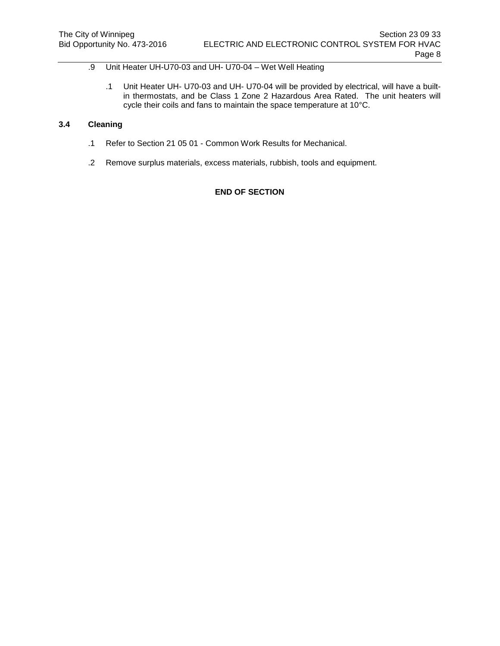# .9 Unit Heater UH-U70-03 and UH- U70-04 – Wet Well Heating

.1 Unit Heater UH- U70-03 and UH- U70-04 will be provided by electrical, will have a builtin thermostats, and be Class 1 Zone 2 Hazardous Area Rated. The unit heaters will cycle their coils and fans to maintain the space temperature at 10°C.

# **3.4 Cleaning**

- .1 Refer to Section 21 05 01 Common Work Results for Mechanical.
- .2 Remove surplus materials, excess materials, rubbish, tools and equipment.

# **END OF SECTION**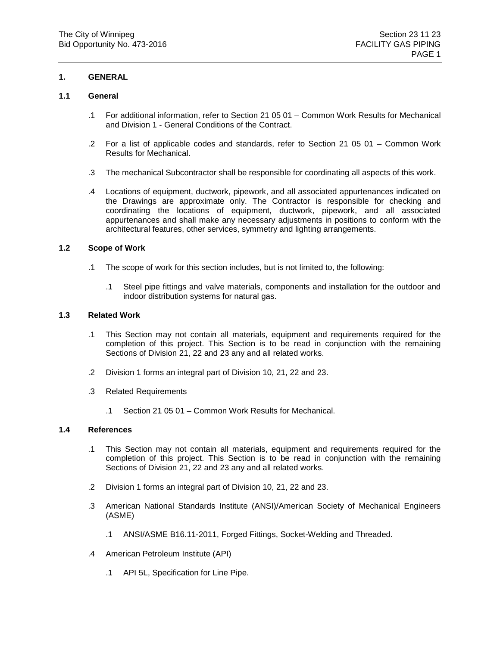## **1. GENERAL**

### **1.1 General**

- .1 For additional information, refer to Section 21 05 01 Common Work Results for Mechanical and Division 1 - General Conditions of the Contract.
- .2 For a list of applicable codes and standards, refer to Section 21 05 01 Common Work Results for Mechanical.
- .3 The mechanical Subcontractor shall be responsible for coordinating all aspects of this work.
- .4 Locations of equipment, ductwork, pipework, and all associated appurtenances indicated on the Drawings are approximate only. The Contractor is responsible for checking and coordinating the locations of equipment, ductwork, pipework, and all associated appurtenances and shall make any necessary adjustments in positions to conform with the architectural features, other services, symmetry and lighting arrangements.

### **1.2 Scope of Work**

- .1 The scope of work for this section includes, but is not limited to, the following:
	- .1 Steel pipe fittings and valve materials, components and installation for the outdoor and indoor distribution systems for natural gas.

# **1.3 Related Work**

- .1 This Section may not contain all materials, equipment and requirements required for the completion of this project. This Section is to be read in conjunction with the remaining Sections of Division 21, 22 and 23 any and all related works.
- .2 Division 1 forms an integral part of Division 10, 21, 22 and 23.
- .3 Related Requirements
	- .1 Section 21 05 01 Common Work Results for Mechanical.

### **1.4 References**

- .1 This Section may not contain all materials, equipment and requirements required for the completion of this project. This Section is to be read in conjunction with the remaining Sections of Division 21, 22 and 23 any and all related works.
- .2 Division 1 forms an integral part of Division 10, 21, 22 and 23.
- .3 American National Standards Institute (ANSI)/American Society of Mechanical Engineers (ASME)
	- .1 ANSI/ASME B16.11-2011, Forged Fittings, Socket-Welding and Threaded.
- .4 American Petroleum Institute (API)
	- .1 API 5L, Specification for Line Pipe.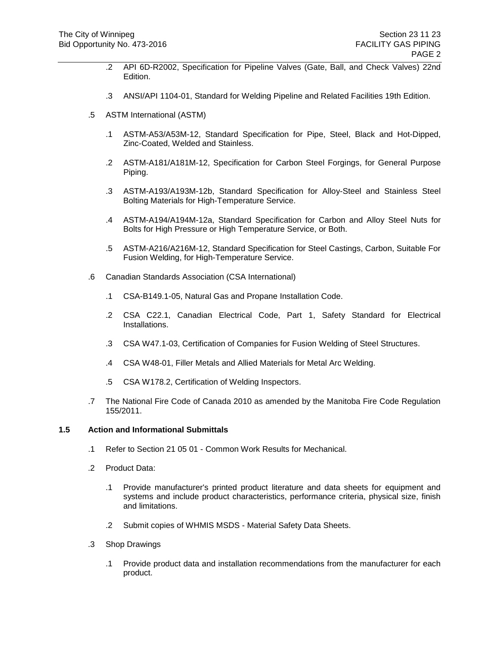- .2 API 6D-R2002, Specification for Pipeline Valves (Gate, Ball, and Check Valves) 22nd Edition.
- .3 ANSI/API 1104-01, Standard for Welding Pipeline and Related Facilities 19th Edition.
- .5 ASTM International (ASTM)
	- .1 ASTM-A53/A53M-12, Standard Specification for Pipe, Steel, Black and Hot-Dipped, Zinc-Coated, Welded and Stainless.
	- .2 ASTM-A181/A181M-12, Specification for Carbon Steel Forgings, for General Purpose Piping.
	- .3 ASTM-A193/A193M-12b, Standard Specification for Alloy-Steel and Stainless Steel Bolting Materials for High-Temperature Service.
	- .4 ASTM-A194/A194M-12a, Standard Specification for Carbon and Alloy Steel Nuts for Bolts for High Pressure or High Temperature Service, or Both.
	- .5 ASTM-A216/A216M-12, Standard Specification for Steel Castings, Carbon, Suitable For Fusion Welding, for High-Temperature Service.
- .6 Canadian Standards Association (CSA International)
	- .1 CSA-B149.1-05, Natural Gas and Propane Installation Code.
	- .2 CSA C22.1, Canadian Electrical Code, Part 1, Safety Standard for Electrical Installations.
	- .3 CSA W47.1-03, Certification of Companies for Fusion Welding of Steel Structures.
	- .4 CSA W48-01, Filler Metals and Allied Materials for Metal Arc Welding.
	- .5 CSA W178.2, Certification of Welding Inspectors.
- .7 The National Fire Code of Canada 2010 as amended by the Manitoba Fire Code Regulation 155/2011.

#### **1.5 Action and Informational Submittals**

- .1 Refer to Section 21 05 01 Common Work Results for Mechanical.
- .2 Product Data:
	- .1 Provide manufacturer's printed product literature and data sheets for equipment and systems and include product characteristics, performance criteria, physical size, finish and limitations.
	- .2 Submit copies of WHMIS MSDS Material Safety Data Sheets.
- .3 Shop Drawings
	- .1 Provide product data and installation recommendations from the manufacturer for each product.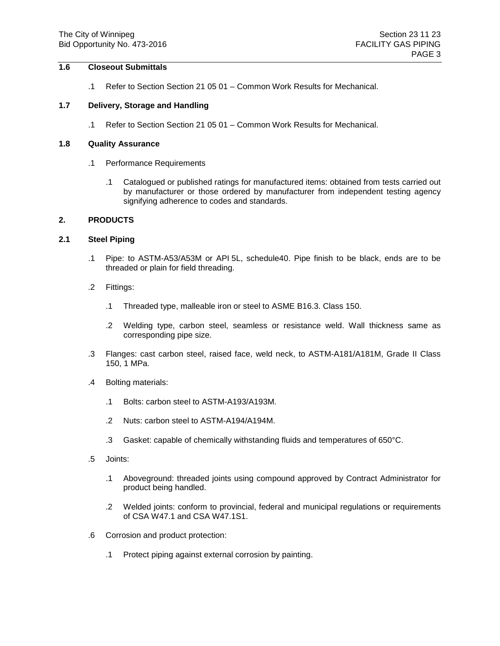## **1.6 Closeout Submittals**

.1 Refer to Section Section 21 05 01 – Common Work Results for Mechanical.

#### **1.7 Delivery, Storage and Handling**

.1 Refer to Section Section 21 05 01 – Common Work Results for Mechanical.

### **1.8 Quality Assurance**

- .1 Performance Requirements
	- .1 Catalogued or published ratings for manufactured items: obtained from tests carried out by manufacturer or those ordered by manufacturer from independent testing agency signifying adherence to codes and standards.

#### **2. PRODUCTS**

#### **2.1 Steel Piping**

- .1 Pipe: to ASTM-A53/A53M or API 5L, schedule40. Pipe finish to be black, ends are to be threaded or plain for field threading.
- .2 Fittings:
	- .1 Threaded type, malleable iron or steel to ASME B16.3. Class 150.
	- .2 Welding type, carbon steel, seamless or resistance weld. Wall thickness same as corresponding pipe size.
- .3 Flanges: cast carbon steel, raised face, weld neck, to ASTM-A181/A181M, Grade II Class 150, 1 MPa.
- .4 Bolting materials:
	- .1 Bolts: carbon steel to ASTM-A193/A193M.
	- .2 Nuts: carbon steel to ASTM-A194/A194M.
	- .3 Gasket: capable of chemically withstanding fluids and temperatures of 650°C.
- .5 Joints:
	- .1 Aboveground: threaded joints using compound approved by Contract Administrator for product being handled.
	- .2 Welded joints: conform to provincial, federal and municipal regulations or requirements of CSA W47.1 and CSA W47.1S1.
- .6 Corrosion and product protection:
	- .1 Protect piping against external corrosion by painting.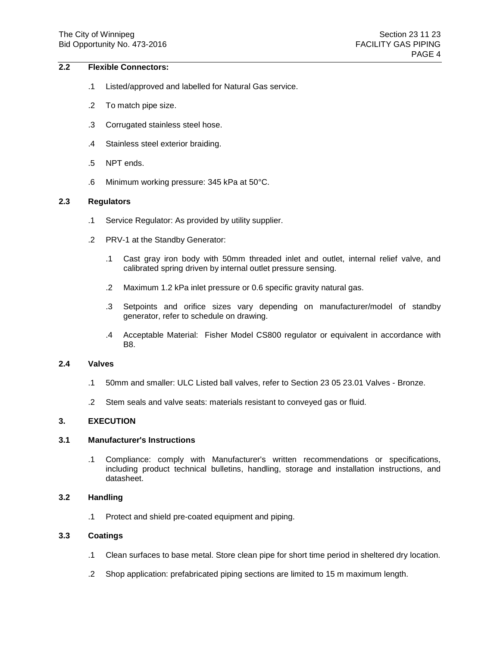### **2.2 Flexible Connectors:**

- .1 Listed/approved and labelled for Natural Gas service.
- .2 To match pipe size.
- .3 Corrugated stainless steel hose.
- .4 Stainless steel exterior braiding.
- .5 NPT ends.
- .6 Minimum working pressure: 345 kPa at 50°C.

### **2.3 Regulators**

- .1 Service Regulator: As provided by utility supplier.
- .2 PRV-1 at the Standby Generator:
	- .1 Cast gray iron body with 50mm threaded inlet and outlet, internal relief valve, and calibrated spring driven by internal outlet pressure sensing.
	- .2 Maximum 1.2 kPa inlet pressure or 0.6 specific gravity natural gas.
	- .3 Setpoints and orifice sizes vary depending on manufacturer/model of standby generator, refer to schedule on drawing.
	- .4 Acceptable Material: Fisher Model CS800 regulator or equivalent in accordance with B8.

#### **2.4 Valves**

- .1 50mm and smaller: ULC Listed ball valves, refer to Section 23 05 23.01 Valves Bronze.
- .2 Stem seals and valve seats: materials resistant to conveyed gas or fluid.

### **3. EXECUTION**

## **3.1 Manufacturer's Instructions**

.1 Compliance: comply with Manufacturer's written recommendations or specifications, including product technical bulletins, handling, storage and installation instructions, and datasheet.

#### **3.2 Handling**

.1 Protect and shield pre-coated equipment and piping.

### **3.3 Coatings**

- .1 Clean surfaces to base metal. Store clean pipe for short time period in sheltered dry location.
- .2 Shop application: prefabricated piping sections are limited to 15 m maximum length.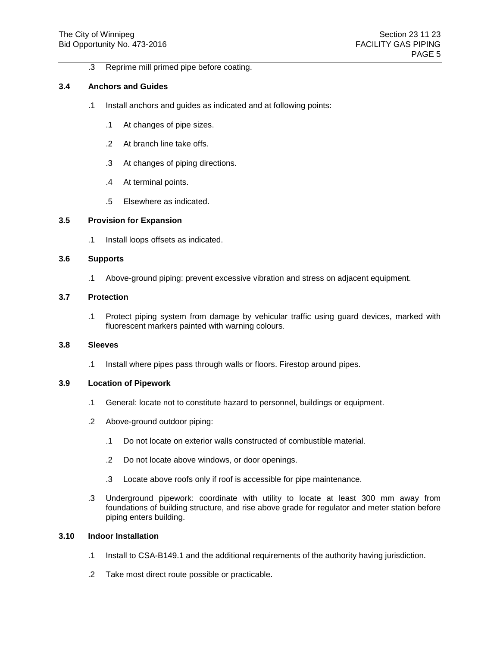.3 Reprime mill primed pipe before coating.

### **3.4 Anchors and Guides**

- .1 Install anchors and guides as indicated and at following points:
	- .1 At changes of pipe sizes.
	- .2 At branch line take offs.
	- .3 At changes of piping directions.
	- .4 At terminal points.
	- .5 Elsewhere as indicated.

## **3.5 Provision for Expansion**

.1 Install loops offsets as indicated.

### **3.6 Supports**

.1 Above-ground piping: prevent excessive vibration and stress on adjacent equipment.

### **3.7 Protection**

.1 Protect piping system from damage by vehicular traffic using guard devices, marked with fluorescent markers painted with warning colours.

### **3.8 Sleeves**

.1 Install where pipes pass through walls or floors. Firestop around pipes.

### **3.9 Location of Pipework**

- .1 General: locate not to constitute hazard to personnel, buildings or equipment.
- .2 Above-ground outdoor piping:
	- .1 Do not locate on exterior walls constructed of combustible material.
	- .2 Do not locate above windows, or door openings.
	- .3 Locate above roofs only if roof is accessible for pipe maintenance.
- .3 Underground pipework: coordinate with utility to locate at least 300 mm away from foundations of building structure, and rise above grade for regulator and meter station before piping enters building.

### **3.10 Indoor Installation**

- .1 Install to CSA-B149.1 and the additional requirements of the authority having jurisdiction.
- .2 Take most direct route possible or practicable.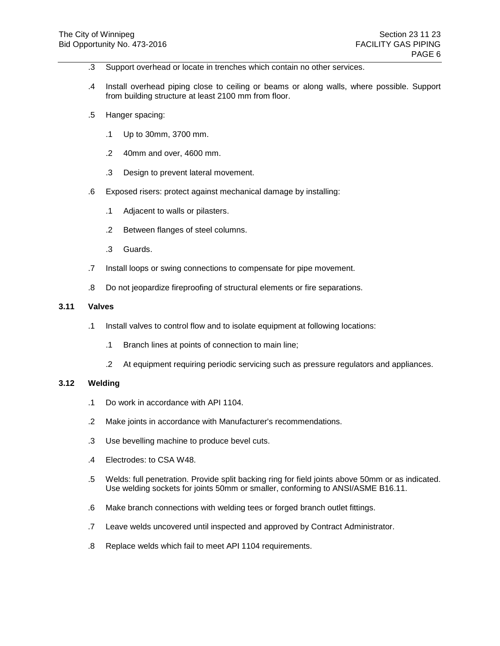- .3 Support overhead or locate in trenches which contain no other services.
- .4 Install overhead piping close to ceiling or beams or along walls, where possible. Support from building structure at least 2100 mm from floor.
- .5 Hanger spacing:
	- .1 Up to 30mm, 3700 mm.
	- .2 40mm and over, 4600 mm.
	- .3 Design to prevent lateral movement.
- .6 Exposed risers: protect against mechanical damage by installing:
	- .1 Adjacent to walls or pilasters.
	- .2 Between flanges of steel columns.
	- .3 Guards.
- .7 Install loops or swing connections to compensate for pipe movement.
- .8 Do not jeopardize fireproofing of structural elements or fire separations.

### **3.11 Valves**

- .1 Install valves to control flow and to isolate equipment at following locations:
	- .1 Branch lines at points of connection to main line;
	- .2 At equipment requiring periodic servicing such as pressure regulators and appliances.

### **3.12 Welding**

- .1 Do work in accordance with API 1104.
- .2 Make joints in accordance with Manufacturer's recommendations.
- .3 Use bevelling machine to produce bevel cuts.
- .4 Electrodes: to CSA W48.
- .5 Welds: full penetration. Provide split backing ring for field joints above 50mm or as indicated. Use welding sockets for joints 50mm or smaller, conforming to ANSI/ASME B16.11.
- .6 Make branch connections with welding tees or forged branch outlet fittings.
- .7 Leave welds uncovered until inspected and approved by Contract Administrator.
- .8 Replace welds which fail to meet API 1104 requirements.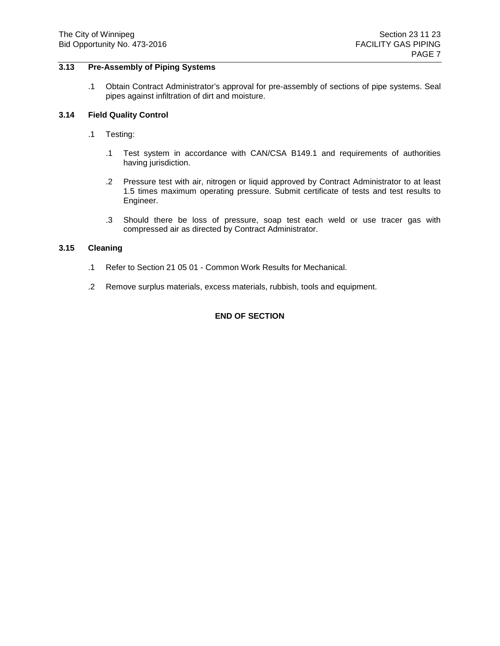### **3.13 Pre-Assembly of Piping Systems**

.1 Obtain Contract Administrator's approval for pre-assembly of sections of pipe systems. Seal pipes against infiltration of dirt and moisture.

## **3.14 Field Quality Control**

- .1 Testing:
	- .1 Test system in accordance with CAN/CSA B149.1 and requirements of authorities having jurisdiction.
	- .2 Pressure test with air, nitrogen or liquid approved by Contract Administrator to at least 1.5 times maximum operating pressure. Submit certificate of tests and test results to Engineer.
	- .3 Should there be loss of pressure, soap test each weld or use tracer gas with compressed air as directed by Contract Administrator.

## **3.15 Cleaning**

- .1 Refer to Section 21 05 01 Common Work Results for Mechanical.
- .2 Remove surplus materials, excess materials, rubbish, tools and equipment.

## **END OF SECTION**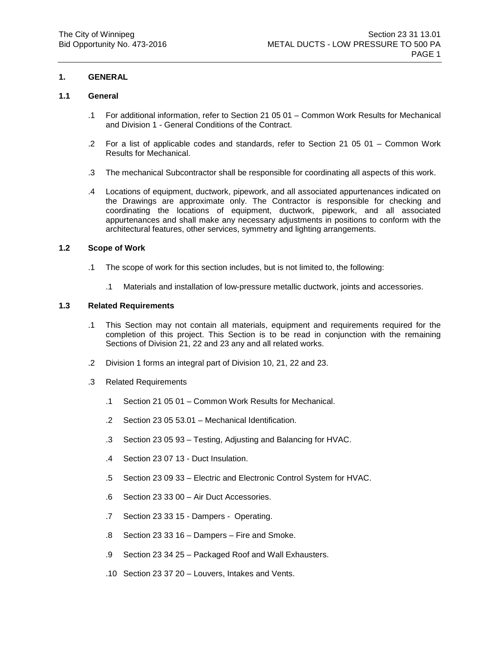## **1. GENERAL**

### **1.1 General**

- .1 For additional information, refer to Section 21 05 01 Common Work Results for Mechanical and Division 1 - General Conditions of the Contract.
- .2 For a list of applicable codes and standards, refer to Section 21 05 01 Common Work Results for Mechanical.
- .3 The mechanical Subcontractor shall be responsible for coordinating all aspects of this work.
- .4 Locations of equipment, ductwork, pipework, and all associated appurtenances indicated on the Drawings are approximate only. The Contractor is responsible for checking and coordinating the locations of equipment, ductwork, pipework, and all associated appurtenances and shall make any necessary adjustments in positions to conform with the architectural features, other services, symmetry and lighting arrangements.

### **1.2 Scope of Work**

- .1 The scope of work for this section includes, but is not limited to, the following:
	- .1 Materials and installation of low-pressure metallic ductwork, joints and accessories.

## **1.3 Related Requirements**

- .1 This Section may not contain all materials, equipment and requirements required for the completion of this project. This Section is to be read in conjunction with the remaining Sections of Division 21, 22 and 23 any and all related works.
- .2 Division 1 forms an integral part of Division 10, 21, 22 and 23.
- .3 Related Requirements
	- .1 Section 21 05 01 Common Work Results for Mechanical.
	- .2 Section 23 05 53.01 Mechanical Identification.
	- .3 Section 23 05 93 Testing, Adjusting and Balancing for HVAC.
	- .4 Section 23 07 13 Duct Insulation.
	- .5 Section 23 09 33 Electric and Electronic Control System for HVAC.
	- .6 Section 23 33 00 Air Duct Accessories.
	- .7 Section 23 33 15 Dampers Operating.
	- .8 Section 23 33 16 Dampers Fire and Smoke.
	- .9 Section 23 34 25 Packaged Roof and Wall Exhausters.
	- .10 Section 23 37 20 Louvers, Intakes and Vents.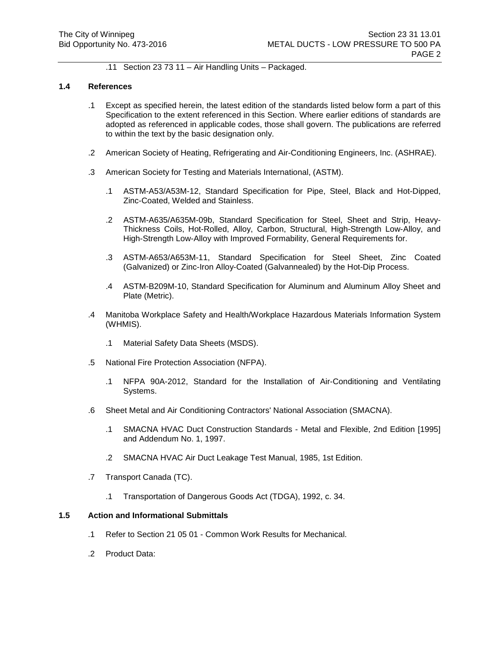.11 Section 23 73 11 – Air Handling Units – Packaged.

#### **1.4 References**

- .1 Except as specified herein, the latest edition of the standards listed below form a part of this Specification to the extent referenced in this Section. Where earlier editions of standards are adopted as referenced in applicable codes, those shall govern. The publications are referred to within the text by the basic designation only.
- .2 American Society of Heating, Refrigerating and Air-Conditioning Engineers, Inc. (ASHRAE).
- .3 American Society for Testing and Materials International, (ASTM).
	- .1 ASTM-A53/A53M-12, Standard Specification for Pipe, Steel, Black and Hot-Dipped, Zinc-Coated, Welded and Stainless.
	- .2 ASTM-A635/A635M-09b, Standard Specification for Steel, Sheet and Strip, Heavy-Thickness Coils, Hot-Rolled, Alloy, Carbon, Structural, High-Strength Low-Alloy, and High-Strength Low-Alloy with Improved Formability, General Requirements for.
	- .3 ASTM-A653/A653M-11, Standard Specification for Steel Sheet, Zinc Coated (Galvanized) or Zinc-Iron Alloy-Coated (Galvannealed) by the Hot-Dip Process.
	- .4 ASTM-B209M-10, Standard Specification for Aluminum and Aluminum Alloy Sheet and Plate (Metric).
- .4 Manitoba Workplace Safety and Health/Workplace Hazardous Materials Information System (WHMIS).
	- .1 Material Safety Data Sheets (MSDS).
- .5 National Fire Protection Association (NFPA).
	- .1 NFPA 90A-2012, Standard for the Installation of Air-Conditioning and Ventilating Systems.
- .6 Sheet Metal and Air Conditioning Contractors' National Association (SMACNA).
	- .1 SMACNA HVAC Duct Construction Standards Metal and Flexible, 2nd Edition [1995] and Addendum No. 1, 1997.
	- .2 SMACNA HVAC Air Duct Leakage Test Manual, 1985, 1st Edition.
- .7 Transport Canada (TC).
	- .1 Transportation of Dangerous Goods Act (TDGA), 1992, c. 34.

#### **1.5 Action and Informational Submittals**

- .1 Refer to Section 21 05 01 Common Work Results for Mechanical.
- .2 Product Data: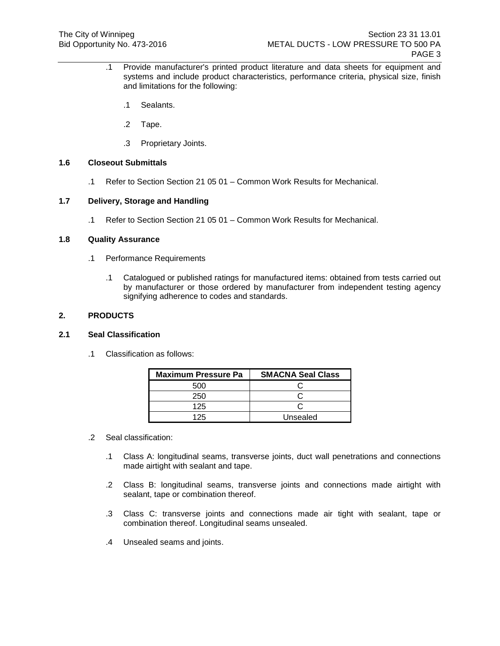- .1 Provide manufacturer's printed product literature and data sheets for equipment and systems and include product characteristics, performance criteria, physical size, finish and limitations for the following:
	- .1 Sealants.
	- .2 Tape.
	- .3 Proprietary Joints.

# **1.6 Closeout Submittals**

.1 Refer to Section Section 21 05 01 – Common Work Results for Mechanical.

### **1.7 Delivery, Storage and Handling**

.1 Refer to Section Section 21 05 01 – Common Work Results for Mechanical.

#### **1.8 Quality Assurance**

- .1 Performance Requirements
	- .1 Catalogued or published ratings for manufactured items: obtained from tests carried out by manufacturer or those ordered by manufacturer from independent testing agency signifying adherence to codes and standards.

### **2. PRODUCTS**

### **2.1 Seal Classification**

.1 Classification as follows:

| <b>Maximum Pressure Pa</b> | <b>SMACNA Seal Class</b> |
|----------------------------|--------------------------|
| 500                        |                          |
| 250                        |                          |
| 125                        |                          |
| 125                        | Unsealed                 |

- .2 Seal classification:
	- .1 Class A: longitudinal seams, transverse joints, duct wall penetrations and connections made airtight with sealant and tape.
	- .2 Class B: longitudinal seams, transverse joints and connections made airtight with sealant, tape or combination thereof.
	- .3 Class C: transverse joints and connections made air tight with sealant, tape or combination thereof. Longitudinal seams unsealed.
	- .4 Unsealed seams and joints.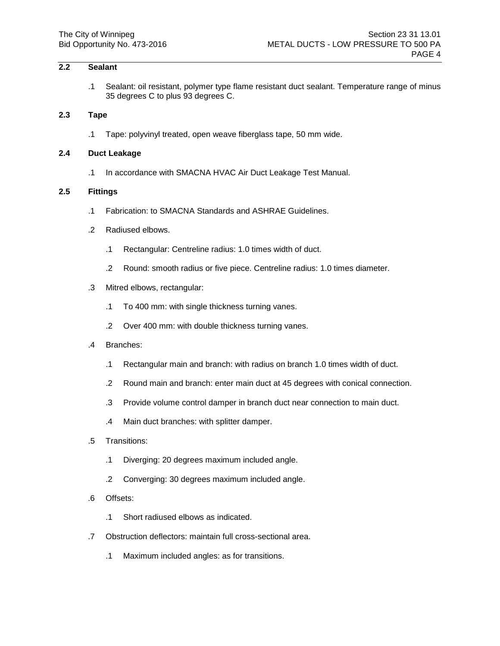# **2.2 Sealant**

.1 Sealant: oil resistant, polymer type flame resistant duct sealant. Temperature range of minus 35 degrees C to plus 93 degrees C.

#### **2.3 Tape**

.1 Tape: polyvinyl treated, open weave fiberglass tape, 50 mm wide.

### **2.4 Duct Leakage**

.1 In accordance with SMACNA HVAC Air Duct Leakage Test Manual.

### **2.5 Fittings**

- .1 Fabrication: to SMACNA Standards and ASHRAE Guidelines.
- .2 Radiused elbows.
	- .1 Rectangular: Centreline radius: 1.0 times width of duct.
	- .2 Round: smooth radius or five piece. Centreline radius: 1.0 times diameter.
- .3 Mitred elbows, rectangular:
	- .1 To 400 mm: with single thickness turning vanes.
	- .2 Over 400 mm: with double thickness turning vanes.
- .4 Branches:
	- .1 Rectangular main and branch: with radius on branch 1.0 times width of duct.
	- .2 Round main and branch: enter main duct at 45 degrees with conical connection.
	- .3 Provide volume control damper in branch duct near connection to main duct.
	- .4 Main duct branches: with splitter damper.
- .5 Transitions:
	- .1 Diverging: 20 degrees maximum included angle.
	- .2 Converging: 30 degrees maximum included angle.
- .6 Offsets:
	- .1 Short radiused elbows as indicated.
- .7 Obstruction deflectors: maintain full cross-sectional area.
	- .1 Maximum included angles: as for transitions.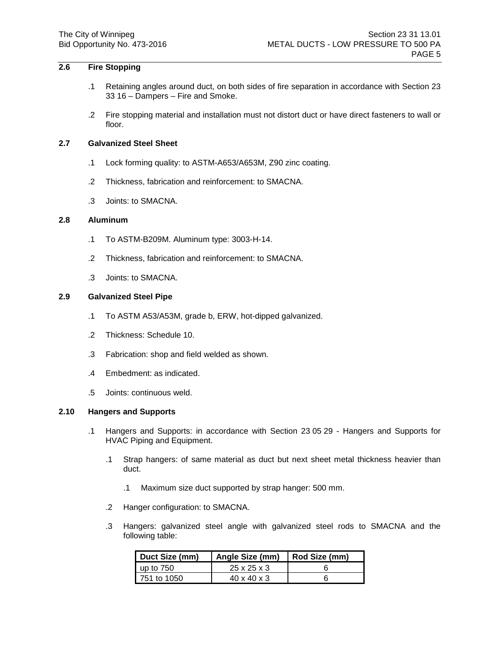# **2.6 Fire Stopping**

- .1 Retaining angles around duct, on both sides of fire separation in accordance with Section 23 33 16 – Dampers – Fire and Smoke.
- .2 Fire stopping material and installation must not distort duct or have direct fasteners to wall or floor.

### **2.7 Galvanized Steel Sheet**

- .1 Lock forming quality: to ASTM-A653/A653M, Z90 zinc coating.
- .2 Thickness, fabrication and reinforcement: to SMACNA.
- .3 Joints: to SMACNA.

# **2.8 Aluminum**

- .1 To ASTM-B209M. Aluminum type: 3003-H-14.
- .2 Thickness, fabrication and reinforcement: to SMACNA.
- .3 Joints: to SMACNA.

### **2.9 Galvanized Steel Pipe**

- .1 To ASTM A53/A53M, grade b, ERW, hot-dipped galvanized.
- .2 Thickness: Schedule 10.
- .3 Fabrication: shop and field welded as shown.
- .4 Embedment: as indicated.
- .5 Joints: continuous weld.

### **2.10 Hangers and Supports**

- .1 Hangers and Supports: in accordance with Section 23 05 29 Hangers and Supports for HVAC Piping and Equipment.
	- .1 Strap hangers: of same material as duct but next sheet metal thickness heavier than duct.
		- .1 Maximum size duct supported by strap hanger: 500 mm.
	- .2 Hanger configuration: to SMACNA.
	- .3 Hangers: galvanized steel angle with galvanized steel rods to SMACNA and the following table:

| Duct Size (mm) | Angle Size (mm)         | Rod Size (mm) |
|----------------|-------------------------|---------------|
| up to 750      | $25 \times 25 \times 3$ |               |
| 751 to 1050    | $40 \times 40 \times 3$ |               |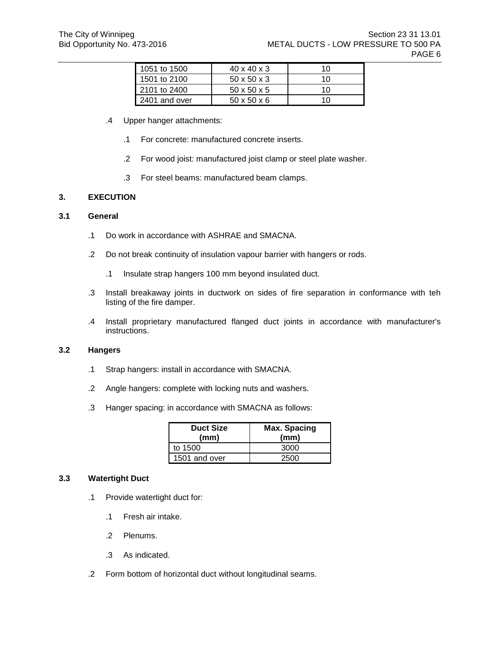| 1051 to 1500  | $40 \times 40 \times 3$ | 10 |
|---------------|-------------------------|----|
| 1501 to 2100  | $50 \times 50 \times 3$ | 10 |
| 2101 to 2400  | $50 \times 50 \times 5$ | 10 |
| 2401 and over | $50 \times 50 \times 6$ | 10 |

- .4 Upper hanger attachments:
	- .1 For concrete: manufactured concrete inserts.
	- .2 For wood joist: manufactured joist clamp or steel plate washer.
	- .3 For steel beams: manufactured beam clamps.

## **3. EXECUTION**

### **3.1 General**

- .1 Do work in accordance with ASHRAE and SMACNA.
- .2 Do not break continuity of insulation vapour barrier with hangers or rods.
	- .1 Insulate strap hangers 100 mm beyond insulated duct.
- .3 Install breakaway joints in ductwork on sides of fire separation in conformance with teh listing of the fire damper.
- .4 Install proprietary manufactured flanged duct joints in accordance with manufacturer's instructions.

### **3.2 Hangers**

- .1 Strap hangers: install in accordance with SMACNA.
- .2 Angle hangers: complete with locking nuts and washers.
- .3 Hanger spacing: in accordance with SMACNA as follows:

| <b>Duct Size</b><br>(mm) | Max. Spacing<br>(mm) |
|--------------------------|----------------------|
| to 1500                  | 3000                 |
| 1501 and over            | 2500                 |

### **3.3 Watertight Duct**

- .1 Provide watertight duct for:
	- .1 Fresh air intake.
	- .2 Plenums.
	- .3 As indicated.
- .2 Form bottom of horizontal duct without longitudinal seams.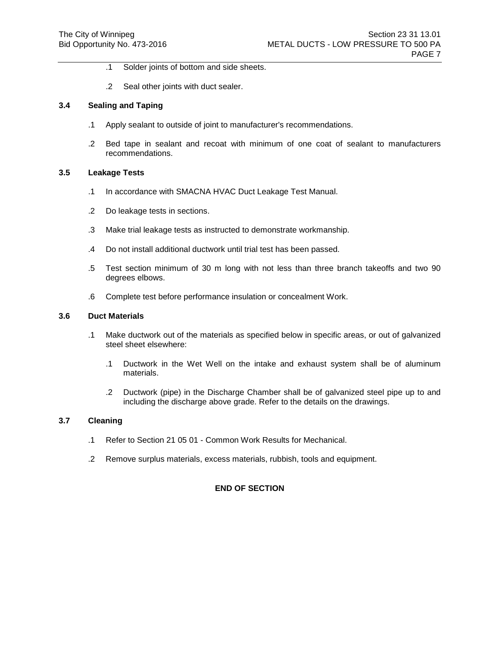- .1 Solder joints of bottom and side sheets.
- .2 Seal other joints with duct sealer.

#### **3.4 Sealing and Taping**

- .1 Apply sealant to outside of joint to manufacturer's recommendations.
- .2 Bed tape in sealant and recoat with minimum of one coat of sealant to manufacturers recommendations.

#### **3.5 Leakage Tests**

- .1 In accordance with SMACNA HVAC Duct Leakage Test Manual.
- .2 Do leakage tests in sections.
- .3 Make trial leakage tests as instructed to demonstrate workmanship.
- .4 Do not install additional ductwork until trial test has been passed.
- .5 Test section minimum of 30 m long with not less than three branch takeoffs and two 90 degrees elbows.
- .6 Complete test before performance insulation or concealment Work.

### **3.6 Duct Materials**

- .1 Make ductwork out of the materials as specified below in specific areas, or out of galvanized steel sheet elsewhere:
	- .1 Ductwork in the Wet Well on the intake and exhaust system shall be of aluminum materials.
	- .2 Ductwork (pipe) in the Discharge Chamber shall be of galvanized steel pipe up to and including the discharge above grade. Refer to the details on the drawings.

### **3.7 Cleaning**

- .1 Refer to Section 21 05 01 Common Work Results for Mechanical.
- .2 Remove surplus materials, excess materials, rubbish, tools and equipment.

### **END OF SECTION**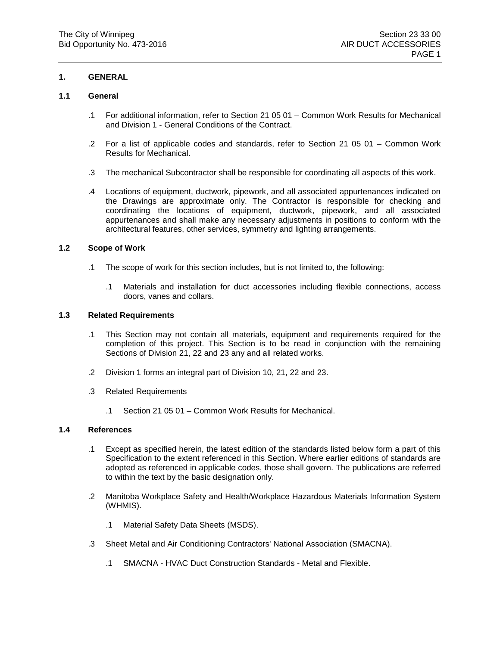## **1. GENERAL**

## **1.1 General**

- .1 For additional information, refer to Section 21 05 01 Common Work Results for Mechanical and Division 1 - General Conditions of the Contract.
- .2 For a list of applicable codes and standards, refer to Section 21 05 01 Common Work Results for Mechanical.
- .3 The mechanical Subcontractor shall be responsible for coordinating all aspects of this work.
- .4 Locations of equipment, ductwork, pipework, and all associated appurtenances indicated on the Drawings are approximate only. The Contractor is responsible for checking and coordinating the locations of equipment, ductwork, pipework, and all associated appurtenances and shall make any necessary adjustments in positions to conform with the architectural features, other services, symmetry and lighting arrangements.

### **1.2 Scope of Work**

- .1 The scope of work for this section includes, but is not limited to, the following:
	- .1 Materials and installation for duct accessories including flexible connections, access doors, vanes and collars.

# **1.3 Related Requirements**

- .1 This Section may not contain all materials, equipment and requirements required for the completion of this project. This Section is to be read in conjunction with the remaining Sections of Division 21, 22 and 23 any and all related works.
- .2 Division 1 forms an integral part of Division 10, 21, 22 and 23.
- .3 Related Requirements
	- .1 Section 21 05 01 Common Work Results for Mechanical.

### **1.4 References**

- .1 Except as specified herein, the latest edition of the standards listed below form a part of this Specification to the extent referenced in this Section. Where earlier editions of standards are adopted as referenced in applicable codes, those shall govern. The publications are referred to within the text by the basic designation only.
- .2 Manitoba Workplace Safety and Health/Workplace Hazardous Materials Information System (WHMIS).
	- .1 Material Safety Data Sheets (MSDS).
- .3 Sheet Metal and Air Conditioning Contractors' National Association (SMACNA).
	- .1 SMACNA HVAC Duct Construction Standards Metal and Flexible.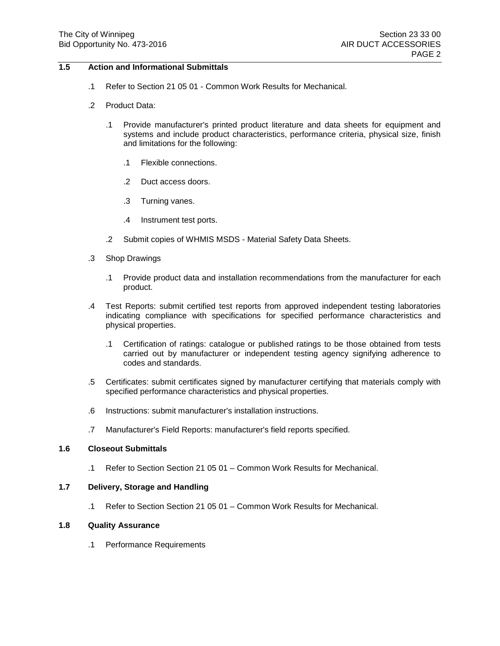## **1.5 Action and Informational Submittals**

- .1 Refer to Section 21 05 01 Common Work Results for Mechanical.
- .2 Product Data:
	- .1 Provide manufacturer's printed product literature and data sheets for equipment and systems and include product characteristics, performance criteria, physical size, finish and limitations for the following:
		- .1 Flexible connections.
		- .2 Duct access doors.
		- .3 Turning vanes.
		- .4 Instrument test ports.
	- .2 Submit copies of WHMIS MSDS Material Safety Data Sheets.
- .3 Shop Drawings
	- .1 Provide product data and installation recommendations from the manufacturer for each product.
- .4 Test Reports: submit certified test reports from approved independent testing laboratories indicating compliance with specifications for specified performance characteristics and physical properties.
	- .1 Certification of ratings: catalogue or published ratings to be those obtained from tests carried out by manufacturer or independent testing agency signifying adherence to codes and standards.
- .5 Certificates: submit certificates signed by manufacturer certifying that materials comply with specified performance characteristics and physical properties.
- .6 Instructions: submit manufacturer's installation instructions.
- .7 Manufacturer's Field Reports: manufacturer's field reports specified.

# **1.6 Closeout Submittals**

.1 Refer to Section Section 21 05 01 – Common Work Results for Mechanical.

### **1.7 Delivery, Storage and Handling**

.1 Refer to Section Section 21 05 01 – Common Work Results for Mechanical.

### **1.8 Quality Assurance**

.1 Performance Requirements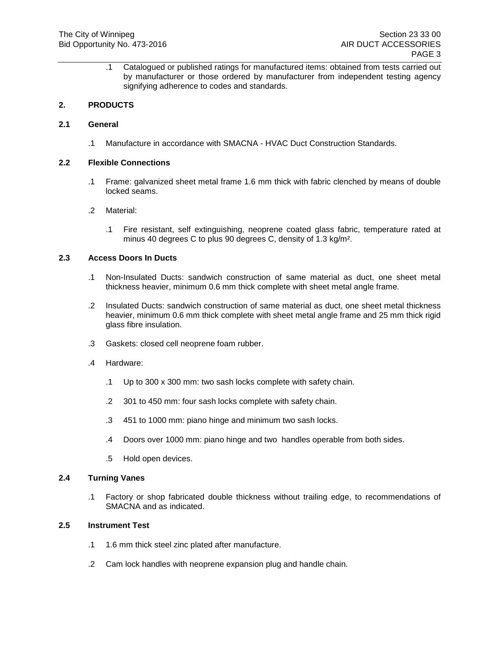.1 Catalogued or published ratings for manufactured items: obtained from tests carried out by manufacturer or those ordered by manufacturer from independent testing agency signifying adherence to codes and standards.

## **2. PRODUCTS**

### **2.1 General**

.1 Manufacture in accordance with SMACNA - HVAC Duct Construction Standards.

## **2.2 Flexible Connections**

.1 Frame: galvanized sheet metal frame 1.6 mm thick with fabric clenched by means of double locked seams.

### .2 Material:

.1 Fire resistant, self extinguishing, neoprene coated glass fabric, temperature rated at minus 40 degrees C to plus 90 degrees C, density of 1.3 kg/m².

## **2.3 Access Doors In Ducts**

- .1 Non-Insulated Ducts: sandwich construction of same material as duct, one sheet metal thickness heavier, minimum 0.6 mm thick complete with sheet metal angle frame.
- .2 Insulated Ducts: sandwich construction of same material as duct, one sheet metal thickness heavier, minimum 0.6 mm thick complete with sheet metal angle frame and 25 mm thick rigid glass fibre insulation.
- .3 Gaskets: closed cell neoprene foam rubber.
- .4 Hardware:
	- .1 Up to 300 x 300 mm: two sash locks complete with safety chain.
	- .2 301 to 450 mm: four sash locks complete with safety chain.
	- .3 451 to 1000 mm: piano hinge and minimum two sash locks.
	- .4 Doors over 1000 mm: piano hinge and two handles operable from both sides.
	- .5 Hold open devices.

#### **2.4 Turning Vanes**

.1 Factory or shop fabricated double thickness without trailing edge, to recommendations of SMACNA and as indicated.

## **2.5 Instrument Test**

- .1 1.6 mm thick steel zinc plated after manufacture.
- .2 Cam lock handles with neoprene expansion plug and handle chain.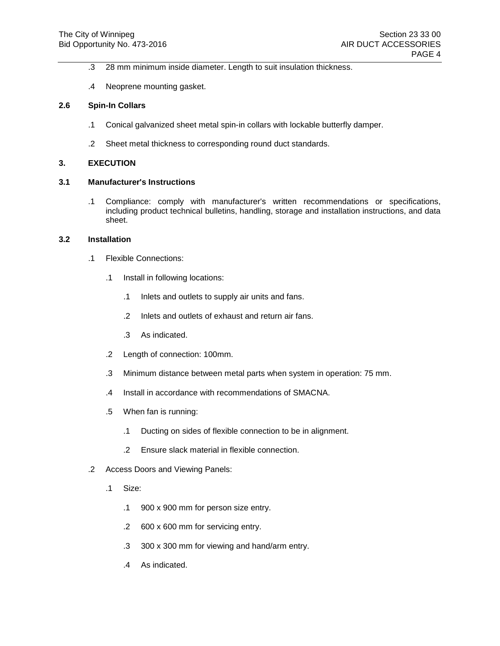- .3 28 mm minimum inside diameter. Length to suit insulation thickness.
- .4 Neoprene mounting gasket.

#### **2.6 Spin-In Collars**

- .1 Conical galvanized sheet metal spin-in collars with lockable butterfly damper.
- .2 Sheet metal thickness to corresponding round duct standards.

## **3. EXECUTION**

#### **3.1 Manufacturer's Instructions**

.1 Compliance: comply with manufacturer's written recommendations or specifications, including product technical bulletins, handling, storage and installation instructions, and data sheet.

#### **3.2 Installation**

- .1 Flexible Connections:
	- .1 Install in following locations:
		- .1 Inlets and outlets to supply air units and fans.
		- .2 Inlets and outlets of exhaust and return air fans.
		- .3 As indicated.
	- .2 Length of connection: 100mm.
	- .3 Minimum distance between metal parts when system in operation: 75 mm.
	- .4 Install in accordance with recommendations of SMACNA.
	- .5 When fan is running:
		- .1 Ducting on sides of flexible connection to be in alignment.
		- .2 Ensure slack material in flexible connection.
- .2 Access Doors and Viewing Panels:
	- .1 Size:
		- .1 900 x 900 mm for person size entry.
		- .2 600 x 600 mm for servicing entry.
		- .3 300 x 300 mm for viewing and hand/arm entry.
		- .4 As indicated.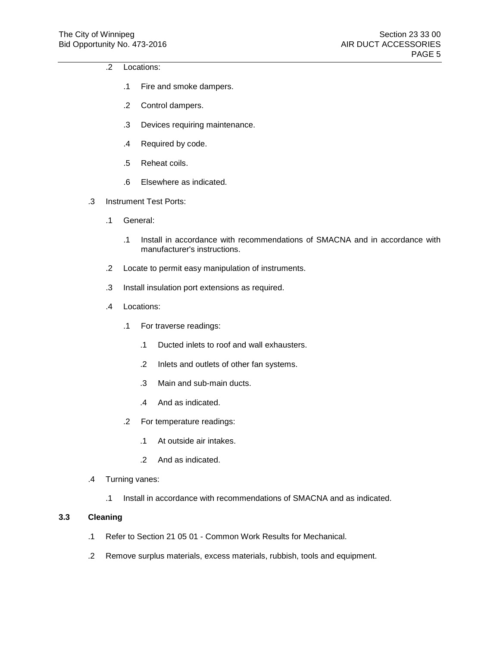- .2 Locations:
	- .1 Fire and smoke dampers.
	- .2 Control dampers.
	- .3 Devices requiring maintenance.
	- .4 Required by code.
	- .5 Reheat coils.
	- .6 Elsewhere as indicated.
- .3 Instrument Test Ports:
	- .1 General:
		- .1 Install in accordance with recommendations of SMACNA and in accordance with manufacturer's instructions.
	- .2 Locate to permit easy manipulation of instruments.
	- .3 Install insulation port extensions as required.
	- .4 Locations:
		- .1 For traverse readings:
			- .1 Ducted inlets to roof and wall exhausters.
			- .2 Inlets and outlets of other fan systems.
			- .3 Main and sub-main ducts.
			- .4 And as indicated.
		- .2 For temperature readings:
			- .1 At outside air intakes.
			- .2 And as indicated.
- .4 Turning vanes:
	- .1 Install in accordance with recommendations of SMACNA and as indicated.

# **3.3 Cleaning**

- .1 Refer to Section 21 05 01 Common Work Results for Mechanical.
- .2 Remove surplus materials, excess materials, rubbish, tools and equipment.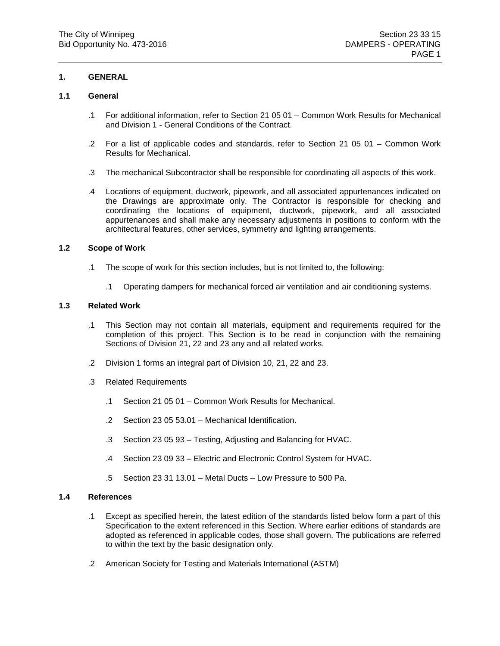## **1.1 General**

- .1 For additional information, refer to Section 21 05 01 Common Work Results for Mechanical and Division 1 - General Conditions of the Contract.
- .2 For a list of applicable codes and standards, refer to Section 21 05 01 Common Work Results for Mechanical.
- .3 The mechanical Subcontractor shall be responsible for coordinating all aspects of this work.
- .4 Locations of equipment, ductwork, pipework, and all associated appurtenances indicated on the Drawings are approximate only. The Contractor is responsible for checking and coordinating the locations of equipment, ductwork, pipework, and all associated appurtenances and shall make any necessary adjustments in positions to conform with the architectural features, other services, symmetry and lighting arrangements.

#### **1.2 Scope of Work**

- .1 The scope of work for this section includes, but is not limited to, the following:
	- .1 Operating dampers for mechanical forced air ventilation and air conditioning systems.

# **1.3 Related Work**

- .1 This Section may not contain all materials, equipment and requirements required for the completion of this project. This Section is to be read in conjunction with the remaining Sections of Division 21, 22 and 23 any and all related works.
- .2 Division 1 forms an integral part of Division 10, 21, 22 and 23.
- .3 Related Requirements
	- .1 Section 21 05 01 Common Work Results for Mechanical.
	- .2 Section 23 05 53.01 Mechanical Identification.
	- .3 Section 23 05 93 Testing, Adjusting and Balancing for HVAC.
	- .4 Section 23 09 33 Electric and Electronic Control System for HVAC.
	- .5 Section 23 31 13.01 Metal Ducts Low Pressure to 500 Pa.

#### **1.4 References**

- .1 Except as specified herein, the latest edition of the standards listed below form a part of this Specification to the extent referenced in this Section. Where earlier editions of standards are adopted as referenced in applicable codes, those shall govern. The publications are referred to within the text by the basic designation only.
- .2 American Society for Testing and Materials International (ASTM)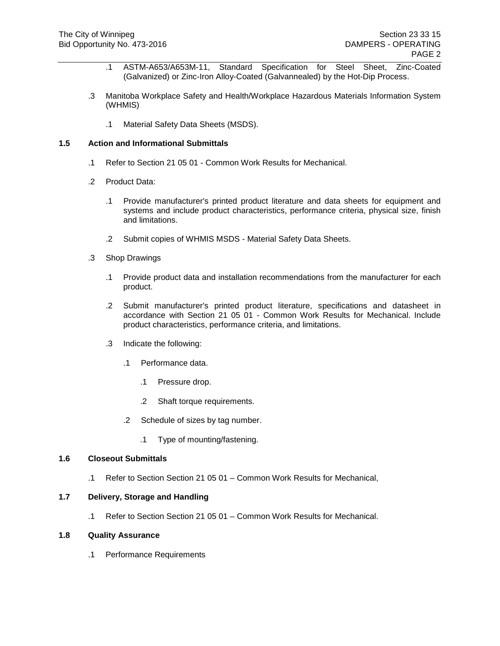- .1 ASTM-A653/A653M-11, Standard Specification for Steel Sheet, Zinc-Coated (Galvanized) or Zinc-Iron Alloy-Coated (Galvannealed) by the Hot-Dip Process.
- .3 Manitoba Workplace Safety and Health/Workplace Hazardous Materials Information System (WHMIS)
	- .1 Material Safety Data Sheets (MSDS).

- .1 Refer to Section 21 05 01 Common Work Results for Mechanical.
- .2 Product Data:
	- .1 Provide manufacturer's printed product literature and data sheets for equipment and systems and include product characteristics, performance criteria, physical size, finish and limitations.
	- .2 Submit copies of WHMIS MSDS Material Safety Data Sheets.
- .3 Shop Drawings
	- .1 Provide product data and installation recommendations from the manufacturer for each product.
	- .2 Submit manufacturer's printed product literature, specifications and datasheet in accordance with Section 21 05 01 - Common Work Results for Mechanical. Include product characteristics, performance criteria, and limitations.
	- .3 Indicate the following:
		- .1 Performance data.
			- .1 Pressure drop.
			- .2 Shaft torque requirements.
		- .2 Schedule of sizes by tag number.
			- .1 Type of mounting/fastening.

#### **1.6 Closeout Submittals**

.1 Refer to Section Section 21 05 01 – Common Work Results for Mechanical,

#### **1.7 Delivery, Storage and Handling**

.1 Refer to Section Section 21 05 01 – Common Work Results for Mechanical.

#### **1.8 Quality Assurance**

.1 Performance Requirements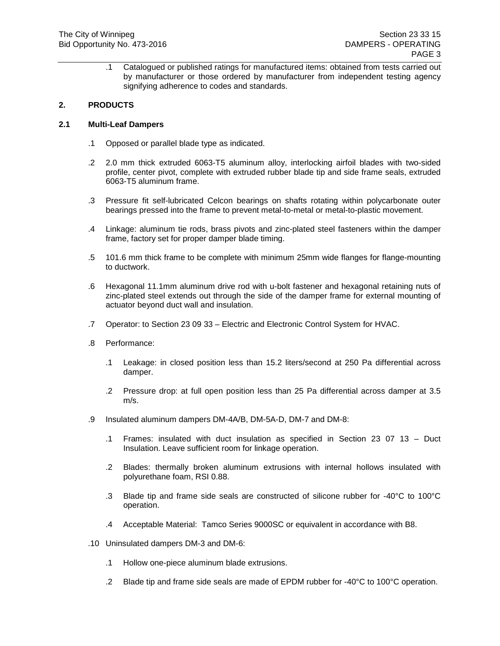.1 Catalogued or published ratings for manufactured items: obtained from tests carried out by manufacturer or those ordered by manufacturer from independent testing agency signifying adherence to codes and standards.

# **2. PRODUCTS**

### **2.1 Multi-Leaf Dampers**

- .1 Opposed or parallel blade type as indicated.
- .2 2.0 mm thick extruded 6063-T5 aluminum alloy, interlocking airfoil blades with two-sided profile, center pivot, complete with extruded rubber blade tip and side frame seals, extruded 6063-T5 aluminum frame.
- .3 Pressure fit self-lubricated Celcon bearings on shafts rotating within polycarbonate outer bearings pressed into the frame to prevent metal-to-metal or metal-to-plastic movement.
- .4 Linkage: aluminum tie rods, brass pivots and zinc-plated steel fasteners within the damper frame, factory set for proper damper blade timing.
- .5 101.6 mm thick frame to be complete with minimum 25mm wide flanges for flange-mounting to ductwork.
- .6 Hexagonal 11.1mm aluminum drive rod with u-bolt fastener and hexagonal retaining nuts of zinc-plated steel extends out through the side of the damper frame for external mounting of actuator beyond duct wall and insulation.
- .7 Operator: to Section 23 09 33 Electric and Electronic Control System for HVAC.
- .8 Performance:
	- .1 Leakage: in closed position less than 15.2 liters/second at 250 Pa differential across damper.
	- .2 Pressure drop: at full open position less than 25 Pa differential across damper at 3.5 m/s.
- .9 Insulated aluminum dampers DM-4A/B, DM-5A-D, DM-7 and DM-8:
	- .1 Frames: insulated with duct insulation as specified in Section 23 07 13 Duct Insulation. Leave sufficient room for linkage operation.
	- .2 Blades: thermally broken aluminum extrusions with internal hollows insulated with polyurethane foam, RSI 0.88.
	- .3 Blade tip and frame side seals are constructed of silicone rubber for -40°C to 100°C operation.
	- .4 Acceptable Material: Tamco Series 9000SC or equivalent in accordance with B8.
- .10 Uninsulated dampers DM-3 and DM-6:
	- .1 Hollow one-piece aluminum blade extrusions.
	- .2 Blade tip and frame side seals are made of EPDM rubber for -40 $\degree$ C to 100 $\degree$ C operation.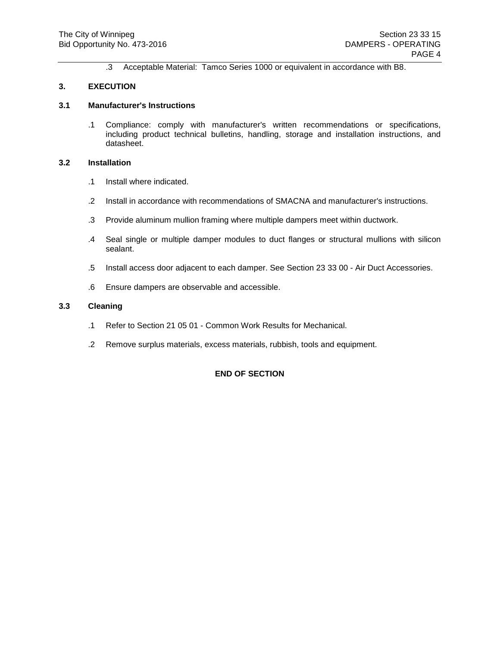.3 Acceptable Material: Tamco Series 1000 or equivalent in accordance with B8.

### **3. EXECUTION**

### **3.1 Manufacturer's Instructions**

.1 Compliance: comply with manufacturer's written recommendations or specifications, including product technical bulletins, handling, storage and installation instructions, and datasheet.

### **3.2 Installation**

- .1 Install where indicated.
- .2 Install in accordance with recommendations of SMACNA and manufacturer's instructions.
- .3 Provide aluminum mullion framing where multiple dampers meet within ductwork.
- .4 Seal single or multiple damper modules to duct flanges or structural mullions with silicon sealant.
- .5 Install access door adjacent to each damper. See Section 23 33 00 Air Duct Accessories.
- .6 Ensure dampers are observable and accessible.

#### **3.3 Cleaning**

- .1 Refer to Section 21 05 01 Common Work Results for Mechanical.
- .2 Remove surplus materials, excess materials, rubbish, tools and equipment.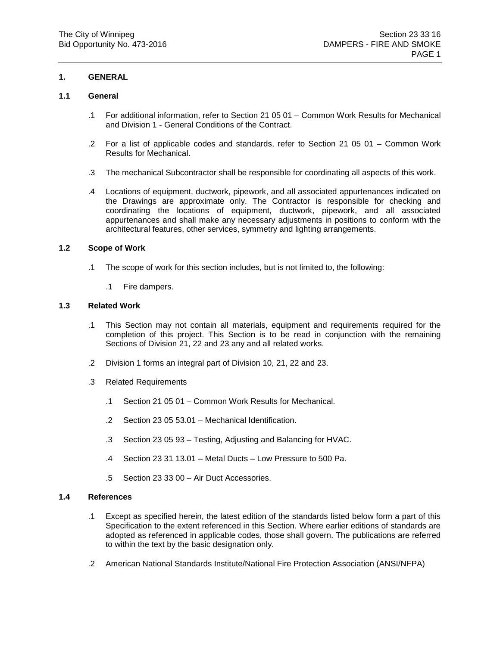### **1.1 General**

- .1 For additional information, refer to Section 21 05 01 Common Work Results for Mechanical and Division 1 - General Conditions of the Contract.
- .2 For a list of applicable codes and standards, refer to Section 21 05 01 Common Work Results for Mechanical.
- .3 The mechanical Subcontractor shall be responsible for coordinating all aspects of this work.
- .4 Locations of equipment, ductwork, pipework, and all associated appurtenances indicated on the Drawings are approximate only. The Contractor is responsible for checking and coordinating the locations of equipment, ductwork, pipework, and all associated appurtenances and shall make any necessary adjustments in positions to conform with the architectural features, other services, symmetry and lighting arrangements.

#### **1.2 Scope of Work**

- .1 The scope of work for this section includes, but is not limited to, the following:
	- .1 Fire dampers.

## **1.3 Related Work**

- .1 This Section may not contain all materials, equipment and requirements required for the completion of this project. This Section is to be read in conjunction with the remaining Sections of Division 21, 22 and 23 any and all related works.
- .2 Division 1 forms an integral part of Division 10, 21, 22 and 23.
- .3 Related Requirements
	- .1 Section 21 05 01 Common Work Results for Mechanical.
	- .2 Section 23 05 53.01 Mechanical Identification.
	- .3 Section 23 05 93 Testing, Adjusting and Balancing for HVAC.
	- .4 Section 23 31 13.01 Metal Ducts Low Pressure to 500 Pa.
	- .5 Section 23 33 00 Air Duct Accessories.

#### **1.4 References**

- .1 Except as specified herein, the latest edition of the standards listed below form a part of this Specification to the extent referenced in this Section. Where earlier editions of standards are adopted as referenced in applicable codes, those shall govern. The publications are referred to within the text by the basic designation only.
- .2 American National Standards Institute/National Fire Protection Association (ANSI/NFPA)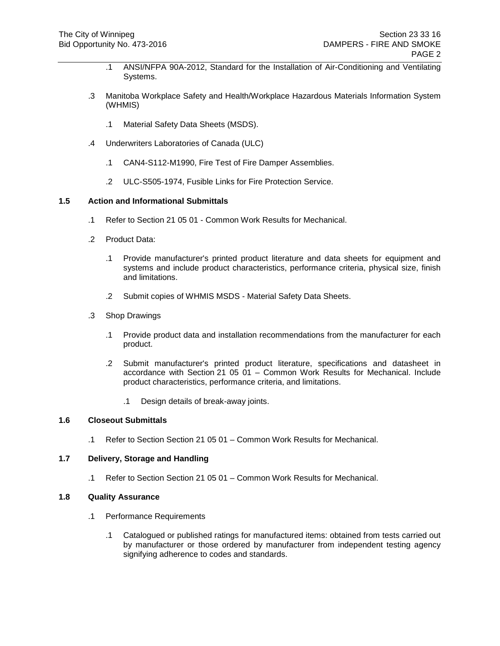- .1 ANSI/NFPA 90A-2012, Standard for the Installation of Air-Conditioning and Ventilating Systems.
- .3 Manitoba Workplace Safety and Health/Workplace Hazardous Materials Information System (WHMIS)
	- .1 Material Safety Data Sheets (MSDS).
- .4 Underwriters Laboratories of Canada (ULC)
	- .1 CAN4-S112-M1990, Fire Test of Fire Damper Assemblies.
	- .2 ULC-S505-1974, Fusible Links for Fire Protection Service.

- .1 Refer to Section 21 05 01 Common Work Results for Mechanical.
- .2 Product Data:
	- .1 Provide manufacturer's printed product literature and data sheets for equipment and systems and include product characteristics, performance criteria, physical size, finish and limitations.
	- .2 Submit copies of WHMIS MSDS Material Safety Data Sheets.
- .3 Shop Drawings
	- .1 Provide product data and installation recommendations from the manufacturer for each product.
	- .2 Submit manufacturer's printed product literature, specifications and datasheet in accordance with Section 21 05 01 – Common Work Results for Mechanical. Include product characteristics, performance criteria, and limitations.
		- .1 Design details of break-away joints.

### **1.6 Closeout Submittals**

.1 Refer to Section Section 21 05 01 – Common Work Results for Mechanical.

#### **1.7 Delivery, Storage and Handling**

.1 Refer to Section Section 21 05 01 – Common Work Results for Mechanical.

#### **1.8 Quality Assurance**

- .1 Performance Requirements
	- .1 Catalogued or published ratings for manufactured items: obtained from tests carried out by manufacturer or those ordered by manufacturer from independent testing agency signifying adherence to codes and standards.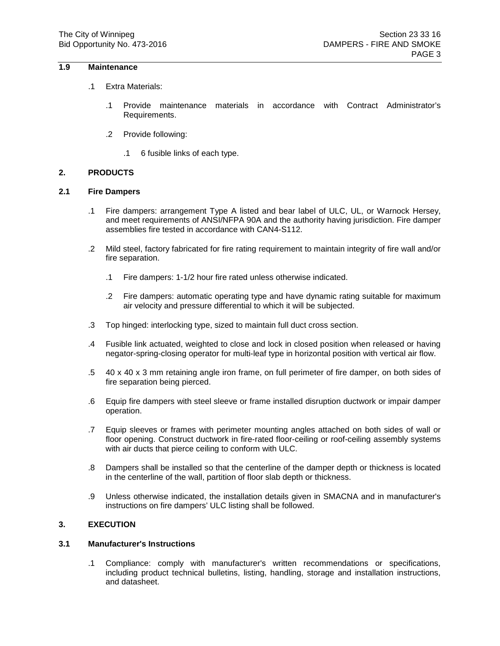## **1.9 Maintenance**

- .1 Extra Materials:
	- .1 Provide maintenance materials in accordance with Contract Administrator's Requirements.
	- .2 Provide following:
		- .1 6 fusible links of each type.

## **2. PRODUCTS**

#### **2.1 Fire Dampers**

- .1 Fire dampers: arrangement Type A listed and bear label of ULC, UL, or Warnock Hersey, and meet requirements of ANSI/NFPA 90A and the authority having jurisdiction. Fire damper assemblies fire tested in accordance with CAN4-S112.
- .2 Mild steel, factory fabricated for fire rating requirement to maintain integrity of fire wall and/or fire separation.
	- .1 Fire dampers: 1-1/2 hour fire rated unless otherwise indicated.
	- .2 Fire dampers: automatic operating type and have dynamic rating suitable for maximum air velocity and pressure differential to which it will be subjected.
- .3 Top hinged: interlocking type, sized to maintain full duct cross section.
- .4 Fusible link actuated, weighted to close and lock in closed position when released or having negator-spring-closing operator for multi-leaf type in horizontal position with vertical air flow.
- .5 40 x 40 x 3 mm retaining angle iron frame, on full perimeter of fire damper, on both sides of fire separation being pierced.
- .6 Equip fire dampers with steel sleeve or frame installed disruption ductwork or impair damper operation.
- .7 Equip sleeves or frames with perimeter mounting angles attached on both sides of wall or floor opening. Construct ductwork in fire-rated floor-ceiling or roof-ceiling assembly systems with air ducts that pierce ceiling to conform with ULC.
- .8 Dampers shall be installed so that the centerline of the damper depth or thickness is located in the centerline of the wall, partition of floor slab depth or thickness.
- .9 Unless otherwise indicated, the installation details given in SMACNA and in manufacturer's instructions on fire dampers' ULC listing shall be followed.

# **3. EXECUTION**

## **3.1 Manufacturer's Instructions**

.1 Compliance: comply with manufacturer's written recommendations or specifications, including product technical bulletins, listing, handling, storage and installation instructions, and datasheet.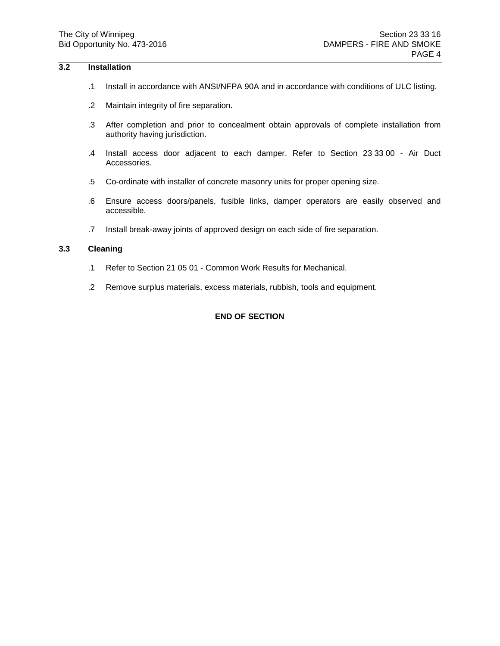### **3.2 Installation**

- .1 Install in accordance with ANSI/NFPA 90A and in accordance with conditions of ULC listing.
- .2 Maintain integrity of fire separation.
- .3 After completion and prior to concealment obtain approvals of complete installation from authority having jurisdiction.
- .4 Install access door adjacent to each damper. Refer to Section 23 33 00 Air Duct Accessories.
- .5 Co-ordinate with installer of concrete masonry units for proper opening size.
- .6 Ensure access doors/panels, fusible links, damper operators are easily observed and accessible.
- .7 Install break-away joints of approved design on each side of fire separation.

# **3.3 Cleaning**

- .1 Refer to Section 21 05 01 Common Work Results for Mechanical.
- .2 Remove surplus materials, excess materials, rubbish, tools and equipment.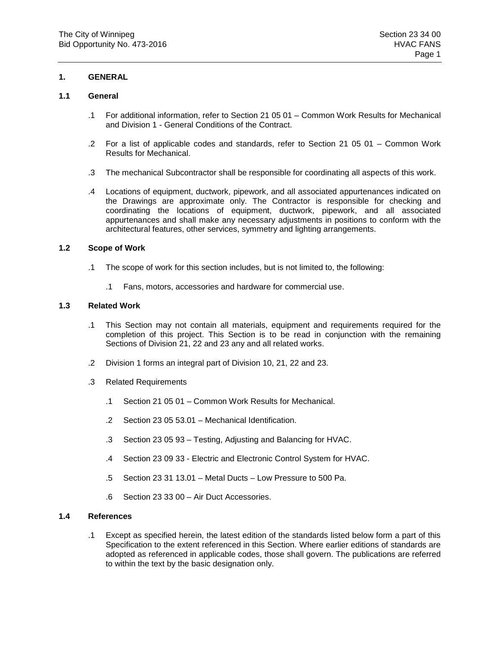### **1.1 General**

- .1 For additional information, refer to Section 21 05 01 Common Work Results for Mechanical and Division 1 - General Conditions of the Contract.
- .2 For a list of applicable codes and standards, refer to Section 21 05 01 Common Work Results for Mechanical.
- .3 The mechanical Subcontractor shall be responsible for coordinating all aspects of this work.
- .4 Locations of equipment, ductwork, pipework, and all associated appurtenances indicated on the Drawings are approximate only. The Contractor is responsible for checking and coordinating the locations of equipment, ductwork, pipework, and all associated appurtenances and shall make any necessary adjustments in positions to conform with the architectural features, other services, symmetry and lighting arrangements.

#### **1.2 Scope of Work**

- .1 The scope of work for this section includes, but is not limited to, the following:
	- .1 Fans, motors, accessories and hardware for commercial use.

## **1.3 Related Work**

- .1 This Section may not contain all materials, equipment and requirements required for the completion of this project. This Section is to be read in conjunction with the remaining Sections of Division 21, 22 and 23 any and all related works.
- .2 Division 1 forms an integral part of Division 10, 21, 22 and 23.
- .3 Related Requirements
	- .1 Section 21 05 01 Common Work Results for Mechanical.
	- .2 Section 23 05 53.01 Mechanical Identification.
	- .3 Section 23 05 93 Testing, Adjusting and Balancing for HVAC.
	- .4 Section 23 09 33 Electric and Electronic Control System for HVAC.
	- .5 Section 23 31 13.01 Metal Ducts Low Pressure to 500 Pa.
	- .6 Section 23 33 00 Air Duct Accessories.

### **1.4 References**

.1 Except as specified herein, the latest edition of the standards listed below form a part of this Specification to the extent referenced in this Section. Where earlier editions of standards are adopted as referenced in applicable codes, those shall govern. The publications are referred to within the text by the basic designation only.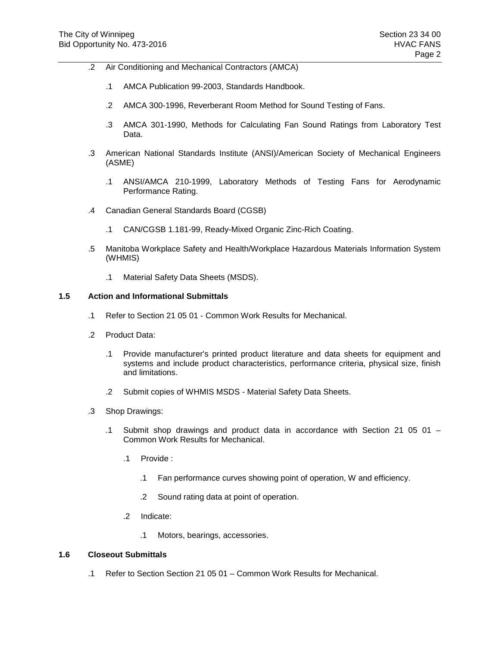- .2 Air Conditioning and Mechanical Contractors (AMCA)
	- .1 AMCA Publication 99-2003, Standards Handbook.
	- .2 AMCA 300-1996, Reverberant Room Method for Sound Testing of Fans.
	- .3 AMCA 301-1990, Methods for Calculating Fan Sound Ratings from Laboratory Test Data.
- .3 American National Standards Institute (ANSI)/American Society of Mechanical Engineers (ASME)
	- .1 ANSI/AMCA 210-1999, Laboratory Methods of Testing Fans for Aerodynamic Performance Rating.
- .4 Canadian General Standards Board (CGSB)
	- .1 CAN/CGSB 1.181-99, Ready-Mixed Organic Zinc-Rich Coating.
- .5 Manitoba Workplace Safety and Health/Workplace Hazardous Materials Information System (WHMIS)
	- .1 Material Safety Data Sheets (MSDS).

- .1 Refer to Section 21 05 01 Common Work Results for Mechanical.
- .2 Product Data:
	- .1 Provide manufacturer's printed product literature and data sheets for equipment and systems and include product characteristics, performance criteria, physical size, finish and limitations.
	- .2 Submit copies of WHMIS MSDS Material Safety Data Sheets.
- .3 Shop Drawings:
	- .1 Submit shop drawings and product data in accordance with Section 21 05 01 Common Work Results for Mechanical.
		- .1 Provide :
			- .1 Fan performance curves showing point of operation, W and efficiency.
			- .2 Sound rating data at point of operation.
		- .2 Indicate:
			- .1 Motors, bearings, accessories.

# **1.6 Closeout Submittals**

.1 Refer to Section Section 21 05 01 – Common Work Results for Mechanical.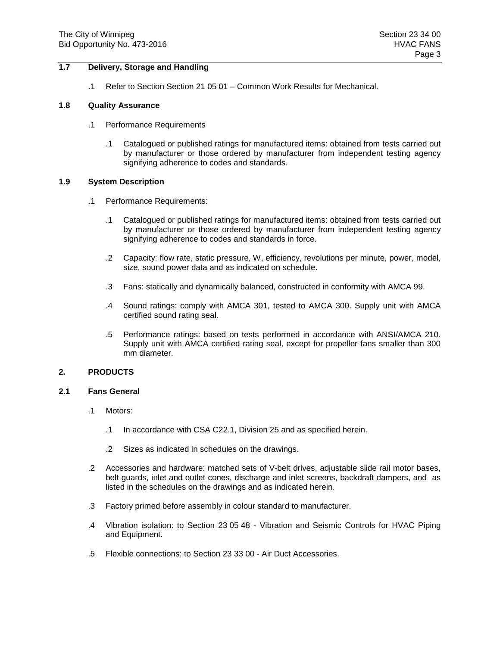### **1.7 Delivery, Storage and Handling**

.1 Refer to Section Section 21 05 01 – Common Work Results for Mechanical.

#### **1.8 Quality Assurance**

- .1 Performance Requirements
	- .1 Catalogued or published ratings for manufactured items: obtained from tests carried out by manufacturer or those ordered by manufacturer from independent testing agency signifying adherence to codes and standards.

#### **1.9 System Description**

- .1 Performance Requirements:
	- .1 Catalogued or published ratings for manufactured items: obtained from tests carried out by manufacturer or those ordered by manufacturer from independent testing agency signifying adherence to codes and standards in force.
	- .2 Capacity: flow rate, static pressure, W, efficiency, revolutions per minute, power, model, size, sound power data and as indicated on schedule.
	- .3 Fans: statically and dynamically balanced, constructed in conformity with AMCA 99.
	- .4 Sound ratings: comply with AMCA 301, tested to AMCA 300. Supply unit with AMCA certified sound rating seal.
	- .5 Performance ratings: based on tests performed in accordance with ANSI/AMCA 210. Supply unit with AMCA certified rating seal, except for propeller fans smaller than 300 mm diameter.

### **2. PRODUCTS**

### **2.1 Fans General**

- .1 Motors:
	- .1 In accordance with CSA C22.1, Division 25 and as specified herein.
	- .2 Sizes as indicated in schedules on the drawings.
- .2 Accessories and hardware: matched sets of V-belt drives, adjustable slide rail motor bases, belt guards, inlet and outlet cones, discharge and inlet screens, backdraft dampers, and as listed in the schedules on the drawings and as indicated herein.
- .3 Factory primed before assembly in colour standard to manufacturer.
- .4 Vibration isolation: to Section 23 05 48 Vibration and Seismic Controls for HVAC Piping and Equipment.
- .5 Flexible connections: to Section 23 33 00 Air Duct Accessories.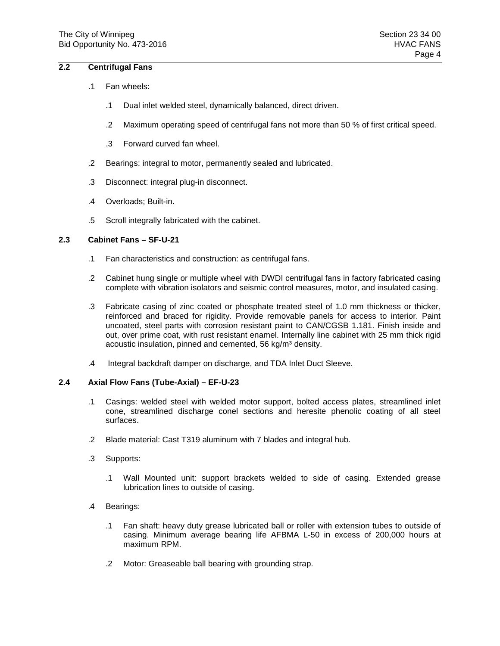## **2.2 Centrifugal Fans**

- .1 Fan wheels:
	- .1 Dual inlet welded steel, dynamically balanced, direct driven.
	- .2 Maximum operating speed of centrifugal fans not more than 50 % of first critical speed.
	- .3 Forward curved fan wheel.
- .2 Bearings: integral to motor, permanently sealed and lubricated.
- .3 Disconnect: integral plug-in disconnect.
- .4 Overloads; Built-in.
- .5 Scroll integrally fabricated with the cabinet.

#### **2.3 Cabinet Fans – SF-U-21**

- .1 Fan characteristics and construction: as centrifugal fans.
- .2 Cabinet hung single or multiple wheel with DWDI centrifugal fans in factory fabricated casing complete with vibration isolators and seismic control measures, motor, and insulated casing.
- .3 Fabricate casing of zinc coated or phosphate treated steel of 1.0 mm thickness or thicker, reinforced and braced for rigidity. Provide removable panels for access to interior. Paint uncoated, steel parts with corrosion resistant paint to CAN/CGSB 1.181. Finish inside and out, over prime coat, with rust resistant enamel. Internally line cabinet with 25 mm thick rigid acoustic insulation, pinned and cemented, 56 kg/m<sup>3</sup> density.
- .4 Integral backdraft damper on discharge, and TDA Inlet Duct Sleeve.

## **2.4 Axial Flow Fans (Tube-Axial) – EF-U-23**

- .1 Casings: welded steel with welded motor support, bolted access plates, streamlined inlet cone, streamlined discharge conel sections and heresite phenolic coating of all steel surfaces.
- .2 Blade material: Cast T319 aluminum with 7 blades and integral hub.
- .3 Supports:
	- .1 Wall Mounted unit: support brackets welded to side of casing. Extended grease lubrication lines to outside of casing.
- .4 Bearings:
	- .1 Fan shaft: heavy duty grease lubricated ball or roller with extension tubes to outside of casing. Minimum average bearing life AFBMA L-50 in excess of 200,000 hours at maximum RPM.
	- .2 Motor: Greaseable ball bearing with grounding strap.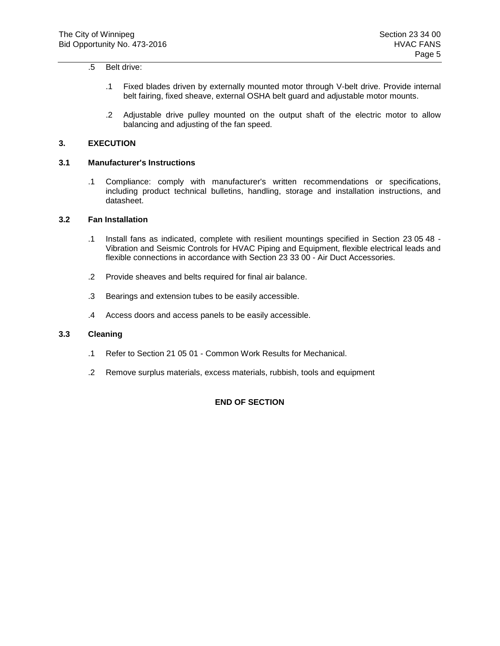### .5 Belt drive:

- .1 Fixed blades driven by externally mounted motor through V-belt drive. Provide internal belt fairing, fixed sheave, external OSHA belt guard and adjustable motor mounts.
- .2 Adjustable drive pulley mounted on the output shaft of the electric motor to allow balancing and adjusting of the fan speed.

### **3. EXECUTION**

### **3.1 Manufacturer's Instructions**

.1 Compliance: comply with manufacturer's written recommendations or specifications, including product technical bulletins, handling, storage and installation instructions, and datasheet.

### **3.2 Fan Installation**

- .1 Install fans as indicated, complete with resilient mountings specified in Section 23 05 48 Vibration and Seismic Controls for HVAC Piping and Equipment, flexible electrical leads and flexible connections in accordance with Section 23 33 00 - Air Duct Accessories.
- .2 Provide sheaves and belts required for final air balance.
- .3 Bearings and extension tubes to be easily accessible.
- .4 Access doors and access panels to be easily accessible.

#### **3.3 Cleaning**

- .1 Refer to Section 21 05 01 Common Work Results for Mechanical.
- .2 Remove surplus materials, excess materials, rubbish, tools and equipment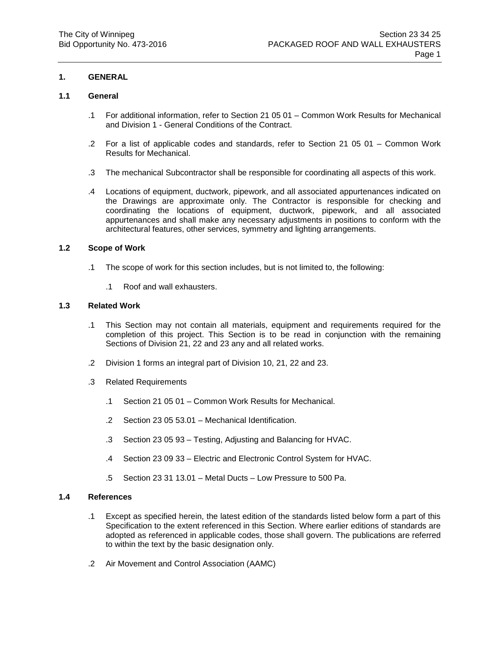## **1.1 General**

- .1 For additional information, refer to Section 21 05 01 Common Work Results for Mechanical and Division 1 - General Conditions of the Contract.
- .2 For a list of applicable codes and standards, refer to Section 21 05 01 Common Work Results for Mechanical.
- .3 The mechanical Subcontractor shall be responsible for coordinating all aspects of this work.
- .4 Locations of equipment, ductwork, pipework, and all associated appurtenances indicated on the Drawings are approximate only. The Contractor is responsible for checking and coordinating the locations of equipment, ductwork, pipework, and all associated appurtenances and shall make any necessary adjustments in positions to conform with the architectural features, other services, symmetry and lighting arrangements.

#### **1.2 Scope of Work**

- .1 The scope of work for this section includes, but is not limited to, the following:
	- .1 Roof and wall exhausters.

## **1.3 Related Work**

- .1 This Section may not contain all materials, equipment and requirements required for the completion of this project. This Section is to be read in conjunction with the remaining Sections of Division 21, 22 and 23 any and all related works.
- .2 Division 1 forms an integral part of Division 10, 21, 22 and 23.
- .3 Related Requirements
	- .1 Section 21 05 01 Common Work Results for Mechanical.
	- .2 Section 23 05 53.01 Mechanical Identification.
	- .3 Section 23 05 93 Testing, Adjusting and Balancing for HVAC.
	- .4 Section 23 09 33 Electric and Electronic Control System for HVAC.
	- .5 Section 23 31 13.01 Metal Ducts Low Pressure to 500 Pa.

#### **1.4 References**

- .1 Except as specified herein, the latest edition of the standards listed below form a part of this Specification to the extent referenced in this Section. Where earlier editions of standards are adopted as referenced in applicable codes, those shall govern. The publications are referred to within the text by the basic designation only.
- .2 Air Movement and Control Association (AAMC)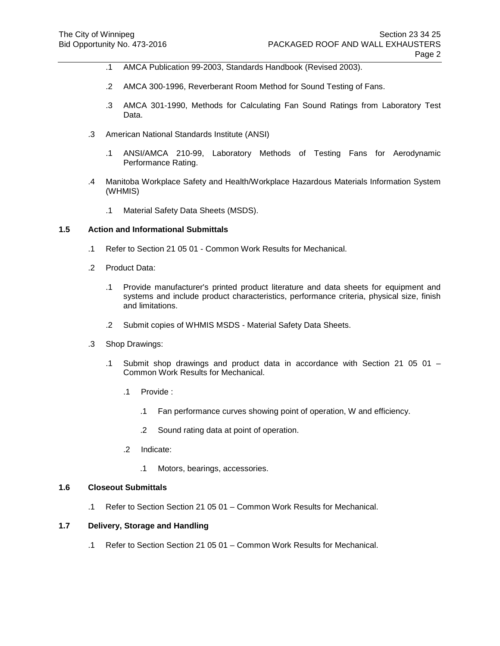- .1 AMCA Publication 99-2003, Standards Handbook (Revised 2003).
- .2 AMCA 300-1996, Reverberant Room Method for Sound Testing of Fans.
- .3 AMCA 301-1990, Methods for Calculating Fan Sound Ratings from Laboratory Test Data.
- .3 American National Standards Institute (ANSI)
	- .1 ANSI/AMCA 210-99, Laboratory Methods of Testing Fans for Aerodynamic Performance Rating.
- .4 Manitoba Workplace Safety and Health/Workplace Hazardous Materials Information System (WHMIS)
	- .1 Material Safety Data Sheets (MSDS).

- .1 Refer to Section 21 05 01 Common Work Results for Mechanical.
- .2 Product Data:
	- .1 Provide manufacturer's printed product literature and data sheets for equipment and systems and include product characteristics, performance criteria, physical size, finish and limitations.
	- .2 Submit copies of WHMIS MSDS Material Safety Data Sheets.
- .3 Shop Drawings:
	- .1 Submit shop drawings and product data in accordance with Section 21 05 01 Common Work Results for Mechanical.
		- .1 Provide :
			- .1 Fan performance curves showing point of operation, W and efficiency.
			- .2 Sound rating data at point of operation.
		- .2 Indicate:
			- .1 Motors, bearings, accessories.

#### **1.6 Closeout Submittals**

.1 Refer to Section Section 21 05 01 – Common Work Results for Mechanical.

### **1.7 Delivery, Storage and Handling**

.1 Refer to Section Section 21 05 01 – Common Work Results for Mechanical.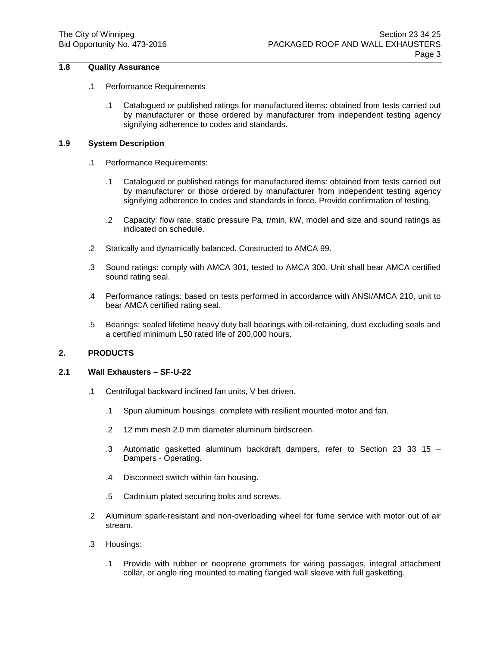# **1.8 Quality Assurance**

#### .1 Performance Requirements

.1 Catalogued or published ratings for manufactured items: obtained from tests carried out by manufacturer or those ordered by manufacturer from independent testing agency signifying adherence to codes and standards.

### **1.9 System Description**

- .1 Performance Requirements:
	- .1 Catalogued or published ratings for manufactured items: obtained from tests carried out by manufacturer or those ordered by manufacturer from independent testing agency signifying adherence to codes and standards in force. Provide confirmation of testing.
	- .2 Capacity: flow rate, static pressure Pa, r/min, kW, model and size and sound ratings as indicated on schedule.
- .2 Statically and dynamically balanced. Constructed to AMCA 99.
- .3 Sound ratings: comply with AMCA 301, tested to AMCA 300. Unit shall bear AMCA certified sound rating seal.
- .4 Performance ratings: based on tests performed in accordance with ANSI/AMCA 210, unit to bear AMCA certified rating seal.
- .5 Bearings: sealed lifetime heavy duty ball bearings with oil-retaining, dust excluding seals and a certified minimum L50 rated life of 200,000 hours.

#### **2. PRODUCTS**

#### **2.1 Wall Exhausters – SF-U-22**

- .1 Centrifugal backward inclined fan units, V bet driven.
	- .1 Spun aluminum housings, complete with resilient mounted motor and fan.
	- .2 12 mm mesh 2.0 mm diameter aluminum birdscreen.
	- .3 Automatic gasketted aluminum backdraft dampers, refer to Section 23 33 15 Dampers - Operating.
	- .4 Disconnect switch within fan housing.
	- .5 Cadmium plated securing bolts and screws.
- .2 Aluminum spark-resistant and non-overloading wheel for fume service with motor out of air stream.
- .3 Housings:
	- .1 Provide with rubber or neoprene grommets for wiring passages, integral attachment collar, or angle ring mounted to mating flanged wall sleeve with full gasketting.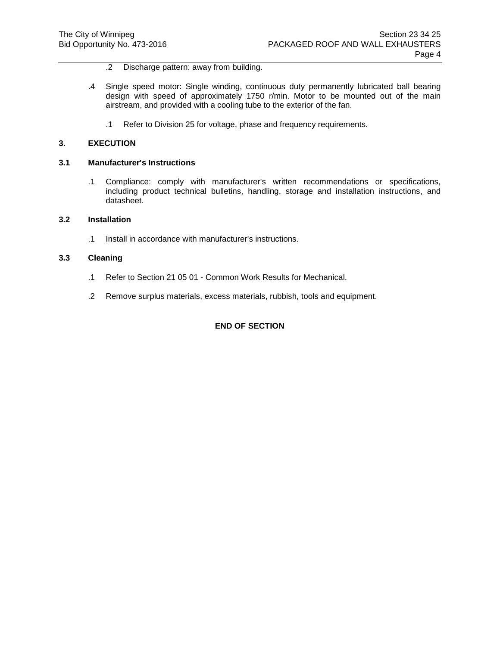- .2 Discharge pattern: away from building.
- .4 Single speed motor: Single winding, continuous duty permanently lubricated ball bearing design with speed of approximately 1750 r/min. Motor to be mounted out of the main airstream, and provided with a cooling tube to the exterior of the fan.
	- .1 Refer to Division 25 for voltage, phase and frequency requirements.

#### **3. EXECUTION**

#### **3.1 Manufacturer's Instructions**

.1 Compliance: comply with manufacturer's written recommendations or specifications, including product technical bulletins, handling, storage and installation instructions, and datasheet.

### **3.2 Installation**

.1 Install in accordance with manufacturer's instructions.

### **3.3 Cleaning**

- .1 Refer to Section 21 05 01 Common Work Results for Mechanical.
- .2 Remove surplus materials, excess materials, rubbish, tools and equipment.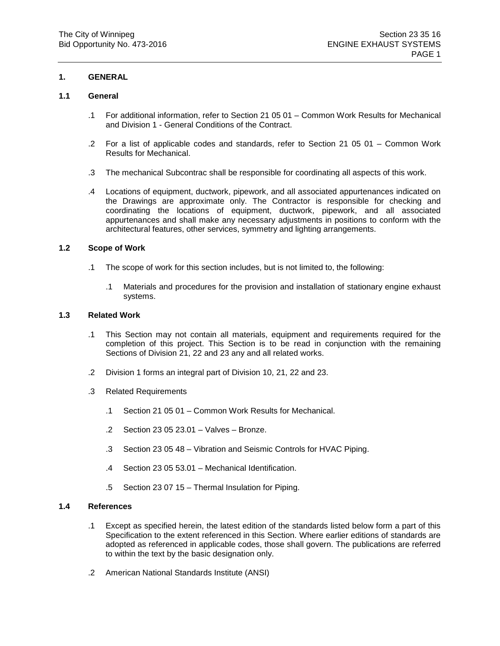## **1.1 General**

- .1 For additional information, refer to Section 21 05 01 Common Work Results for Mechanical and Division 1 - General Conditions of the Contract.
- .2 For a list of applicable codes and standards, refer to Section 21 05 01 Common Work Results for Mechanical.
- .3 The mechanical Subcontrac shall be responsible for coordinating all aspects of this work.
- .4 Locations of equipment, ductwork, pipework, and all associated appurtenances indicated on the Drawings are approximate only. The Contractor is responsible for checking and coordinating the locations of equipment, ductwork, pipework, and all associated appurtenances and shall make any necessary adjustments in positions to conform with the architectural features, other services, symmetry and lighting arrangements.

#### **1.2 Scope of Work**

- .1 The scope of work for this section includes, but is not limited to, the following:
	- .1 Materials and procedures for the provision and installation of stationary engine exhaust systems.

## **1.3 Related Work**

- .1 This Section may not contain all materials, equipment and requirements required for the completion of this project. This Section is to be read in conjunction with the remaining Sections of Division 21, 22 and 23 any and all related works.
- .2 Division 1 forms an integral part of Division 10, 21, 22 and 23.
- .3 Related Requirements
	- .1 Section 21 05 01 Common Work Results for Mechanical.
	- .2 Section 23 05 23.01 Valves Bronze.
	- .3 Section 23 05 48 Vibration and Seismic Controls for HVAC Piping.
	- .4 Section 23 05 53.01 Mechanical Identification.
	- .5 Section 23 07 15 Thermal Insulation for Piping.

#### **1.4 References**

- .1 Except as specified herein, the latest edition of the standards listed below form a part of this Specification to the extent referenced in this Section. Where earlier editions of standards are adopted as referenced in applicable codes, those shall govern. The publications are referred to within the text by the basic designation only.
- .2 American National Standards Institute (ANSI)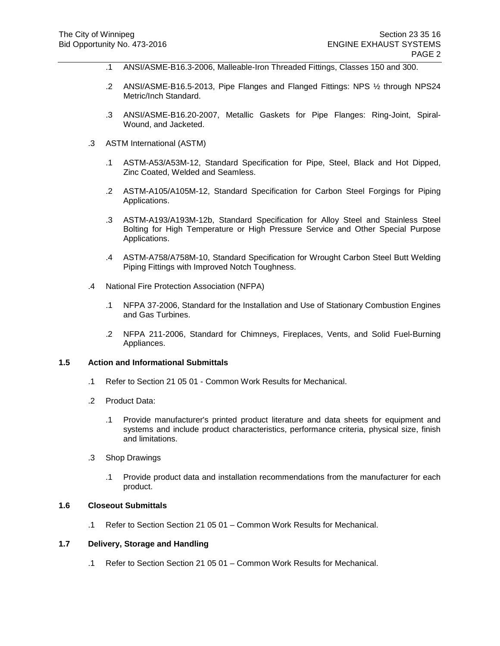- .1 ANSI/ASME-B16.3-2006, Malleable-Iron Threaded Fittings, Classes 150 and 300.
- .2 ANSI/ASME-B16.5-2013, Pipe Flanges and Flanged Fittings: NPS ½ through NPS24 Metric/Inch Standard.
- .3 ANSI/ASME-B16.20-2007, Metallic Gaskets for Pipe Flanges: Ring-Joint, Spiral-Wound, and Jacketed.
- .3 ASTM International (ASTM)
	- .1 ASTM-A53/A53M-12, Standard Specification for Pipe, Steel, Black and Hot Dipped, Zinc Coated, Welded and Seamless.
	- .2 ASTM-A105/A105M-12, Standard Specification for Carbon Steel Forgings for Piping Applications.
	- .3 ASTM-A193/A193M-12b, Standard Specification for Alloy Steel and Stainless Steel Bolting for High Temperature or High Pressure Service and Other Special Purpose Applications.
	- .4 ASTM-A758/A758M-10, Standard Specification for Wrought Carbon Steel Butt Welding Piping Fittings with Improved Notch Toughness.
- .4 National Fire Protection Association (NFPA)
	- .1 NFPA 37-2006, Standard for the Installation and Use of Stationary Combustion Engines and Gas Turbines.
	- .2 NFPA 211-2006, Standard for Chimneys, Fireplaces, Vents, and Solid Fuel-Burning Appliances.

- .1 Refer to Section 21 05 01 Common Work Results for Mechanical.
- .2 Product Data:
	- .1 Provide manufacturer's printed product literature and data sheets for equipment and systems and include product characteristics, performance criteria, physical size, finish and limitations.
- .3 Shop Drawings
	- .1 Provide product data and installation recommendations from the manufacturer for each product.

#### **1.6 Closeout Submittals**

.1 Refer to Section Section 21 05 01 – Common Work Results for Mechanical.

## **1.7 Delivery, Storage and Handling**

.1 Refer to Section Section 21 05 01 – Common Work Results for Mechanical.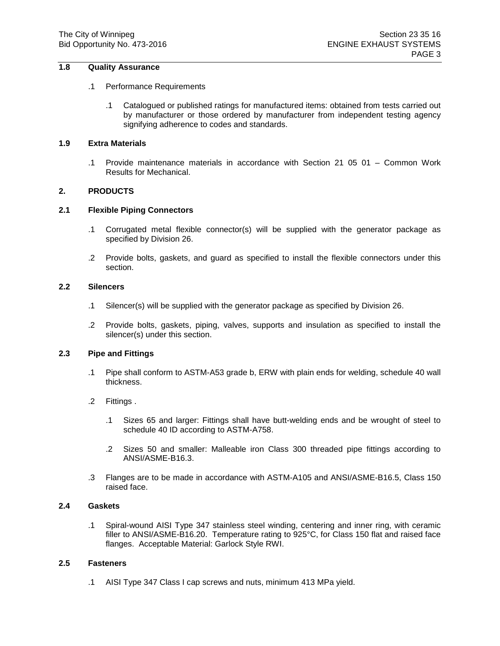## **1.8 Quality Assurance**

#### .1 Performance Requirements

.1 Catalogued or published ratings for manufactured items: obtained from tests carried out by manufacturer or those ordered by manufacturer from independent testing agency signifying adherence to codes and standards.

### **1.9 Extra Materials**

.1 Provide maintenance materials in accordance with Section 21 05 01 – Common Work Results for Mechanical.

#### **2. PRODUCTS**

#### **2.1 Flexible Piping Connectors**

- .1 Corrugated metal flexible connector(s) will be supplied with the generator package as specified by Division 26.
- .2 Provide bolts, gaskets, and guard as specified to install the flexible connectors under this section.

#### **2.2 Silencers**

- .1 Silencer(s) will be supplied with the generator package as specified by Division 26.
- .2 Provide bolts, gaskets, piping, valves, supports and insulation as specified to install the silencer(s) under this section.

#### **2.3 Pipe and Fittings**

- .1 Pipe shall conform to ASTM-A53 grade b, ERW with plain ends for welding, schedule 40 wall thickness.
- .2 Fittings .
	- .1 Sizes 65 and larger: Fittings shall have butt-welding ends and be wrought of steel to schedule 40 ID according to ASTM-A758.
	- .2 Sizes 50 and smaller: Malleable iron Class 300 threaded pipe fittings according to ANSI/ASME-B16.3.
- .3 Flanges are to be made in accordance with ASTM-A105 and ANSI/ASME-B16.5, Class 150 raised face.

#### **2.4 Gaskets**

.1 Spiral-wound AISI Type 347 stainless steel winding, centering and inner ring, with ceramic filler to ANSI/ASME-B16.20. Temperature rating to 925°C, for Class 150 flat and raised face flanges. Acceptable Material: Garlock Style RWI.

#### **2.5 Fasteners**

.1 AISI Type 347 Class I cap screws and nuts, minimum 413 MPa yield.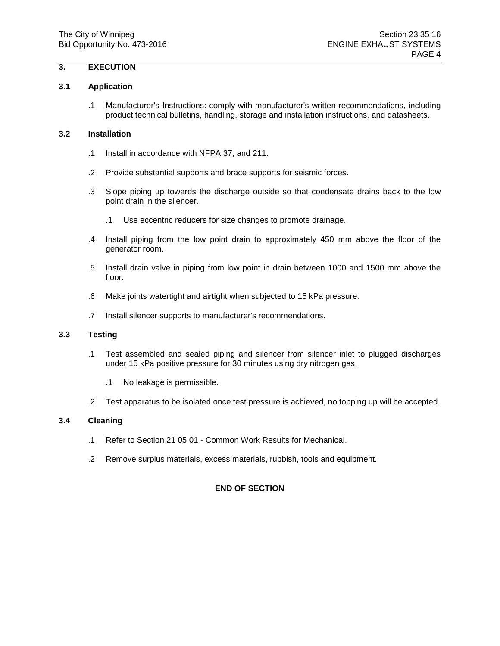# **3. EXECUTION**

### **3.1 Application**

.1 Manufacturer's Instructions: comply with manufacturer's written recommendations, including product technical bulletins, handling, storage and installation instructions, and datasheets.

### **3.2 Installation**

- .1 Install in accordance with NFPA 37, and 211.
- .2 Provide substantial supports and brace supports for seismic forces.
- .3 Slope piping up towards the discharge outside so that condensate drains back to the low point drain in the silencer.
	- .1 Use eccentric reducers for size changes to promote drainage.
- .4 Install piping from the low point drain to approximately 450 mm above the floor of the generator room.
- .5 Install drain valve in piping from low point in drain between 1000 and 1500 mm above the floor.
- .6 Make joints watertight and airtight when subjected to 15 kPa pressure.
- .7 Install silencer supports to manufacturer's recommendations.

#### **3.3 Testing**

- .1 Test assembled and sealed piping and silencer from silencer inlet to plugged discharges under 15 kPa positive pressure for 30 minutes using dry nitrogen gas.
	- .1 No leakage is permissible.
- .2 Test apparatus to be isolated once test pressure is achieved, no topping up will be accepted.

### **3.4 Cleaning**

- .1 Refer to Section 21 05 01 Common Work Results for Mechanical.
- .2 Remove surplus materials, excess materials, rubbish, tools and equipment.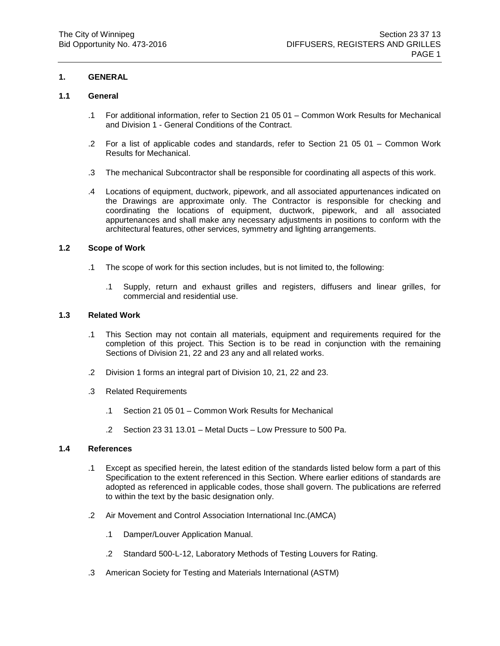## **1.1 General**

- .1 For additional information, refer to Section 21 05 01 Common Work Results for Mechanical and Division 1 - General Conditions of the Contract.
- .2 For a list of applicable codes and standards, refer to Section 21 05 01 Common Work Results for Mechanical.
- .3 The mechanical Subcontractor shall be responsible for coordinating all aspects of this work.
- .4 Locations of equipment, ductwork, pipework, and all associated appurtenances indicated on the Drawings are approximate only. The Contractor is responsible for checking and coordinating the locations of equipment, ductwork, pipework, and all associated appurtenances and shall make any necessary adjustments in positions to conform with the architectural features, other services, symmetry and lighting arrangements.

#### **1.2 Scope of Work**

- .1 The scope of work for this section includes, but is not limited to, the following:
	- .1 Supply, return and exhaust grilles and registers, diffusers and linear grilles, for commercial and residential use.

# **1.3 Related Work**

- .1 This Section may not contain all materials, equipment and requirements required for the completion of this project. This Section is to be read in conjunction with the remaining Sections of Division 21, 22 and 23 any and all related works.
- .2 Division 1 forms an integral part of Division 10, 21, 22 and 23.
- .3 Related Requirements
	- .1 Section 21 05 01 Common Work Results for Mechanical
	- .2 Section 23 31 13.01 Metal Ducts Low Pressure to 500 Pa.

# **1.4 References**

- .1 Except as specified herein, the latest edition of the standards listed below form a part of this Specification to the extent referenced in this Section. Where earlier editions of standards are adopted as referenced in applicable codes, those shall govern. The publications are referred to within the text by the basic designation only.
- .2 Air Movement and Control Association International Inc.(AMCA)
	- .1 Damper/Louver Application Manual.
	- .2 Standard 500-L-12, Laboratory Methods of Testing Louvers for Rating.
- .3 American Society for Testing and Materials International (ASTM)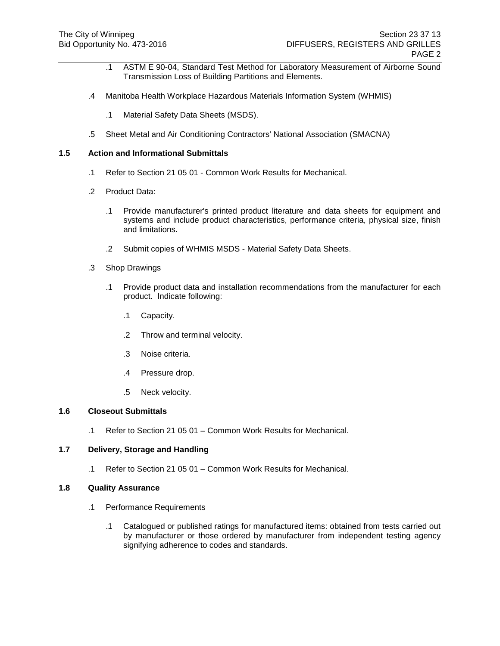- .1 ASTM E 90-04, Standard Test Method for Laboratory Measurement of Airborne Sound Transmission Loss of Building Partitions and Elements.
- .4 Manitoba Health Workplace Hazardous Materials Information System (WHMIS)
	- .1 Material Safety Data Sheets (MSDS).
- .5 Sheet Metal and Air Conditioning Contractors' National Association (SMACNA)

- .1 Refer to Section 21 05 01 Common Work Results for Mechanical.
- .2 Product Data:
	- .1 Provide manufacturer's printed product literature and data sheets for equipment and systems and include product characteristics, performance criteria, physical size, finish and limitations.
	- .2 Submit copies of WHMIS MSDS Material Safety Data Sheets.
- .3 Shop Drawings
	- .1 Provide product data and installation recommendations from the manufacturer for each product. Indicate following:
		- .1 Capacity.
		- .2 Throw and terminal velocity.
		- .3 Noise criteria.
		- .4 Pressure drop.
		- .5 Neck velocity.

#### **1.6 Closeout Submittals**

.1 Refer to Section 21 05 01 – Common Work Results for Mechanical.

#### **1.7 Delivery, Storage and Handling**

.1 Refer to Section 21 05 01 – Common Work Results for Mechanical.

#### **1.8 Quality Assurance**

- .1 Performance Requirements
	- .1 Catalogued or published ratings for manufactured items: obtained from tests carried out by manufacturer or those ordered by manufacturer from independent testing agency signifying adherence to codes and standards.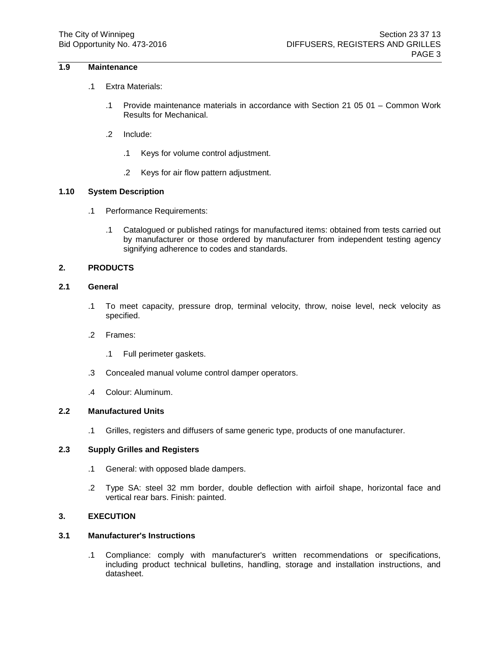## **1.9 Maintenance**

- .1 Extra Materials:
	- .1 Provide maintenance materials in accordance with Section 21 05 01 Common Work Results for Mechanical.
	- .2 Include:
		- .1 Keys for volume control adjustment.
		- .2 Keys for air flow pattern adjustment.

## **1.10 System Description**

- .1 Performance Requirements:
	- .1 Catalogued or published ratings for manufactured items: obtained from tests carried out by manufacturer or those ordered by manufacturer from independent testing agency signifying adherence to codes and standards.

## **2. PRODUCTS**

# **2.1 General**

- .1 To meet capacity, pressure drop, terminal velocity, throw, noise level, neck velocity as specified.
- .2 Frames:
	- .1 Full perimeter gaskets.
- .3 Concealed manual volume control damper operators.
- .4 Colour: Aluminum.

#### **2.2 Manufactured Units**

.1 Grilles, registers and diffusers of same generic type, products of one manufacturer.

#### **2.3 Supply Grilles and Registers**

- .1 General: with opposed blade dampers.
- .2 Type SA: steel 32 mm border, double deflection with airfoil shape, horizontal face and vertical rear bars. Finish: painted.

# **3. EXECUTION**

# **3.1 Manufacturer's Instructions**

.1 Compliance: comply with manufacturer's written recommendations or specifications, including product technical bulletins, handling, storage and installation instructions, and datasheet.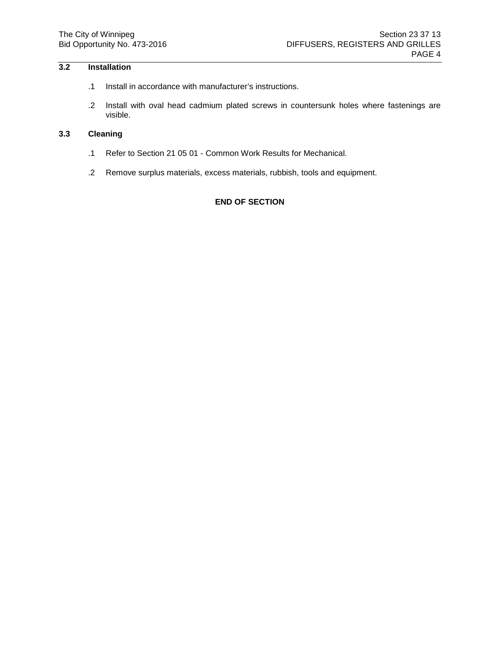# **3.2 Installation**

- .1 Install in accordance with manufacturer's instructions.
- .2 Install with oval head cadmium plated screws in countersunk holes where fastenings are visible.

## **3.3 Cleaning**

- .1 Refer to Section 21 05 01 Common Work Results for Mechanical.
- .2 Remove surplus materials, excess materials, rubbish, tools and equipment.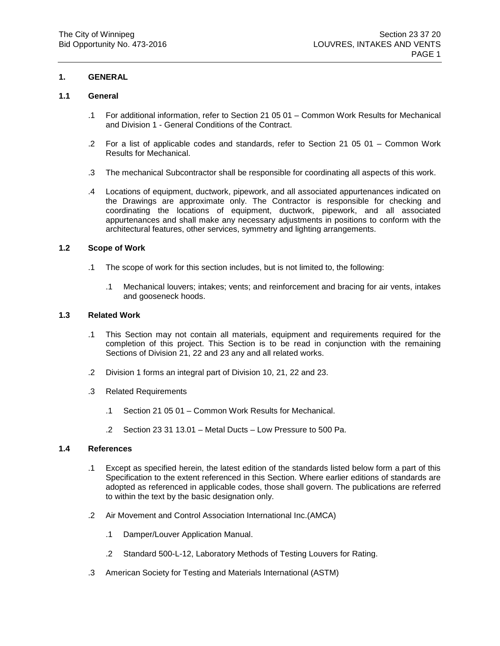## **1.1 General**

- .1 For additional information, refer to Section 21 05 01 Common Work Results for Mechanical and Division 1 - General Conditions of the Contract.
- .2 For a list of applicable codes and standards, refer to Section 21 05 01 Common Work Results for Mechanical.
- .3 The mechanical Subcontractor shall be responsible for coordinating all aspects of this work.
- .4 Locations of equipment, ductwork, pipework, and all associated appurtenances indicated on the Drawings are approximate only. The Contractor is responsible for checking and coordinating the locations of equipment, ductwork, pipework, and all associated appurtenances and shall make any necessary adjustments in positions to conform with the architectural features, other services, symmetry and lighting arrangements.

#### **1.2 Scope of Work**

- .1 The scope of work for this section includes, but is not limited to, the following:
	- .1 Mechanical louvers; intakes; vents; and reinforcement and bracing for air vents, intakes and gooseneck hoods.

## **1.3 Related Work**

- .1 This Section may not contain all materials, equipment and requirements required for the completion of this project. This Section is to be read in conjunction with the remaining Sections of Division 21, 22 and 23 any and all related works.
- .2 Division 1 forms an integral part of Division 10, 21, 22 and 23.
- .3 Related Requirements
	- .1 Section 21 05 01 Common Work Results for Mechanical.
	- .2 Section 23 31 13.01 Metal Ducts Low Pressure to 500 Pa.

# **1.4 References**

- .1 Except as specified herein, the latest edition of the standards listed below form a part of this Specification to the extent referenced in this Section. Where earlier editions of standards are adopted as referenced in applicable codes, those shall govern. The publications are referred to within the text by the basic designation only.
- .2 Air Movement and Control Association International Inc.(AMCA)
	- .1 Damper/Louver Application Manual.
	- .2 Standard 500-L-12, Laboratory Methods of Testing Louvers for Rating.
- .3 American Society for Testing and Materials International (ASTM)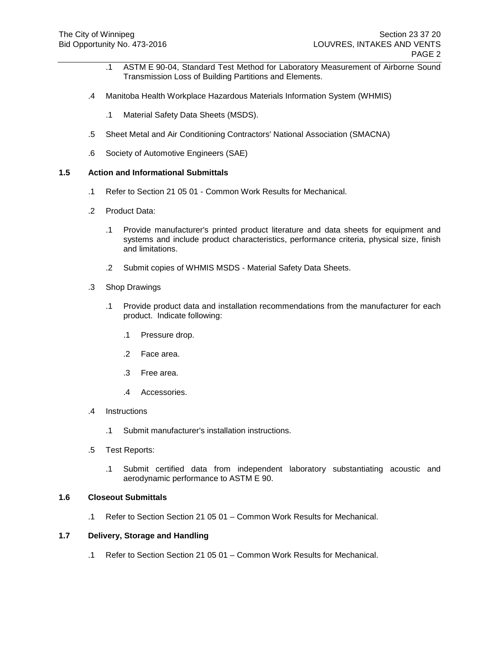- .1 ASTM E 90-04, Standard Test Method for Laboratory Measurement of Airborne Sound Transmission Loss of Building Partitions and Elements.
- .4 Manitoba Health Workplace Hazardous Materials Information System (WHMIS)
	- .1 Material Safety Data Sheets (MSDS).
- .5 Sheet Metal and Air Conditioning Contractors' National Association (SMACNA)
- .6 Society of Automotive Engineers (SAE)

- .1 Refer to Section 21 05 01 Common Work Results for Mechanical.
- .2 Product Data:
	- .1 Provide manufacturer's printed product literature and data sheets for equipment and systems and include product characteristics, performance criteria, physical size, finish and limitations.
	- .2 Submit copies of WHMIS MSDS Material Safety Data Sheets.
- .3 Shop Drawings
	- .1 Provide product data and installation recommendations from the manufacturer for each product. Indicate following:
		- .1 Pressure drop.
		- .2 Face area.
		- .3 Free area.
		- .4 Accessories.
- .4 Instructions
	- .1 Submit manufacturer's installation instructions.
- .5 Test Reports:
	- .1 Submit certified data from independent laboratory substantiating acoustic and aerodynamic performance to ASTM E 90.

### **1.6 Closeout Submittals**

.1 Refer to Section Section 21 05 01 – Common Work Results for Mechanical.

# **1.7 Delivery, Storage and Handling**

.1 Refer to Section Section 21 05 01 – Common Work Results for Mechanical.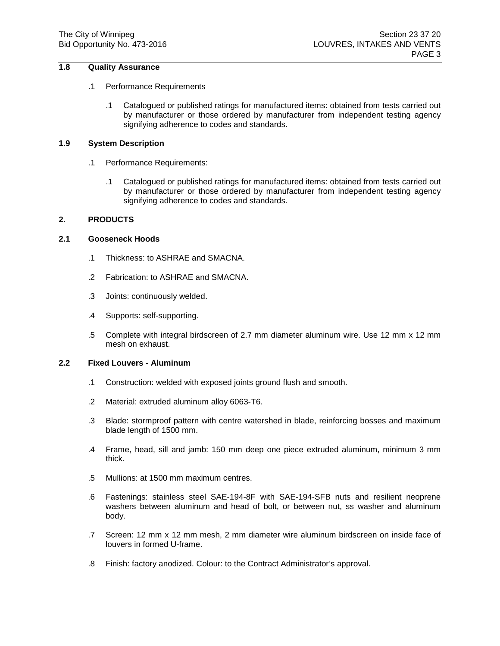# **1.8 Quality Assurance**

#### .1 Performance Requirements

.1 Catalogued or published ratings for manufactured items: obtained from tests carried out by manufacturer or those ordered by manufacturer from independent testing agency signifying adherence to codes and standards.

## **1.9 System Description**

- .1 Performance Requirements:
	- .1 Catalogued or published ratings for manufactured items: obtained from tests carried out by manufacturer or those ordered by manufacturer from independent testing agency signifying adherence to codes and standards.

### **2. PRODUCTS**

### **2.1 Gooseneck Hoods**

- .1 Thickness: to ASHRAE and SMACNA.
- .2 Fabrication: to ASHRAE and SMACNA.
- .3 Joints: continuously welded.
- .4 Supports: self-supporting.
- .5 Complete with integral birdscreen of 2.7 mm diameter aluminum wire. Use 12 mm x 12 mm mesh on exhaust.

# **2.2 Fixed Louvers - Aluminum**

- .1 Construction: welded with exposed joints ground flush and smooth.
- .2 Material: extruded aluminum alloy 6063-T6.
- .3 Blade: stormproof pattern with centre watershed in blade, reinforcing bosses and maximum blade length of 1500 mm.
- .4 Frame, head, sill and jamb: 150 mm deep one piece extruded aluminum, minimum 3 mm thick.
- .5 Mullions: at 1500 mm maximum centres.
- .6 Fastenings: stainless steel SAE-194-8F with SAE-194-SFB nuts and resilient neoprene washers between aluminum and head of bolt, or between nut, ss washer and aluminum body.
- .7 Screen: 12 mm x 12 mm mesh, 2 mm diameter wire aluminum birdscreen on inside face of louvers in formed U-frame.
- .8 Finish: factory anodized. Colour: to the Contract Administrator's approval.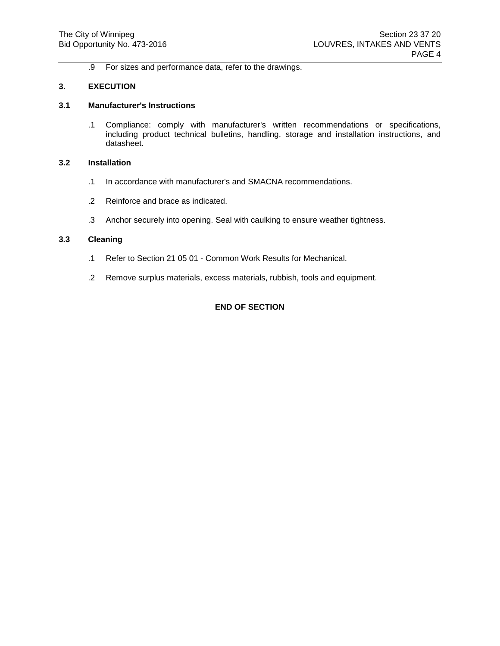.9 For sizes and performance data, refer to the drawings.

#### **3. EXECUTION**

## **3.1 Manufacturer's Instructions**

.1 Compliance: comply with manufacturer's written recommendations or specifications, including product technical bulletins, handling, storage and installation instructions, and datasheet.

# **3.2 Installation**

- .1 In accordance with manufacturer's and SMACNA recommendations.
- .2 Reinforce and brace as indicated.
- .3 Anchor securely into opening. Seal with caulking to ensure weather tightness.

#### **3.3 Cleaning**

- .1 Refer to Section 21 05 01 Common Work Results for Mechanical.
- .2 Remove surplus materials, excess materials, rubbish, tools and equipment.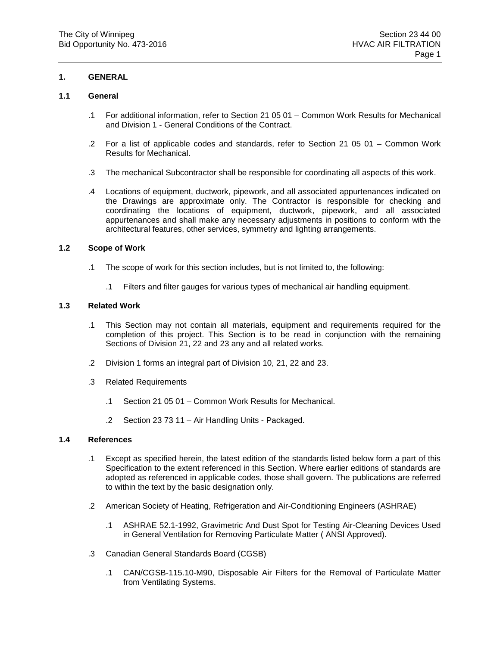## **1.1 General**

- .1 For additional information, refer to Section 21 05 01 Common Work Results for Mechanical and Division 1 - General Conditions of the Contract.
- .2 For a list of applicable codes and standards, refer to Section 21 05 01 Common Work Results for Mechanical.
- .3 The mechanical Subcontractor shall be responsible for coordinating all aspects of this work.
- .4 Locations of equipment, ductwork, pipework, and all associated appurtenances indicated on the Drawings are approximate only. The Contractor is responsible for checking and coordinating the locations of equipment, ductwork, pipework, and all associated appurtenances and shall make any necessary adjustments in positions to conform with the architectural features, other services, symmetry and lighting arrangements.

#### **1.2 Scope of Work**

- .1 The scope of work for this section includes, but is not limited to, the following:
	- .1 Filters and filter gauges for various types of mechanical air handling equipment.

## **1.3 Related Work**

- .1 This Section may not contain all materials, equipment and requirements required for the completion of this project. This Section is to be read in conjunction with the remaining Sections of Division 21, 22 and 23 any and all related works.
- .2 Division 1 forms an integral part of Division 10, 21, 22 and 23.
- .3 Related Requirements
	- .1 Section 21 05 01 Common Work Results for Mechanical.
	- .2 Section 23 73 11 Air Handling Units Packaged.

## **1.4 References**

- .1 Except as specified herein, the latest edition of the standards listed below form a part of this Specification to the extent referenced in this Section. Where earlier editions of standards are adopted as referenced in applicable codes, those shall govern. The publications are referred to within the text by the basic designation only.
- .2 American Society of Heating, Refrigeration and Air-Conditioning Engineers (ASHRAE)
	- .1 ASHRAE 52.1-1992, Gravimetric And Dust Spot for Testing Air-Cleaning Devices Used in General Ventilation for Removing Particulate Matter ( ANSI Approved).
- .3 Canadian General Standards Board (CGSB)
	- .1 CAN/CGSB-115.10-M90, Disposable Air Filters for the Removal of Particulate Matter from Ventilating Systems.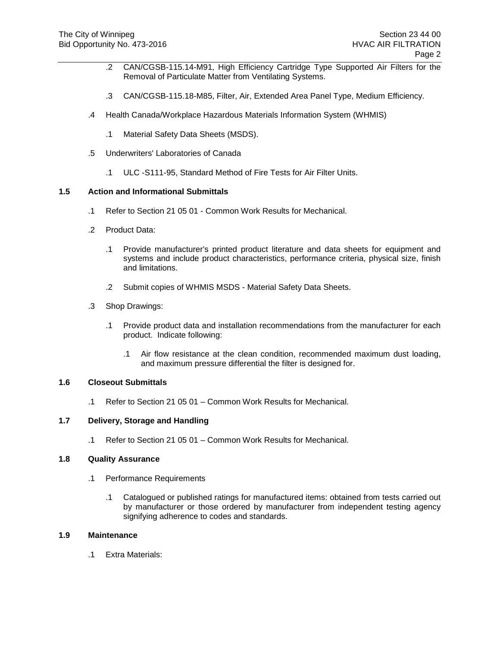- .2 CAN/CGSB-115.14-M91, High Efficiency Cartridge Type Supported Air Filters for the Removal of Particulate Matter from Ventilating Systems.
- .3 CAN/CGSB-115.18-M85, Filter, Air, Extended Area Panel Type, Medium Efficiency.
- .4 Health Canada/Workplace Hazardous Materials Information System (WHMIS)
	- .1 Material Safety Data Sheets (MSDS).
- .5 Underwriters' Laboratories of Canada
	- .1 ULC -S111-95, Standard Method of Fire Tests for Air Filter Units.

- .1 Refer to Section 21 05 01 Common Work Results for Mechanical.
- .2 Product Data:
	- .1 Provide manufacturer's printed product literature and data sheets for equipment and systems and include product characteristics, performance criteria, physical size, finish and limitations.
	- .2 Submit copies of WHMIS MSDS Material Safety Data Sheets.
- .3 Shop Drawings:
	- .1 Provide product data and installation recommendations from the manufacturer for each product. Indicate following:
		- .1 Air flow resistance at the clean condition, recommended maximum dust loading, and maximum pressure differential the filter is designed for.

## **1.6 Closeout Submittals**

.1 Refer to Section 21 05 01 – Common Work Results for Mechanical.

### **1.7 Delivery, Storage and Handling**

.1 Refer to Section 21 05 01 – Common Work Results for Mechanical.

#### **1.8 Quality Assurance**

- .1 Performance Requirements
	- .1 Catalogued or published ratings for manufactured items: obtained from tests carried out by manufacturer or those ordered by manufacturer from independent testing agency signifying adherence to codes and standards.

#### **1.9 Maintenance**

.1 Extra Materials: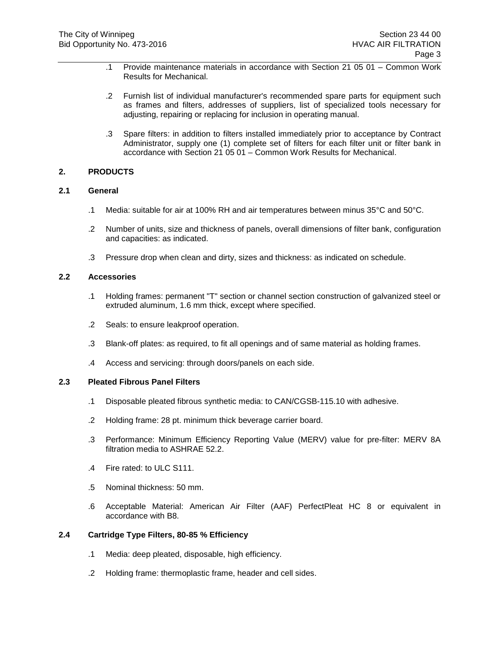- .1 Provide maintenance materials in accordance with Section 21 05 01 Common Work Results for Mechanical.
- .2 Furnish list of individual manufacturer's recommended spare parts for equipment such as frames and filters, addresses of suppliers, list of specialized tools necessary for adjusting, repairing or replacing for inclusion in operating manual.
- .3 Spare filters: in addition to filters installed immediately prior to acceptance by Contract Administrator, supply one (1) complete set of filters for each filter unit or filter bank in accordance with Section 21 05 01 – Common Work Results for Mechanical.

### **2. PRODUCTS**

### **2.1 General**

- .1 Media: suitable for air at 100% RH and air temperatures between minus 35°C and 50°C.
- .2 Number of units, size and thickness of panels, overall dimensions of filter bank, configuration and capacities: as indicated.
- .3 Pressure drop when clean and dirty, sizes and thickness: as indicated on schedule.

## **2.2 Accessories**

- .1 Holding frames: permanent "T" section or channel section construction of galvanized steel or extruded aluminum, 1.6 mm thick, except where specified.
- .2 Seals: to ensure leakproof operation.
- .3 Blank-off plates: as required, to fit all openings and of same material as holding frames.
- .4 Access and servicing: through doors/panels on each side.

## **2.3 Pleated Fibrous Panel Filters**

- .1 Disposable pleated fibrous synthetic media: to CAN/CGSB-115.10 with adhesive.
- .2 Holding frame: 28 pt. minimum thick beverage carrier board.
- .3 Performance: Minimum Efficiency Reporting Value (MERV) value for pre-filter: MERV 8A filtration media to ASHRAE 52.2.
- .4 Fire rated: to ULC S111.
- .5 Nominal thickness: 50 mm.
- .6 Acceptable Material: American Air Filter (AAF) PerfectPleat HC 8 or equivalent in accordance with B8.

### **2.4 Cartridge Type Filters, 80-85 % Efficiency**

- .1 Media: deep pleated, disposable, high efficiency.
- .2 Holding frame: thermoplastic frame, header and cell sides.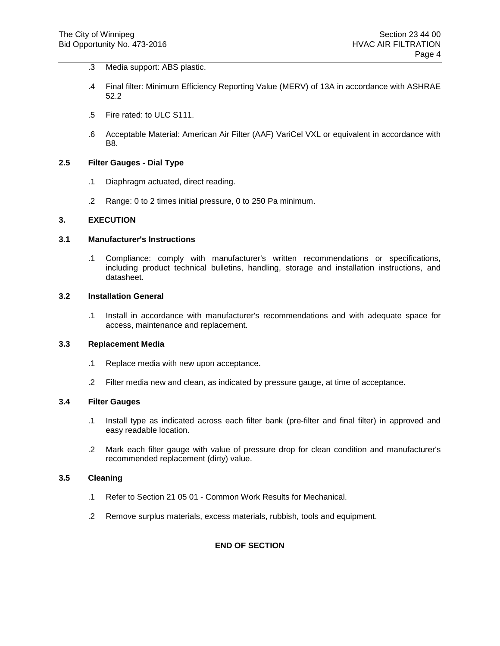- .3 Media support: ABS plastic.
- .4 Final filter: Minimum Efficiency Reporting Value (MERV) of 13A in accordance with ASHRAE 52.2
- .5 Fire rated: to ULC S111.
- .6 Acceptable Material: American Air Filter (AAF) VariCel VXL or equivalent in accordance with B8.

### **2.5 Filter Gauges - Dial Type**

- .1 Diaphragm actuated, direct reading.
- .2 Range: 0 to 2 times initial pressure, 0 to 250 Pa minimum.

## **3. EXECUTION**

#### **3.1 Manufacturer's Instructions**

.1 Compliance: comply with manufacturer's written recommendations or specifications, including product technical bulletins, handling, storage and installation instructions, and datasheet.

### **3.2 Installation General**

.1 Install in accordance with manufacturer's recommendations and with adequate space for access, maintenance and replacement.

# **3.3 Replacement Media**

- .1 Replace media with new upon acceptance.
- .2 Filter media new and clean, as indicated by pressure gauge, at time of acceptance.

#### **3.4 Filter Gauges**

- .1 Install type as indicated across each filter bank (pre-filter and final filter) in approved and easy readable location.
- .2 Mark each filter gauge with value of pressure drop for clean condition and manufacturer's recommended replacement (dirty) value.

### **3.5 Cleaning**

- .1 Refer to Section 21 05 01 Common Work Results for Mechanical.
- .2 Remove surplus materials, excess materials, rubbish, tools and equipment.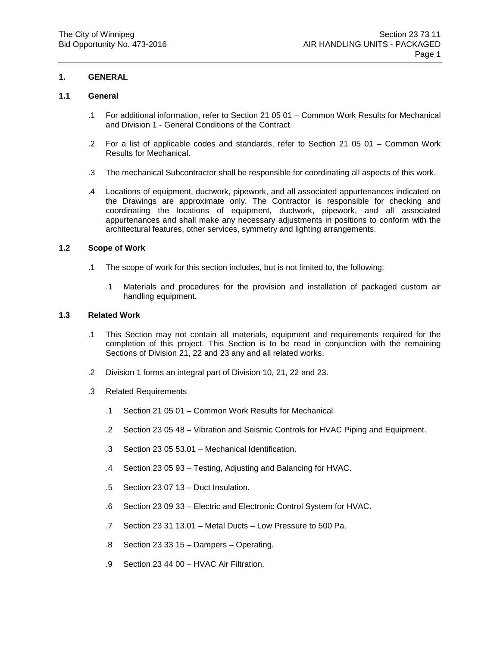## **1.1 General**

- .1 For additional information, refer to Section 21 05 01 Common Work Results for Mechanical and Division 1 - General Conditions of the Contract.
- .2 For a list of applicable codes and standards, refer to Section 21 05 01 Common Work Results for Mechanical.
- .3 The mechanical Subcontractor shall be responsible for coordinating all aspects of this work.
- .4 Locations of equipment, ductwork, pipework, and all associated appurtenances indicated on the Drawings are approximate only. The Contractor is responsible for checking and coordinating the locations of equipment, ductwork, pipework, and all associated appurtenances and shall make any necessary adjustments in positions to conform with the architectural features, other services, symmetry and lighting arrangements.

#### **1.2 Scope of Work**

- .1 The scope of work for this section includes, but is not limited to, the following:
	- .1 Materials and procedures for the provision and installation of packaged custom air handling equipment.

## **1.3 Related Work**

- .1 This Section may not contain all materials, equipment and requirements required for the completion of this project. This Section is to be read in conjunction with the remaining Sections of Division 21, 22 and 23 any and all related works.
- .2 Division 1 forms an integral part of Division 10, 21, 22 and 23.
- .3 Related Requirements
	- .1 Section 21 05 01 Common Work Results for Mechanical.
	- .2 Section 23 05 48 Vibration and Seismic Controls for HVAC Piping and Equipment.
	- .3 Section 23 05 53.01 Mechanical Identification.
	- .4 Section 23 05 93 Testing, Adjusting and Balancing for HVAC.
	- .5 Section 23 07 13 Duct Insulation.
	- .6 Section 23 09 33 Electric and Electronic Control System for HVAC.
	- .7 Section 23 31 13.01 Metal Ducts Low Pressure to 500 Pa.
	- .8 Section 23 33 15 Dampers Operating.
	- .9 Section 23 44 00 HVAC Air Filtration.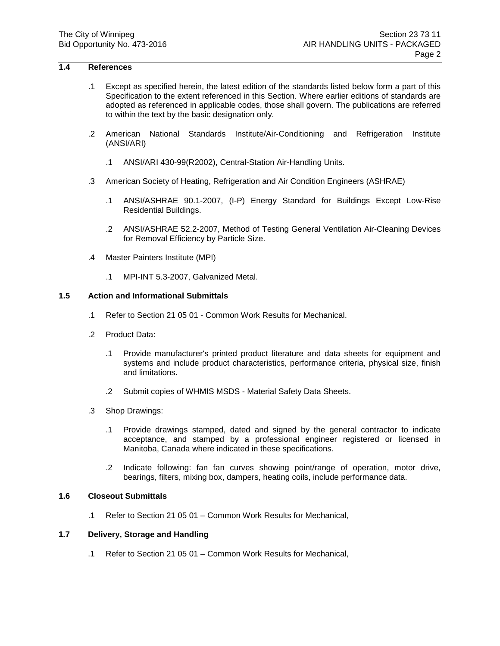# **1.4 References**

- .1 Except as specified herein, the latest edition of the standards listed below form a part of this Specification to the extent referenced in this Section. Where earlier editions of standards are adopted as referenced in applicable codes, those shall govern. The publications are referred to within the text by the basic designation only.
- .2 American National Standards Institute/Air-Conditioning and Refrigeration Institute (ANSI/ARI)
	- .1 ANSI/ARI 430-99(R2002), Central-Station Air-Handling Units.
- .3 American Society of Heating, Refrigeration and Air Condition Engineers (ASHRAE)
	- .1 ANSI/ASHRAE 90.1-2007, (I-P) Energy Standard for Buildings Except Low-Rise Residential Buildings.
	- .2 ANSI/ASHRAE 52.2-2007, Method of Testing General Ventilation Air-Cleaning Devices for Removal Efficiency by Particle Size.
- .4 Master Painters Institute (MPI)
	- .1 MPI-INT 5.3-2007, Galvanized Metal.

# **1.5 Action and Informational Submittals**

- .1 Refer to Section 21 05 01 Common Work Results for Mechanical.
- .2 Product Data:
	- .1 Provide manufacturer's printed product literature and data sheets for equipment and systems and include product characteristics, performance criteria, physical size, finish and limitations.
	- .2 Submit copies of WHMIS MSDS Material Safety Data Sheets.
- .3 Shop Drawings:
	- .1 Provide drawings stamped, dated and signed by the general contractor to indicate acceptance, and stamped by a professional engineer registered or licensed in Manitoba, Canada where indicated in these specifications.
	- .2 Indicate following: fan fan curves showing point/range of operation, motor drive, bearings, filters, mixing box, dampers, heating coils, include performance data.

#### **1.6 Closeout Submittals**

.1 Refer to Section 21 05 01 – Common Work Results for Mechanical,

#### **1.7 Delivery, Storage and Handling**

.1 Refer to Section 21 05 01 – Common Work Results for Mechanical,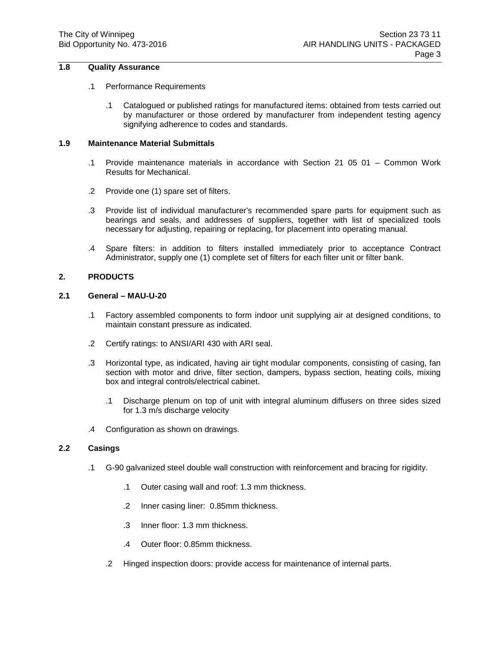# **1.8 Quality Assurance**

## .1 Performance Requirements

.1 Catalogued or published ratings for manufactured items: obtained from tests carried out by manufacturer or those ordered by manufacturer from independent testing agency signifying adherence to codes and standards.

# **1.9 Maintenance Material Submittals**

- .1 Provide maintenance materials in accordance with Section 21 05 01 Common Work Results for Mechanical.
- .2 Provide one (1) spare set of filters.
- .3 Provide list of individual manufacturer's recommended spare parts for equipment such as bearings and seals, and addresses of suppliers, together with list of specialized tools necessary for adjusting, repairing or replacing, for placement into operating manual.
- .4 Spare filters: in addition to filters installed immediately prior to acceptance Contract Administrator, supply one (1) complete set of filters for each filter unit or filter bank.

# **2. PRODUCTS**

# **2.1 General – MAU-U-20**

- .1 Factory assembled components to form indoor unit supplying air at designed conditions, to maintain constant pressure as indicated.
- .2 Certify ratings: to ANSI/ARI 430 with ARI seal.
- .3 Horizontal type, as indicated, having air tight modular components, consisting of casing, fan section with motor and drive, filter section, dampers, bypass section, heating coils, mixing box and integral controls/electrical cabinet.
	- .1 Discharge plenum on top of unit with integral aluminum diffusers on three sides sized for 1.3 m/s discharge velocity
- .4 Configuration as shown on drawings.

# **2.2 Casings**

- .1 G-90 galvanized steel double wall construction with reinforcement and bracing for rigidity.
	- .1 Outer casing wall and roof: 1.3 mm thickness.
	- .2 Inner casing liner: 0.85mm thickness.
	- .3 Inner floor: 1.3 mm thickness.
	- .4 Outer floor: 0.85mm thickness.
	- .2 Hinged inspection doors: provide access for maintenance of internal parts.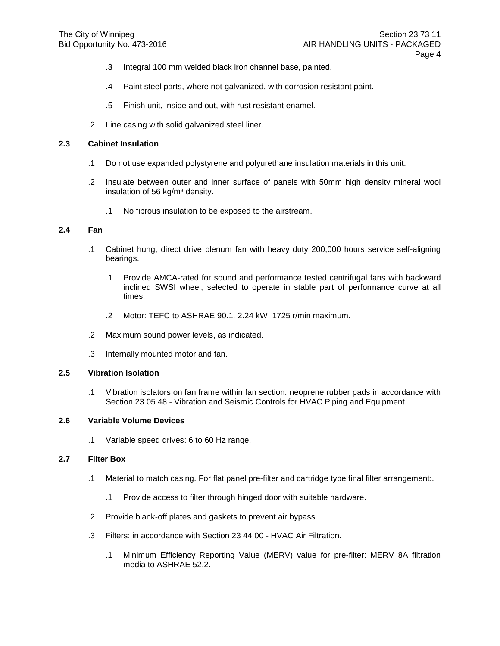- .3 Integral 100 mm welded black iron channel base, painted.
- .4 Paint steel parts, where not galvanized, with corrosion resistant paint.
- .5 Finish unit, inside and out, with rust resistant enamel.
- .2 Line casing with solid galvanized steel liner.

# **2.3 Cabinet Insulation**

- .1 Do not use expanded polystyrene and polyurethane insulation materials in this unit.
- .2 Insulate between outer and inner surface of panels with 50mm high density mineral wool insulation of 56 kg/m<sup>3</sup> density.
	- .1 No fibrous insulation to be exposed to the airstream.

# **2.4 Fan**

- .1 Cabinet hung, direct drive plenum fan with heavy duty 200,000 hours service self-aligning bearings.
	- .1 Provide AMCA-rated for sound and performance tested centrifugal fans with backward inclined SWSI wheel, selected to operate in stable part of performance curve at all times.
	- .2 Motor: TEFC to ASHRAE 90.1, 2.24 kW, 1725 r/min maximum.
- .2 Maximum sound power levels, as indicated.
- .3 Internally mounted motor and fan.

#### **2.5 Vibration Isolation**

.1 Vibration isolators on fan frame within fan section: neoprene rubber pads in accordance with Section 23 05 48 - Vibration and Seismic Controls for HVAC Piping and Equipment.

### **2.6 Variable Volume Devices**

.1 Variable speed drives: 6 to 60 Hz range,

#### **2.7 Filter Box**

- .1 Material to match casing. For flat panel pre-filter and cartridge type final filter arrangement:.
	- .1 Provide access to filter through hinged door with suitable hardware.
- .2 Provide blank-off plates and gaskets to prevent air bypass.
- .3 Filters: in accordance with Section 23 44 00 HVAC Air Filtration.
	- .1 Minimum Efficiency Reporting Value (MERV) value for pre-filter: MERV 8A filtration media to ASHRAE 52.2.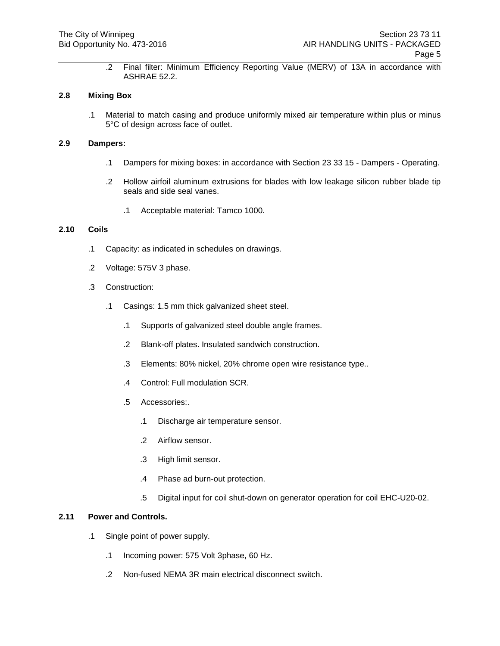.2 Final filter: Minimum Efficiency Reporting Value (MERV) of 13A in accordance with ASHRAE 52.2.

# **2.8 Mixing Box**

.1 Material to match casing and produce uniformly mixed air temperature within plus or minus 5°C of design across face of outlet.

# **2.9 Dampers:**

- .1 Dampers for mixing boxes: in accordance with Section 23 33 15 Dampers Operating.
- .2 Hollow airfoil aluminum extrusions for blades with low leakage silicon rubber blade tip seals and side seal vanes.
	- .1 Acceptable material: Tamco 1000.

# **2.10 Coils**

- .1 Capacity: as indicated in schedules on drawings.
- .2 Voltage: 575V 3 phase.
- .3 Construction:
	- .1 Casings: 1.5 mm thick galvanized sheet steel.
		- .1 Supports of galvanized steel double angle frames.
		- .2 Blank-off plates. Insulated sandwich construction.
		- .3 Elements: 80% nickel, 20% chrome open wire resistance type..
		- .4 Control: Full modulation SCR.
		- .5 Accessories:.
			- .1 Discharge air temperature sensor.
			- .2 Airflow sensor.
			- .3 High limit sensor.
			- .4 Phase ad burn-out protection.
			- .5 Digital input for coil shut-down on generator operation for coil EHC-U20-02.

## **2.11 Power and Controls.**

- .1 Single point of power supply.
	- .1 Incoming power: 575 Volt 3phase, 60 Hz.
	- .2 Non-fused NEMA 3R main electrical disconnect switch.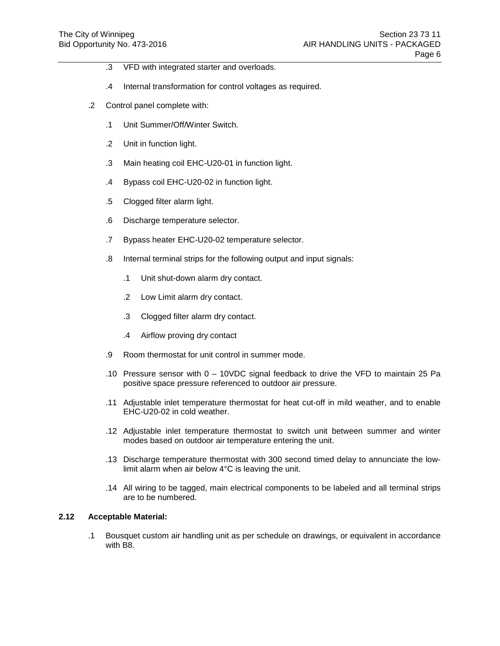- .3 VFD with integrated starter and overloads.
- .4 Internal transformation for control voltages as required.
- .2 Control panel complete with:
	- .1 Unit Summer/Off/Winter Switch.
	- .2 Unit in function light.
	- .3 Main heating coil EHC-U20-01 in function light.
	- .4 Bypass coil EHC-U20-02 in function light.
	- .5 Clogged filter alarm light.
	- .6 Discharge temperature selector.
	- .7 Bypass heater EHC-U20-02 temperature selector.
	- .8 Internal terminal strips for the following output and input signals:
		- .1 Unit shut-down alarm dry contact.
		- .2 Low Limit alarm dry contact.
		- .3 Clogged filter alarm dry contact.
		- .4 Airflow proving dry contact
	- .9 Room thermostat for unit control in summer mode.
	- .10 Pressure sensor with 0 10VDC signal feedback to drive the VFD to maintain 25 Pa positive space pressure referenced to outdoor air pressure.
	- .11 Adjustable inlet temperature thermostat for heat cut-off in mild weather, and to enable EHC-U20-02 in cold weather.
	- .12 Adjustable inlet temperature thermostat to switch unit between summer and winter modes based on outdoor air temperature entering the unit.
	- .13 Discharge temperature thermostat with 300 second timed delay to annunciate the lowlimit alarm when air below 4°C is leaving the unit.
	- .14 All wiring to be tagged, main electrical components to be labeled and all terminal strips are to be numbered.

# **2.12 Acceptable Material:**

.1 Bousquet custom air handling unit as per schedule on drawings, or equivalent in accordance with B8.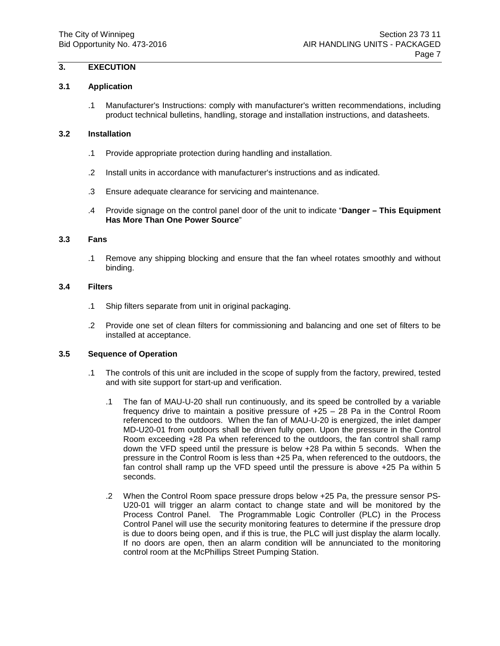# **3. EXECUTION**

#### **3.1 Application**

.1 Manufacturer's Instructions: comply with manufacturer's written recommendations, including product technical bulletins, handling, storage and installation instructions, and datasheets.

# **3.2 Installation**

- .1 Provide appropriate protection during handling and installation.
- .2 Install units in accordance with manufacturer's instructions and as indicated.
- .3 Ensure adequate clearance for servicing and maintenance.
- .4 Provide signage on the control panel door of the unit to indicate "**Danger – This Equipment Has More Than One Power Source**"

#### **3.3 Fans**

.1 Remove any shipping blocking and ensure that the fan wheel rotates smoothly and without binding.

# **3.4 Filters**

- .1 Ship filters separate from unit in original packaging.
- .2 Provide one set of clean filters for commissioning and balancing and one set of filters to be installed at acceptance.

# **3.5 Sequence of Operation**

- .1 The controls of this unit are included in the scope of supply from the factory, prewired, tested and with site support for start-up and verification.
	- .1 The fan of MAU-U-20 shall run continuously, and its speed be controlled by a variable frequency drive to maintain a positive pressure of +25 – 28 Pa in the Control Room referenced to the outdoors. When the fan of MAU-U-20 is energized, the inlet damper MD-U20-01 from outdoors shall be driven fully open. Upon the pressure in the Control Room exceeding +28 Pa when referenced to the outdoors, the fan control shall ramp down the VFD speed until the pressure is below +28 Pa within 5 seconds. When the pressure in the Control Room is less than +25 Pa, when referenced to the outdoors, the fan control shall ramp up the VFD speed until the pressure is above +25 Pa within 5 seconds.
	- .2 When the Control Room space pressure drops below +25 Pa, the pressure sensor PS-U20-01 will trigger an alarm contact to change state and will be monitored by the Process Control Panel. The Programmable Logic Controller (PLC) in the Process Control Panel will use the security monitoring features to determine if the pressure drop is due to doors being open, and if this is true, the PLC will just display the alarm locally. If no doors are open, then an alarm condition will be annunciated to the monitoring control room at the McPhillips Street Pumping Station.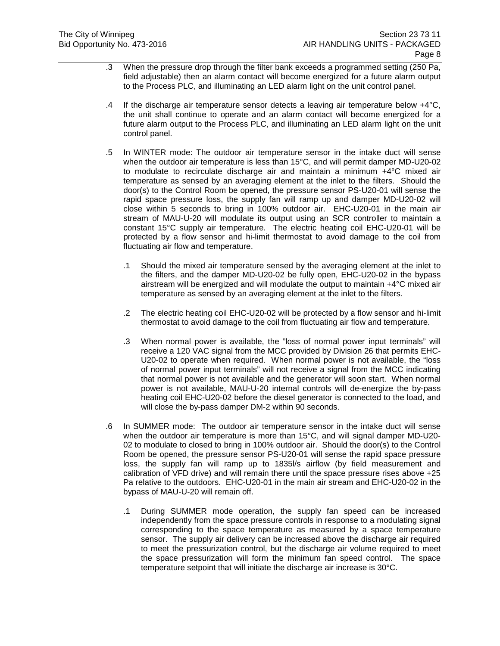- .3 When the pressure drop through the filter bank exceeds a programmed setting (250 Pa, field adjustable) then an alarm contact will become energized for a future alarm output to the Process PLC, and illuminating an LED alarm light on the unit control panel.
- .4 If the discharge air temperature sensor detects a leaving air temperature below  $+4^{\circ}C$ , the unit shall continue to operate and an alarm contact will become energized for a future alarm output to the Process PLC, and illuminating an LED alarm light on the unit control panel.
- .5 In WINTER mode: The outdoor air temperature sensor in the intake duct will sense when the outdoor air temperature is less than 15°C, and will permit damper MD-U20-02 to modulate to recirculate discharge air and maintain a minimum +4°C mixed air temperature as sensed by an averaging element at the inlet to the filters. Should the door(s) to the Control Room be opened, the pressure sensor PS-U20-01 will sense the rapid space pressure loss, the supply fan will ramp up and damper MD-U20-02 will close within 5 seconds to bring in 100% outdoor air. EHC-U20-01 in the main air stream of MAU-U-20 will modulate its output using an SCR controller to maintain a constant 15°C supply air temperature. The electric heating coil EHC-U20-01 will be protected by a flow sensor and hi-limit thermostat to avoid damage to the coil from fluctuating air flow and temperature.
	- .1 Should the mixed air temperature sensed by the averaging element at the inlet to the filters, and the damper MD-U20-02 be fully open, EHC-U20-02 in the bypass airstream will be energized and will modulate the output to maintain +4°C mixed air temperature as sensed by an averaging element at the inlet to the filters.
	- .2 The electric heating coil EHC-U20-02 will be protected by a flow sensor and hi-limit thermostat to avoid damage to the coil from fluctuating air flow and temperature.
	- .3 When normal power is available, the "loss of normal power input terminals" will receive a 120 VAC signal from the MCC provided by Division 26 that permits EHC-U20-02 to operate when required. When normal power is not available, the "loss of normal power input terminals" will not receive a signal from the MCC indicating that normal power is not available and the generator will soon start. When normal power is not available, MAU-U-20 internal controls will de-energize the by-pass heating coil EHC-U20-02 before the diesel generator is connected to the load, and will close the by-pass damper DM-2 within 90 seconds.
- .6 In SUMMER mode: The outdoor air temperature sensor in the intake duct will sense when the outdoor air temperature is more than 15°C, and will signal damper MD-U20- 02 to modulate to closed to bring in 100% outdoor air. Should the door(s) to the Control Room be opened, the pressure sensor PS-U20-01 will sense the rapid space pressure loss, the supply fan will ramp up to 1835l/s airflow (by field measurement and calibration of VFD drive) and will remain there until the space pressure rises above +25 Pa relative to the outdoors. EHC-U20-01 in the main air stream and EHC-U20-02 in the bypass of MAU-U-20 will remain off.
	- .1 During SUMMER mode operation, the supply fan speed can be increased independently from the space pressure controls in response to a modulating signal corresponding to the space temperature as measured by a space temperature sensor. The supply air delivery can be increased above the discharge air required to meet the pressurization control, but the discharge air volume required to meet the space pressurization will form the minimum fan speed control. The space temperature setpoint that will initiate the discharge air increase is 30°C.